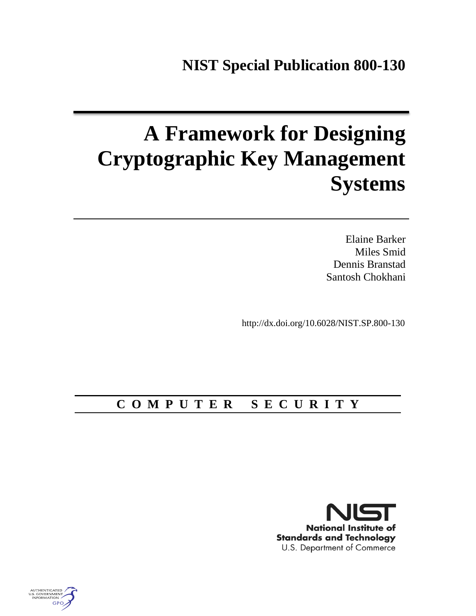# **A Framework for Designing Cryptographic Key Management Systems**

Elaine Barker Miles Smid Dennis Branstad Santosh Chokhani

http://dx.doi.org/10.6028/NIST.SP.800-130

# **C O M P U T E R S E C U R I T Y**



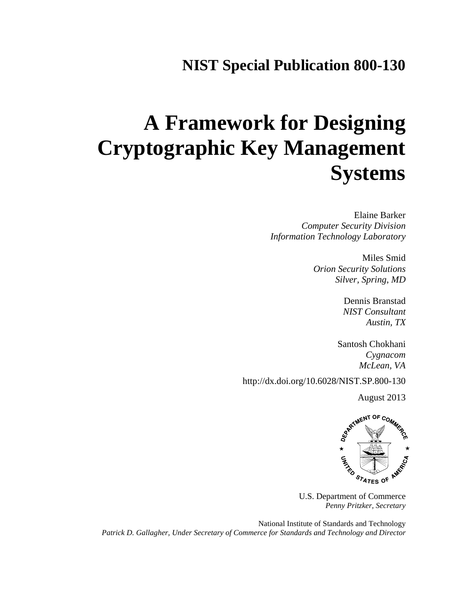# **NIST Special Publication 800-130**

# **A Framework for Designing Cryptographic Key Management Systems**

Elaine Barker *Computer Security Division Information Technology Laboratory*

> Miles Smid *Orion Security Solutions Silver, Spring, MD*

> > Dennis Branstad *NIST Consultant Austin, TX*

Santosh Chokhani *Cygnacom McLean, VA*

http://dx.doi.org/10.6028/NIST.SP.800-130



U.S. Department of Commerce *Penny Pritzker, Secretary*

National Institute of Standards and Technology *Patrick D. Gallagher, Under Secretary of Commerce for Standards and Technology and Director*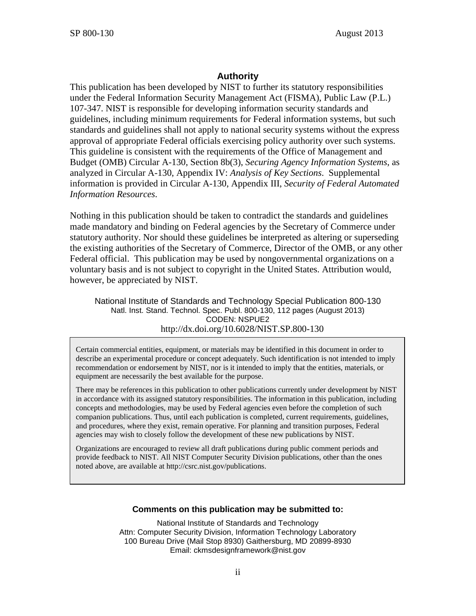#### **Authority**

This publication has been developed by NIST to further its statutory responsibilities under the Federal Information Security Management Act (FISMA), Public Law (P.L.) 107-347. NIST is responsible for developing information security standards and guidelines, including minimum requirements for Federal information systems, but such standards and guidelines shall not apply to national security systems without the express approval of appropriate Federal officials exercising policy authority over such systems. This guideline is consistent with the requirements of the Office of Management and Budget (OMB) Circular A-130, Section 8b(3), *Securing Agency Information Systems*, as analyzed in Circular A-130, Appendix IV: *Analysis of Key Sections*. Supplemental information is provided in Circular A-130, Appendix III, *Security of Federal Automated Information Resources*.

Nothing in this publication should be taken to contradict the standards and guidelines made mandatory and binding on Federal agencies by the Secretary of Commerce under statutory authority. Nor should these guidelines be interpreted as altering or superseding the existing authorities of the Secretary of Commerce, Director of the OMB, or any other Federal official. This publication may be used by nongovernmental organizations on a voluntary basis and is not subject to copyright in the United States. Attribution would, however, be appreciated by NIST.

National Institute of Standards and Technology Special Publication 800-130 Natl. Inst. Stand. Technol. Spec. Publ. 800-130, 112 pages (August 2013) CODEN: NSPUE2 http://dx.doi.org/10.6028/NIST.SP.800-130

 Certain commercial entities, equipment, or materials may be identified in this document in order to describe an experimental procedure or concept adequately. Such identification is not intended to imply recommendation or endorsement by NIST, nor is it intended to imply that the entities, materials, or equipment are necessarily the best available for the purpose.

There may be references in this publication to other publications currently under development by NIST in accordance with its assigned statutory responsibilities. The information in this publication, including concepts and methodologies, may be used by Federal agencies even before the completion of such companion publications. Thus, until each publication is completed, current requirements, guidelines, and procedures, where they exist, remain operative. For planning and transition purposes, Federal agencies may wish to closely follow the development of these new publications by NIST.

Organizations are encouraged to review all draft publications during public comment periods and provide feedback to NIST. All NIST Computer Security Division publications, other than the ones noted above, are available at http://csrc.nist.gov/publications.

#### **Comments on this publication may be submitted to:**

National Institute of Standards and Technology Attn: Computer Security Division, Information Technology Laboratory 100 Bureau Drive (Mail Stop 8930) Gaithersburg, MD 20899-8930 Email: ckmsdesignframework@nist.gov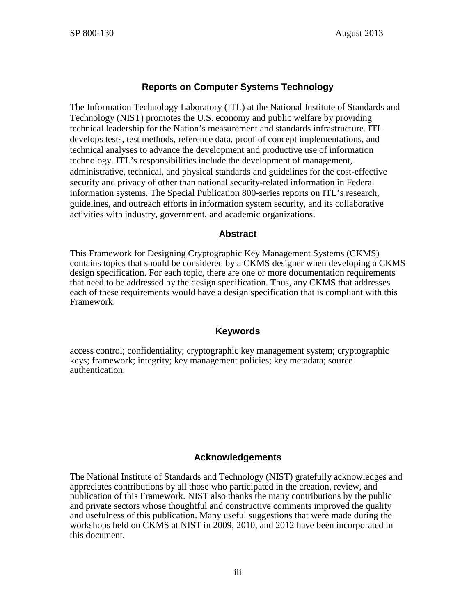#### **Reports on Computer Systems Technology**

The Information Technology Laboratory (ITL) at the National Institute of Standards and Technology (NIST) promotes the U.S. economy and public welfare by providing technical leadership for the Nation's measurement and standards infrastructure. ITL develops tests, test methods, reference data, proof of concept implementations, and technical analyses to advance the development and productive use of information technology. ITL's responsibilities include the development of management, administrative, technical, and physical standards and guidelines for the cost-effective security and privacy of other than national security-related information in Federal information systems. The Special Publication 800-series reports on ITL's research, guidelines, and outreach efforts in information system security, and its collaborative activities with industry, government, and academic organizations.

#### **Abstract**

This Framework for Designing Cryptographic Key Management Systems (CKMS) contains topics that should be considered by a CKMS designer when developing a CKMS design specification. For each topic, there are one or more documentation requirements that need to be addressed by the design specification. Thus, any CKMS that addresses each of these requirements would have a design specification that is compliant with this Framework.

#### **Keywords**

access control; confidentiality; cryptographic key management system; cryptographic keys; framework; integrity; key management policies; key metadata; source authentication.

#### **Acknowledgements**

The National Institute of Standards and Technology (NIST) gratefully acknowledges and appreciates contributions by all those who participated in the creation, review, and publication of this Framework. NIST also thanks the many contributions by the public and private sectors whose thoughtful and constructive comments improved the quality and usefulness of this publication. Many useful suggestions that were made during the workshops held on CKMS at NIST in 2009, 2010, and 2012 have been incorporated in this document.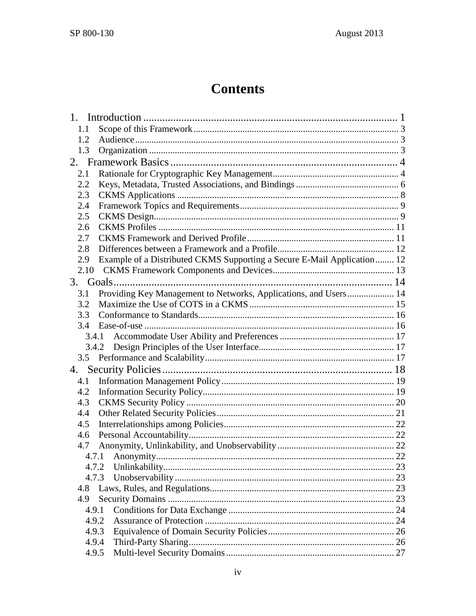# **Contents**

| 1.    |                                                                         |  |
|-------|-------------------------------------------------------------------------|--|
| 1.1   |                                                                         |  |
| 1.2   |                                                                         |  |
| 1.3   |                                                                         |  |
| 2.    |                                                                         |  |
| 2.1   |                                                                         |  |
| 2.2   |                                                                         |  |
| 2.3   |                                                                         |  |
| 2.4   |                                                                         |  |
| 2.5   |                                                                         |  |
| 2.6   |                                                                         |  |
| 2.7   |                                                                         |  |
| 2.8   |                                                                         |  |
| 2.9   | Example of a Distributed CKMS Supporting a Secure E-Mail Application 12 |  |
| 2.10  |                                                                         |  |
|       |                                                                         |  |
| 3.1   | Providing Key Management to Networks, Applications, and Users 14        |  |
| 3.2   |                                                                         |  |
| 3.3   |                                                                         |  |
| 3.4   |                                                                         |  |
|       | 3.4.1                                                                   |  |
|       | 3.4.2                                                                   |  |
| 3.5   |                                                                         |  |
| 4.    |                                                                         |  |
| 4.1   |                                                                         |  |
| 4.2   |                                                                         |  |
| 4.3   |                                                                         |  |
| 4.4   |                                                                         |  |
| 4.5   |                                                                         |  |
| 4.6   |                                                                         |  |
| 4.7   |                                                                         |  |
|       |                                                                         |  |
|       | 4.7.2                                                                   |  |
|       | 4.7.3                                                                   |  |
| 4.8   |                                                                         |  |
| 4.9   |                                                                         |  |
| 4.9.1 |                                                                         |  |
|       | 4.9.2                                                                   |  |
|       | 4.9.3                                                                   |  |
|       | 4.9.4                                                                   |  |
|       | 4.9.5                                                                   |  |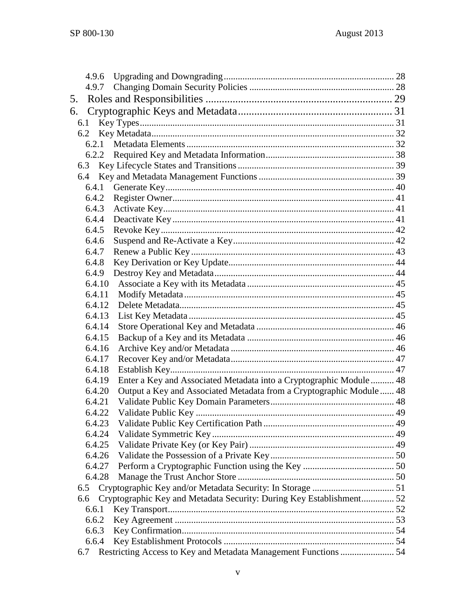|     | 4.9.6  |                                                                      |  |
|-----|--------|----------------------------------------------------------------------|--|
|     | 4.9.7  |                                                                      |  |
| 5.  |        |                                                                      |  |
| 6.  |        |                                                                      |  |
|     | 6.1    |                                                                      |  |
|     | 6.2    |                                                                      |  |
|     | 6.2.1  |                                                                      |  |
|     |        |                                                                      |  |
|     | 6.3    |                                                                      |  |
|     |        |                                                                      |  |
|     | 6.4.1  |                                                                      |  |
|     | 6.4.2  |                                                                      |  |
|     | 6.4.3  |                                                                      |  |
|     | 6.4.4  |                                                                      |  |
|     | 6.4.5  |                                                                      |  |
|     | 6.4.6  |                                                                      |  |
|     | 6.4.7  |                                                                      |  |
|     | 6.4.8  |                                                                      |  |
|     | 6.4.9  |                                                                      |  |
|     | 6.4.10 |                                                                      |  |
|     | 6.4.11 |                                                                      |  |
|     | 6.4.12 |                                                                      |  |
|     | 6.4.13 |                                                                      |  |
|     | 6.4.14 |                                                                      |  |
|     | 6.4.15 |                                                                      |  |
|     | 6.4.16 |                                                                      |  |
|     | 6.4.17 |                                                                      |  |
|     | 6.4.18 |                                                                      |  |
|     | 6.4.19 | Enter a Key and Associated Metadata into a Cryptographic Module  48  |  |
|     | 6.4.20 | Output a Key and Associated Metadata from a Cryptographic Module 48  |  |
|     | 6.4.21 |                                                                      |  |
|     | 6.4.22 |                                                                      |  |
|     | 6.4.23 |                                                                      |  |
|     | 6.4.24 |                                                                      |  |
|     | 6.4.25 |                                                                      |  |
|     | 6.4.26 |                                                                      |  |
|     | 6.4.27 |                                                                      |  |
|     | 6.4.28 |                                                                      |  |
|     | 6.5    |                                                                      |  |
|     | 6.6    | Cryptographic Key and Metadata Security: During Key Establishment 52 |  |
|     | 6.6.1  |                                                                      |  |
|     | 6.6.2  |                                                                      |  |
|     | 6.6.3  |                                                                      |  |
|     | 6.6.4  |                                                                      |  |
| 6.7 |        | Restricting Access to Key and Metadata Management Functions  54      |  |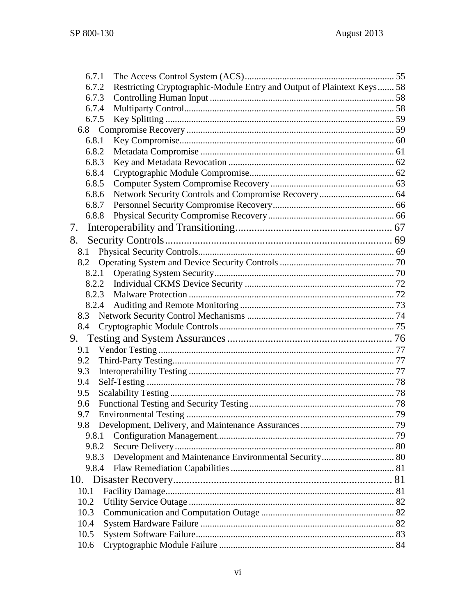| 6.7.1 |                                                                        |  |
|-------|------------------------------------------------------------------------|--|
| 6.7.2 | Restricting Cryptographic-Module Entry and Output of Plaintext Keys 58 |  |
| 6.7.3 |                                                                        |  |
| 6.7.4 |                                                                        |  |
| 6.7.5 |                                                                        |  |
|       |                                                                        |  |
| 6.8.1 |                                                                        |  |
| 6.8.2 |                                                                        |  |
| 6.8.3 |                                                                        |  |
| 6.8.4 |                                                                        |  |
| 6.8.5 |                                                                        |  |
| 6.8.6 |                                                                        |  |
| 6.8.7 |                                                                        |  |
| 6.8.8 |                                                                        |  |
| 7.    |                                                                        |  |
| 8.    |                                                                        |  |
| 8.1   |                                                                        |  |
| 8.2   |                                                                        |  |
| 8.2.1 |                                                                        |  |
| 8.2.2 |                                                                        |  |
| 8.2.3 |                                                                        |  |
| 8.2.4 |                                                                        |  |
|       |                                                                        |  |
| 8.4   |                                                                        |  |
| 9.    |                                                                        |  |
| 9.1   |                                                                        |  |
| 9.2   |                                                                        |  |
| 9.3   |                                                                        |  |
| 9.4   |                                                                        |  |
| 9.5   |                                                                        |  |
| 9.6   |                                                                        |  |
| 9.7   |                                                                        |  |
|       |                                                                        |  |
| 9.8.1 |                                                                        |  |
| 9.8.2 |                                                                        |  |
| 9.8.3 | Development and Maintenance Environmental Security 80                  |  |
| 9.8.4 |                                                                        |  |
|       |                                                                        |  |
| 10.   |                                                                        |  |
| 10.1  |                                                                        |  |
| 10.2  |                                                                        |  |
| 10.3  |                                                                        |  |
| 10.4  |                                                                        |  |
| 10.5  |                                                                        |  |
| 10.6  |                                                                        |  |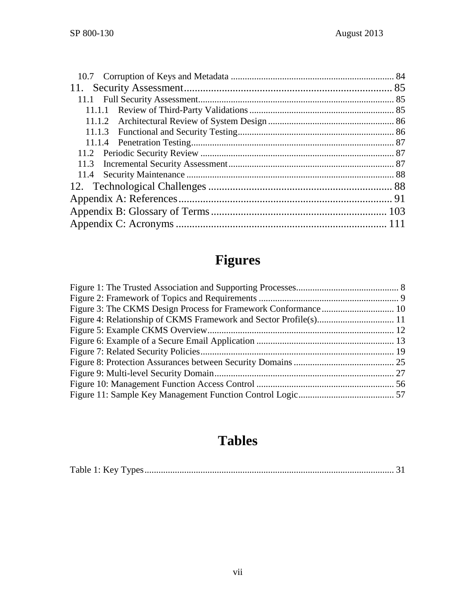# **Figures**

# **Tables**

|--|--|--|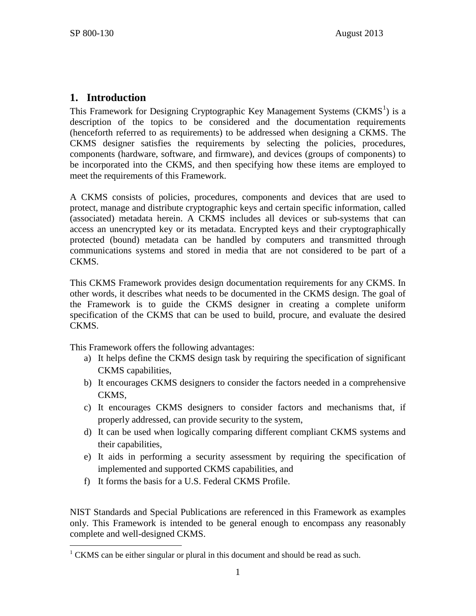# **1. Introduction**

This Framework for Designing Cryptographic Key Management Systems ( $CKMS<sup>1</sup>$  $CKMS<sup>1</sup>$  $CKMS<sup>1</sup>$ ) is a description of the topics to be considered and the documentation requirements (henceforth referred to as requirements) to be addressed when designing a CKMS. The CKMS designer satisfies the requirements by selecting the policies, procedures, components (hardware, software, and firmware), and devices (groups of components) to be incorporated into the CKMS, and then specifying how these items are employed to meet the requirements of this Framework.

A CKMS consists of policies, procedures, components and devices that are used to protect, manage and distribute cryptographic keys and certain specific information, called (associated) metadata herein. A CKMS includes all devices or sub-systems that can access an unencrypted key or its metadata. Encrypted keys and their cryptographically protected (bound) metadata can be handled by computers and transmitted through communications systems and stored in media that are not considered to be part of a CKMS.

This CKMS Framework provides design documentation requirements for any CKMS. In other words, it describes what needs to be documented in the CKMS design. The goal of the Framework is to guide the CKMS designer in creating a complete uniform specification of the CKMS that can be used to build, procure, and evaluate the desired CKMS.

This Framework offers the following advantages:

- a) It helps define the CKMS design task by requiring the specification of significant CKMS capabilities,
- b) It encourages CKMS designers to consider the factors needed in a comprehensive CKMS,
- c) It encourages CKMS designers to consider factors and mechanisms that, if properly addressed, can provide security to the system,
- d) It can be used when logically comparing different compliant CKMS systems and their capabilities,
- e) It aids in performing a security assessment by requiring the specification of implemented and supported CKMS capabilities, and
- f) It forms the basis for a U.S. Federal CKMS Profile.

NIST Standards and Special Publications are referenced in this Framework as examples only. This Framework is intended to be general enough to encompass any reasonably complete and well-designed CKMS.

<span id="page-8-0"></span> $1$  CKMS can be either singular or plural in this document and should be read as such.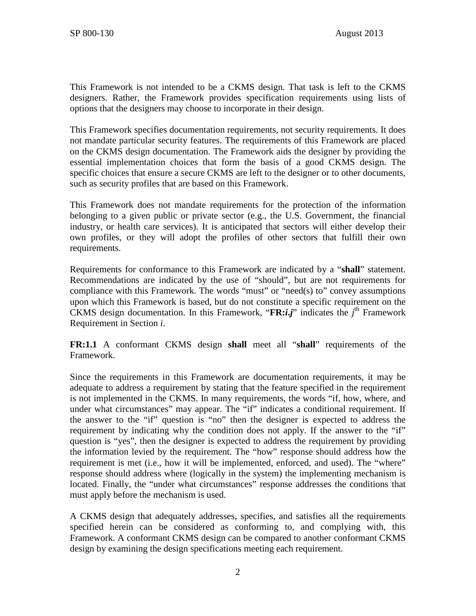This Framework is not intended to be a CKMS design. That task is left to the CKMS designers. Rather, the Framework provides specification requirements using lists of options that the designers may choose to incorporate in their design.

This Framework specifies documentation requirements, not security requirements. It does not mandate particular security features. The requirements of this Framework are placed on the CKMS design documentation. The Framework aids the designer by providing the essential implementation choices that form the basis of a good CKMS design. The specific choices that ensure a secure CKMS are left to the designer or to other documents, such as security profiles that are based on this Framework.

This Framework does not mandate requirements for the protection of the information belonging to a given public or private sector (e.g., the U.S. Government, the financial industry, or health care services). It is anticipated that sectors will either develop their own profiles, or they will adopt the profiles of other sectors that fulfill their own requirements.

Requirements for conformance to this Framework are indicated by a "**shall**" statement. Recommendations are indicated by the use of "should", but are not requirements for compliance with this Framework. The words "must" or "need(s) to" convey assumptions upon which this Framework is based, but do not constitute a specific requirement on the CKMS design documentation. In this Framework, "**FR:***i***.***j*" indicates the *j* th Framework Requirement in Section *i*.

**FR:1.1** A conformant CKMS design **shall** meet all "**shall**" requirements of the Framework.

Since the requirements in this Framework are documentation requirements, it may be adequate to address a requirement by stating that the feature specified in the requirement is not implemented in the CKMS. In many requirements, the words "if, how, where, and under what circumstances" may appear. The "if" indicates a conditional requirement. If the answer to the "if" question is "no" then the designer is expected to address the requirement by indicating why the condition does not apply. If the answer to the "if" question is "yes", then the designer is expected to address the requirement by providing the information levied by the requirement. The "how" response should address how the requirement is met (i.e., how it will be implemented, enforced, and used). The "where" response should address where (logically in the system) the implementing mechanism is located. Finally, the "under what circumstances" response addresses the conditions that must apply before the mechanism is used.

A CKMS design that adequately addresses, specifies, and satisfies all the requirements specified herein can be considered as conforming to, and complying with, this Framework. A conformant CKMS design can be compared to another conformant CKMS design by examining the design specifications meeting each requirement.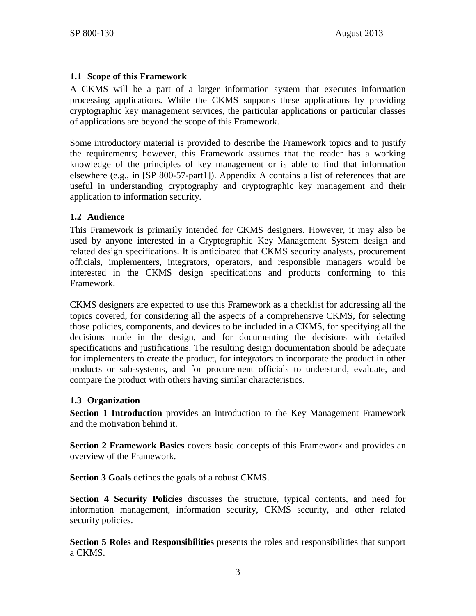## **1.1 Scope of this Framework**

A CKMS will be a part of a larger information system that executes information processing applications. While the CKMS supports these applications by providing cryptographic key management services, the particular applications or particular classes of applications are beyond the scope of this Framework.

Some introductory material is provided to describe the Framework topics and to justify the requirements; however, this Framework assumes that the reader has a working knowledge of the principles of key management or is able to find that information elsewhere (e.g., in [\[SP 800-57-part1\]\)](#page-106-0). Appendix A contains a list of references that are useful in understanding cryptography and cryptographic key management and their application to information security.

## **1.2 Audience**

This Framework is primarily intended for CKMS designers. However, it may also be used by anyone interested in a Cryptographic Key Management System design and related design specifications. It is anticipated that CKMS security analysts, procurement officials, implementers, integrators, operators, and responsible managers would be interested in the CKMS design specifications and products conforming to this Framework.

CKMS designers are expected to use this Framework as a checklist for addressing all the topics covered, for considering all the aspects of a comprehensive CKMS, for selecting those policies, components, and devices to be included in a CKMS, for specifying all the decisions made in the design, and for documenting the decisions with detailed specifications and justifications. The resulting design documentation should be adequate for implementers to create the product, for integrators to incorporate the product in other products or sub-systems, and for procurement officials to understand, evaluate, and compare the product with others having similar characteristics.

#### **1.3 Organization**

**Section 1 Introduction** provides an introduction to the Key Management Framework and the motivation behind it.

**Section 2 Framework Basics** covers basic concepts of this Framework and provides an overview of the Framework.

**Section 3 Goals** defines the goals of a robust CKMS.

**Section 4 Security Policies** discusses the structure, typical contents, and need for information management, information security, CKMS security, and other related security policies.

**Section 5 Roles and Responsibilities** presents the roles and responsibilities that support a CKMS.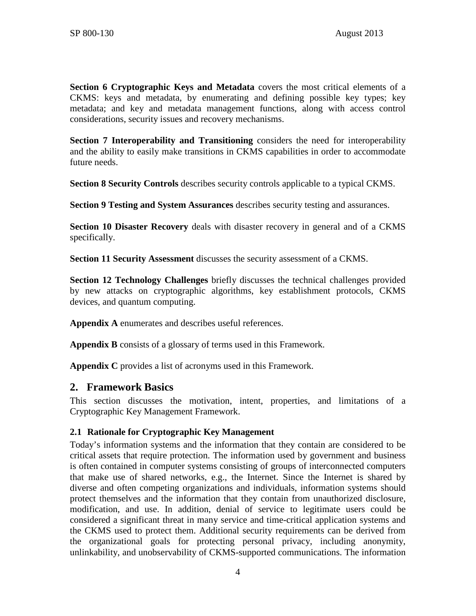**Section 6 Cryptographic Keys and Metadata** covers the most critical elements of a CKMS: keys and metadata, by enumerating and defining possible key types; key metadata; and key and metadata management functions, along with access control considerations, security issues and recovery mechanisms.

**Section 7 Interoperability and Transitioning** considers the need for interoperability and the ability to easily make transitions in CKMS capabilities in order to accommodate future needs.

**Section 8 Security Controls** describes security controls applicable to a typical CKMS.

**Section 9 Testing and System Assurances** describes security testing and assurances.

**Section 10 Disaster Recovery** deals with disaster recovery in general and of a CKMS specifically.

**Section 11 Security Assessment** discusses the security assessment of a CKMS.

**Section 12 Technology Challenges** briefly discusses the technical challenges provided by new attacks on cryptographic algorithms, key establishment protocols, CKMS devices, and quantum computing.

**Appendix A** enumerates and describes useful references.

**Appendix B** consists of a glossary of terms used in this Framework.

**Appendix C** provides a list of acronyms used in this Framework.

## **2. Framework Basics**

This section discusses the motivation, intent, properties, and limitations of a Cryptographic Key Management Framework.

## <span id="page-11-0"></span>**2.1 Rationale for Cryptographic Key Management**

Today's information systems and the information that they contain are considered to be critical assets that require protection. The information used by government and business is often contained in computer systems consisting of groups of interconnected computers that make use of shared networks, e.g., the Internet. Since the Internet is shared by diverse and often competing organizations and individuals, information systems should protect themselves and the information that they contain from unauthorized disclosure, modification, and use. In addition, denial of service to legitimate users could be considered a significant threat in many service and time-critical application systems and the CKMS used to protect them. Additional security requirements can be derived from the organizational goals for protecting personal privacy, including anonymity, unlinkability, and unobservability of CKMS-supported communications. The information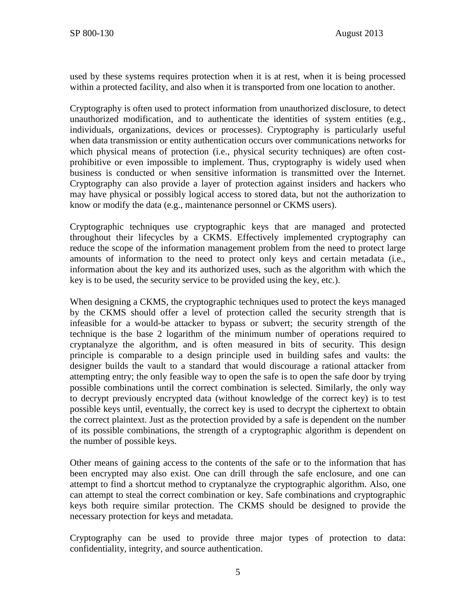used by these systems requires protection when it is at rest, when it is being processed within a protected facility, and also when it is transported from one location to another.

Cryptography is often used to protect information from unauthorized disclosure, to detect unauthorized modification, and to authenticate the identities of system entities (e.g., individuals, organizations, devices or processes). Cryptography is particularly useful when data transmission or entity authentication occurs over communications networks for which physical means of protection (i.e., physical security techniques) are often costprohibitive or even impossible to implement. Thus, cryptography is widely used when business is conducted or when sensitive information is transmitted over the Internet. Cryptography can also provide a layer of protection against insiders and hackers who may have physical or possibly logical access to stored data, but not the authorization to know or modify the data (e.g., maintenance personnel or CKMS users).

Cryptographic techniques use cryptographic keys that are managed and protected throughout their lifecycles by a CKMS. Effectively implemented cryptography can reduce the scope of the information management problem from the need to protect large amounts of information to the need to protect only keys and certain metadata (i.e., information about the key and its authorized uses, such as the algorithm with which the key is to be used, the security service to be provided using the key, etc.).

When designing a CKMS, the cryptographic techniques used to protect the keys managed by the CKMS should offer a level of protection called the security strength that is infeasible for a would-be attacker to bypass or subvert; the security strength of the technique is the base 2 logarithm of the minimum number of operations required to cryptanalyze the algorithm, and is often measured in bits of security. This design principle is comparable to a design principle used in building safes and vaults: the designer builds the vault to a standard that would discourage a rational attacker from attempting entry; the only feasible way to open the safe is to open the safe door by trying possible combinations until the correct combination is selected. Similarly, the only way to decrypt previously encrypted data (without knowledge of the correct key) is to test possible keys until, eventually, the correct key is used to decrypt the ciphertext to obtain the correct plaintext. Just as the protection provided by a safe is dependent on the number of its possible combinations, the strength of a cryptographic algorithm is dependent on the number of possible keys.

Other means of gaining access to the contents of the safe or to the information that has been encrypted may also exist. One can drill through the safe enclosure, and one can attempt to find a shortcut method to cryptanalyze the cryptographic algorithm. Also, one can attempt to steal the correct combination or key. Safe combinations and cryptographic keys both require similar protection. The CKMS should be designed to provide the necessary protection for keys and metadata.

Cryptography can be used to provide three major types of protection to data: confidentiality, integrity, and source authentication.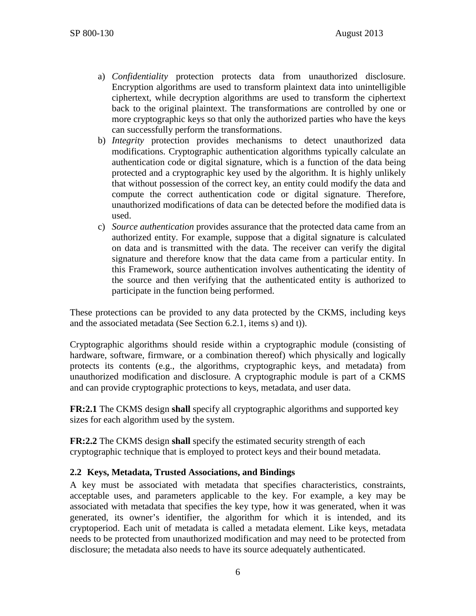- a) *Confidentiality* protection protects data from unauthorized disclosure. Encryption algorithms are used to transform plaintext data into unintelligible ciphertext, while decryption algorithms are used to transform the ciphertext back to the original plaintext. The transformations are controlled by one or more cryptographic keys so that only the authorized parties who have the keys can successfully perform the transformations.
- b) *Integrity* protection provides mechanisms to detect unauthorized data modifications. Cryptographic authentication algorithms typically calculate an authentication code or digital signature, which is a function of the data being protected and a cryptographic key used by the algorithm. It is highly unlikely that without possession of the correct key, an entity could modify the data and compute the correct authentication code or digital signature. Therefore, unauthorized modifications of data can be detected before the modified data is used.
- c) *Source authentication* provides assurance that the protected data came from an authorized entity. For example, suppose that a digital signature is calculated on data and is transmitted with the data. The receiver can verify the digital signature and therefore know that the data came from a particular entity. In this Framework, source authentication involves authenticating the identity of the source and then verifying that the authenticated entity is authorized to participate in the function being performed.

These protections can be provided to any data protected by the CKMS, including keys and the associated metadata (See Section [6.2.1,](#page-39-0) items [s\)](#page-41-0) and [t\)\)](#page-42-0).

Cryptographic algorithms should reside within a cryptographic module (consisting of hardware, software, firmware, or a combination thereof) which physically and logically protects its contents (e.g., the algorithms, cryptographic keys, and metadata) from unauthorized modification and disclosure. A cryptographic module is part of a CKMS and can provide cryptographic protections to keys, metadata, and user data.

<span id="page-13-0"></span>**FR:2.1** The CKMS design **shall** specify all cryptographic algorithms and supported key sizes for each algorithm used by the system.

**FR:2.2** The CKMS design **shall** specify the estimated security strength of each cryptographic technique that is employed to protect keys and their bound metadata.

## **2.2 Keys, Metadata, Trusted Associations, and Bindings**

A key must be associated with metadata that specifies characteristics, constraints, acceptable uses, and parameters applicable to the key. For example, a key may be associated with metadata that specifies the key type, how it was generated, when it was generated, its owner's identifier, the algorithm for which it is intended, and its cryptoperiod. Each unit of metadata is called a metadata element. Like keys, metadata needs to be protected from unauthorized modification and may need to be protected from disclosure; the metadata also needs to have its source adequately authenticated.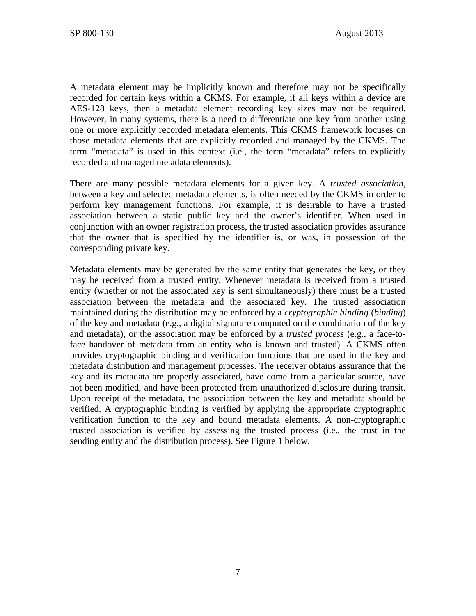A metadata element may be implicitly known and therefore may not be specifically recorded for certain keys within a CKMS. For example, if all keys within a device are AES-128 keys, then a metadata element recording key sizes may not be required. However, in many systems, there is a need to differentiate one key from another using one or more explicitly recorded metadata elements. This CKMS framework focuses on those metadata elements that are explicitly recorded and managed by the CKMS. The term "metadata" is used in this context (i.e., the term "metadata" refers to explicitly recorded and managed metadata elements).

There are many possible metadata elements for a given key. A *trusted association,* between a key and selected metadata elements, is often needed by the CKMS in order to perform key management functions. For example, it is desirable to have a trusted association between a static public key and the owner's identifier. When used in conjunction with an owner registration process, the trusted association provides assurance that the owner that is specified by the identifier is, or was, in possession of the corresponding private key.

Metadata elements may be generated by the same entity that generates the key, or they may be received from a trusted entity. Whenever metadata is received from a trusted entity (whether or not the associated key is sent simultaneously) there must be a trusted association between the metadata and the associated key. The trusted association maintained during the distribution may be enforced by a *cryptographic binding* (*binding*) of the key and metadata (e.g., a digital signature computed on the combination of the key and metadata), or the association may be enforced by a *trusted process* (e.g., a face-toface handover of metadata from an entity who is known and trusted). A CKMS often provides cryptographic binding and verification functions that are used in the key and metadata distribution and management processes. The receiver obtains assurance that the key and its metadata are properly associated, have come from a particular source, have not been modified, and have been protected from unauthorized disclosure during transit. Upon receipt of the metadata, the association between the key and metadata should be verified. A cryptographic binding is verified by applying the appropriate cryptographic verification function to the key and bound metadata elements. A non-cryptographic trusted association is verified by assessing the trusted process (i.e., the trust in the sending entity and the distribution process). See [Figure 1](#page-15-0) below.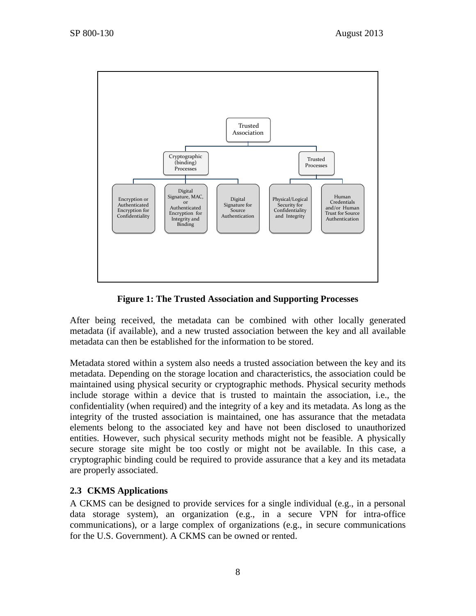

**Figure 1: The Trusted Association and Supporting Processes**

<span id="page-15-0"></span>After being received, the metadata can be combined with other locally generated metadata (if available), and a new trusted association between the key and all available metadata can then be established for the information to be stored.

Metadata stored within a system also needs a trusted association between the key and its metadata. Depending on the storage location and characteristics, the association could be maintained using physical security or cryptographic methods. Physical security methods include storage within a device that is trusted to maintain the association, i.e., the confidentiality (when required) and the integrity of a key and its metadata. As long as the integrity of the trusted association is maintained, one has assurance that the metadata elements belong to the associated key and have not been disclosed to unauthorized entities. However, such physical security methods might not be feasible. A physically secure storage site might be too costly or might not be available. In this case, a cryptographic binding could be required to provide assurance that a key and its metadata are properly associated.

# **2.3 CKMS Applications**

A CKMS can be designed to provide services for a single individual (e.g., in a personal data storage system), an organization (e.g., in a secure VPN for intra-office communications), or a large complex of organizations (e.g., in secure communications for the U.S. Government). A CKMS can be owned or rented.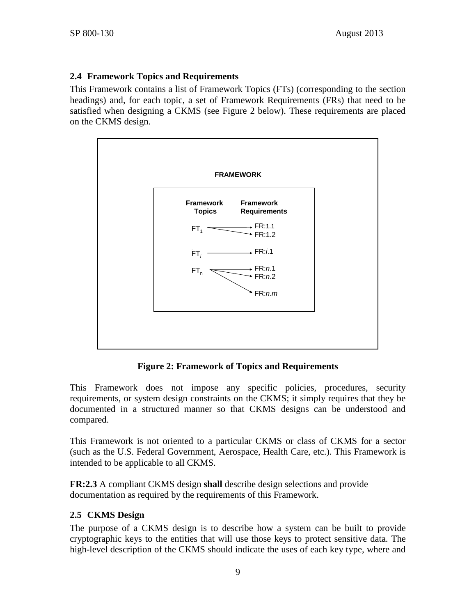# **2.4 Framework Topics and Requirements**

This Framework contains a list of Framework Topics (FTs) (corresponding to the section headings) and, for each topic, a set of Framework Requirements (FRs) that need to be satisfied when designing a CKMS (see [Figure 2](#page-16-0) below). These requirements are placed on the CKMS design.



**Figure 2: Framework of Topics and Requirements**

<span id="page-16-0"></span>This Framework does not impose any specific policies, procedures, security requirements, or system design constraints on the CKMS; it simply requires that they be documented in a structured manner so that CKMS designs can be understood and compared.

This Framework is not oriented to a particular CKMS or class of CKMS for a sector (such as the U.S. Federal Government, Aerospace, Health Care, etc.). This Framework is intended to be applicable to all CKMS.

**FR:2.3** A compliant CKMS design **shall** describe design selections and provide documentation as required by the requirements of this Framework.

# **2.5 CKMS Design**

The purpose of a CKMS design is to describe how a system can be built to provide cryptographic keys to the entities that will use those keys to protect sensitive data. The high-level description of the CKMS should indicate the uses of each key type, where and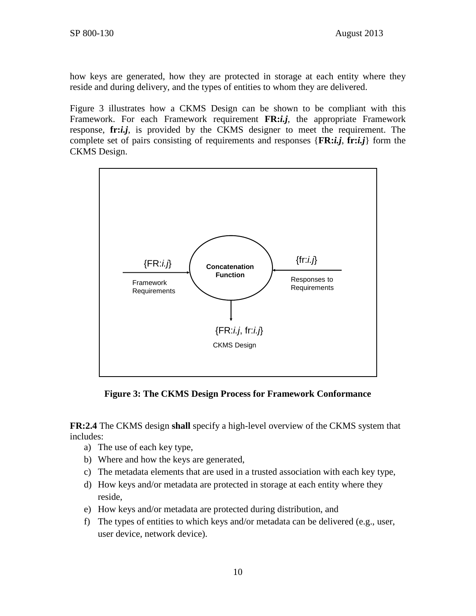how keys are generated, how they are protected in storage at each entity where they reside and during delivery, and the types of entities to whom they are delivered.

[Figure 3](#page-17-0) illustrates how a CKMS Design can be shown to be compliant with this Framework. For each Framework requirement **FR:***i.j*, the appropriate Framework response, **fr:***i.j*, is provided by the CKMS designer to meet the requirement. The complete set of pairs consisting of requirements and responses {**FR:***i.j*, **fr:***i.j*} form the CKMS Design.



**Figure 3: The CKMS Design Process for Framework Conformance**

<span id="page-17-0"></span>**FR:2.4** The CKMS design **shall** specify a high-level overview of the CKMS system that includes:

- a) The use of each key type,
- b) Where and how the keys are generated,
- c) The metadata elements that are used in a trusted association with each key type,
- d) How keys and/or metadata are protected in storage at each entity where they reside,
- e) How keys and/or metadata are protected during distribution, and
- f) The types of entities to which keys and/or metadata can be delivered (e.g., user, user device, network device).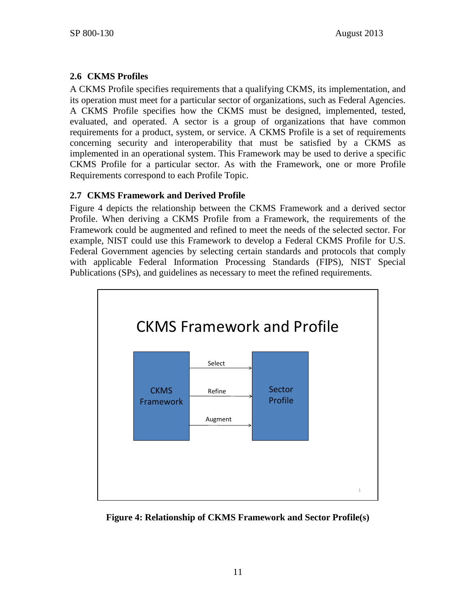# **2.6 CKMS Profiles**

A CKMS Profile specifies requirements that a qualifying CKMS, its implementation, and its operation must meet for a particular sector of organizations, such as Federal Agencies. A CKMS Profile specifies how the CKMS must be designed, implemented, tested, evaluated, and operated. A sector is a group of organizations that have common requirements for a product, system, or service. A CKMS Profile is a set of requirements concerning security and interoperability that must be satisfied by a CKMS as implemented in an operational system. This Framework may be used to derive a specific CKMS Profile for a particular sector. As with the Framework, one or more Profile Requirements correspond to each Profile Topic.

# **2.7 CKMS Framework and Derived Profile**

[Figure 4](#page-18-0) depicts the relationship between the CKMS Framework and a derived sector Profile. When deriving a CKMS Profile from a Framework, the requirements of the Framework could be augmented and refined to meet the needs of the selected sector. For example, NIST could use this Framework to develop a Federal CKMS Profile for U.S. Federal Government agencies by selecting certain standards and protocols that comply with applicable Federal Information Processing Standards (FIPS), NIST Special Publications (SPs), and guidelines as necessary to meet the refined requirements.



<span id="page-18-0"></span>**Figure 4: Relationship of CKMS Framework and Sector Profile(s)**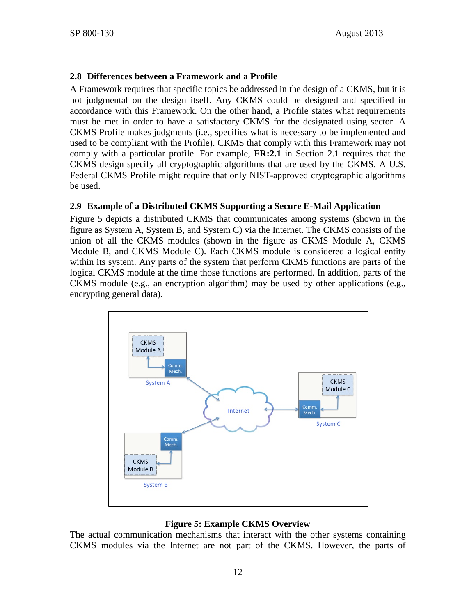## **2.8 Differences between a Framework and a Profile**

A Framework requires that specific topics be addressed in the design of a CKMS, but it is not judgmental on the design itself. Any CKMS could be designed and specified in accordance with this Framework. On the other hand, a Profile states what requirements must be met in order to have a satisfactory CKMS for the designated using sector. A CKMS Profile makes judgments (i.e., specifies what is necessary to be implemented and used to be compliant with the Profile). CKMS that comply with this Framework may not comply with a particular profile. For example, **[FR:2.1](#page-13-0)** in Section [2.1](#page-11-0) requires that the CKMS design specify all cryptographic algorithms that are used by the CKMS. A U.S. Federal CKMS Profile might require that only NIST-approved cryptographic algorithms be used.

## **2.9 Example of a Distributed CKMS Supporting a Secure E-Mail Application**

Figure 5 depicts a distributed CKMS that communicates among systems (shown in the figure as System A, System B, and System C) via the Internet. The CKMS consists of the union of all the CKMS modules (shown in the figure as CKMS Module A, CKMS Module B, and CKMS Module C). Each CKMS module is considered a logical entity within its system. Any parts of the system that perform CKMS functions are parts of the logical CKMS module at the time those functions are performed. In addition, parts of the CKMS module (e.g., an encryption algorithm) may be used by other applications (e.g., encrypting general data).



# **Figure 5: Example CKMS Overview**

The actual communication mechanisms that interact with the other systems containing CKMS modules via the Internet are not part of the CKMS. However, the parts of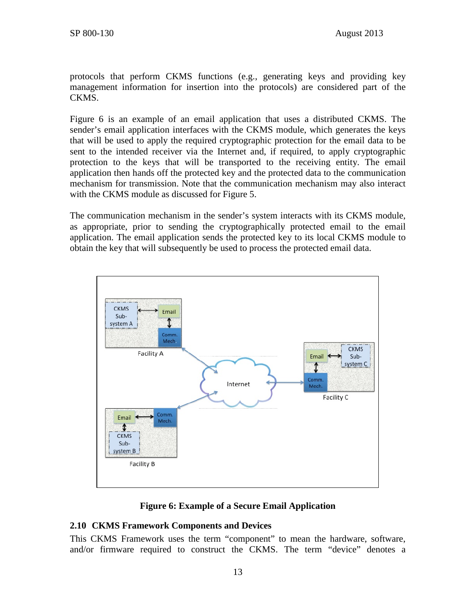protocols that perform CKMS functions (e.g., generating keys and providing key management information for insertion into the protocols) are considered part of the CKMS.

[Figure 6](#page-20-0) is an example of an email application that uses a distributed CKMS. The sender's email application interfaces with the CKMS module, which generates the keys that will be used to apply the required cryptographic protection for the email data to be sent to the intended receiver via the Internet and, if required, to apply cryptographic protection to the keys that will be transported to the receiving entity. The email application then hands off the protected key and the protected data to the communication mechanism for transmission. Note that the communication mechanism may also interact with the CKMS module as discussed for Figure 5.

The communication mechanism in the sender's system interacts with its CKMS module, as appropriate, prior to sending the cryptographically protected email to the email application. The email application sends the protected key to its local CKMS module to obtain the key that will subsequently be used to process the protected email data.



## **Figure 6: Example of a Secure Email Application**

## <span id="page-20-0"></span>**2.10 CKMS Framework Components and Devices**

This CKMS Framework uses the term "component" to mean the hardware, software, and/or firmware required to construct the CKMS. The term "device" denotes a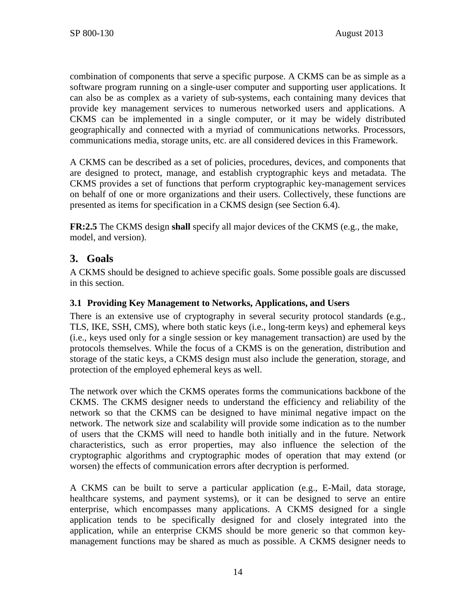combination of components that serve a specific purpose. A CKMS can be as simple as a software program running on a single-user computer and supporting user applications. It can also be as complex as a variety of sub-systems, each containing many devices that provide key management services to numerous networked users and applications. A CKMS can be implemented in a single computer, or it may be widely distributed geographically and connected with a myriad of communications networks. Processors, communications media, storage units, etc. are all considered devices in this Framework.

A CKMS can be described as a set of policies, procedures, devices, and components that are designed to protect, manage, and establish cryptographic keys and metadata. The CKMS provides a set of functions that perform cryptographic key-management services on behalf of one or more organizations and their users. Collectively, these functions are presented as items for specification in a CKMS design (see Section [6.4\)](#page-46-0).

**FR:2.5** The CKMS design **shall** specify all major devices of the CKMS (e.g., the make, model, and version).

# **3. Goals**

A CKMS should be designed to achieve specific goals. Some possible goals are discussed in this section.

# **3.1 Providing Key Management to Networks, Applications, and Users**

There is an extensive use of cryptography in several security protocol standards (e.g., TLS, IKE, SSH, CMS), where both static keys (i.e., long-term keys) and ephemeral keys (i.e., keys used only for a single session or key management transaction) are used by the protocols themselves. While the focus of a CKMS is on the generation, distribution and storage of the static keys, a CKMS design must also include the generation, storage, and protection of the employed ephemeral keys as well.

The network over which the CKMS operates forms the communications backbone of the CKMS. The CKMS designer needs to understand the efficiency and reliability of the network so that the CKMS can be designed to have minimal negative impact on the network. The network size and scalability will provide some indication as to the number of users that the CKMS will need to handle both initially and in the future. Network characteristics, such as error properties, may also influence the selection of the cryptographic algorithms and cryptographic modes of operation that may extend (or worsen) the effects of communication errors after decryption is performed.

A CKMS can be built to serve a particular application (e.g., E-Mail, data storage, healthcare systems, and payment systems), or it can be designed to serve an entire enterprise, which encompasses many applications. A CKMS designed for a single application tends to be specifically designed for and closely integrated into the application, while an enterprise CKMS should be more generic so that common keymanagement functions may be shared as much as possible. A CKMS designer needs to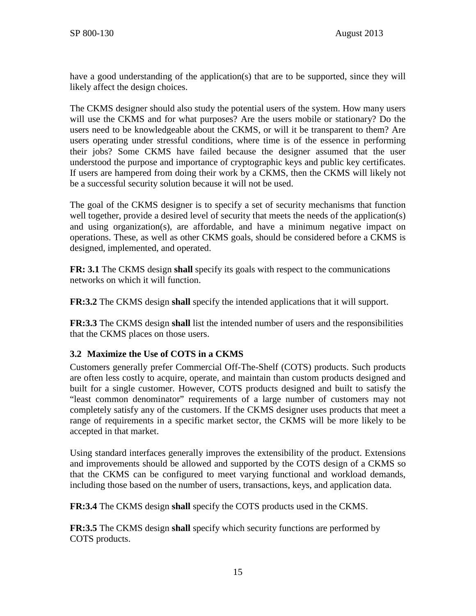have a good understanding of the application(s) that are to be supported, since they will likely affect the design choices.

The CKMS designer should also study the potential users of the system. How many users will use the CKMS and for what purposes? Are the users mobile or stationary? Do the users need to be knowledgeable about the CKMS, or will it be transparent to them? Are users operating under stressful conditions, where time is of the essence in performing their jobs? Some CKMS have failed because the designer assumed that the user understood the purpose and importance of cryptographic keys and public key certificates. If users are hampered from doing their work by a CKMS, then the CKMS will likely not be a successful security solution because it will not be used.

The goal of the CKMS designer is to specify a set of security mechanisms that function well together, provide a desired level of security that meets the needs of the application(s) and using organization(s), are affordable, and have a minimum negative impact on operations. These, as well as other CKMS goals, should be considered before a CKMS is designed, implemented, and operated.

**FR: 3.1** The CKMS design **shall** specify its goals with respect to the communications networks on which it will function.

**FR:3.2** The CKMS design **shall** specify the intended applications that it will support.

**FR:3.3** The CKMS design **shall** list the intended number of users and the responsibilities that the CKMS places on those users.

# **3.2 Maximize the Use of COTS in a CKMS**

Customers generally prefer Commercial Off-The-Shelf (COTS) products. Such products are often less costly to acquire, operate, and maintain than custom products designed and built for a single customer. However, COTS products designed and built to satisfy the "least common denominator" requirements of a large number of customers may not completely satisfy any of the customers. If the CKMS designer uses products that meet a range of requirements in a specific market sector, the CKMS will be more likely to be accepted in that market.

Using standard interfaces generally improves the extensibility of the product. Extensions and improvements should be allowed and supported by the COTS design of a CKMS so that the CKMS can be configured to meet varying functional and workload demands, including those based on the number of users, transactions, keys, and application data.

**FR:3.4** The CKMS design **shall** specify the COTS products used in the CKMS.

**FR:3.5** The CKMS design **shall** specify which security functions are performed by COTS products.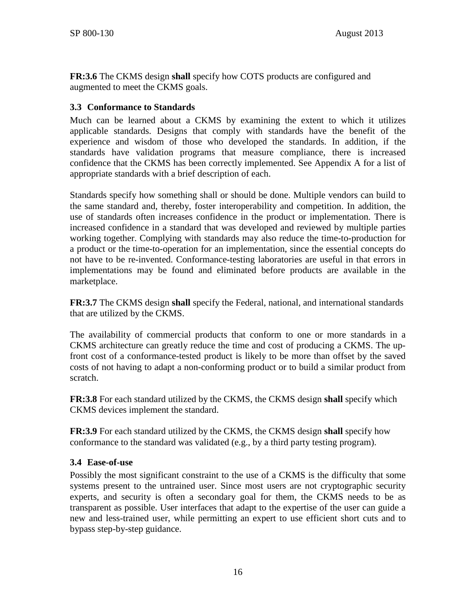**FR:3.6** The CKMS design **shall** specify how COTS products are configured and augmented to meet the CKMS goals.

## **3.3 Conformance to Standards**

Much can be learned about a CKMS by examining the extent to which it utilizes applicable standards. Designs that comply with standards have the benefit of the experience and wisdom of those who developed the standards. In addition, if the standards have validation programs that measure compliance, there is increased confidence that the CKMS has been correctly implemented. See Appendix A for a list of appropriate standards with a brief description of each.

Standards specify how something shall or should be done. Multiple vendors can build to the same standard and, thereby, foster interoperability and competition. In addition, the use of standards often increases confidence in the product or implementation. There is increased confidence in a standard that was developed and reviewed by multiple parties working together. Complying with standards may also reduce the time-to-production for a product or the time-to-operation for an implementation, since the essential concepts do not have to be re-invented. Conformance-testing laboratories are useful in that errors in implementations may be found and eliminated before products are available in the marketplace.

**FR:3.7** The CKMS design **shall** specify the Federal, national, and international standards that are utilized by the CKMS.

The availability of commercial products that conform to one or more standards in a CKMS architecture can greatly reduce the time and cost of producing a CKMS. The upfront cost of a conformance-tested product is likely to be more than offset by the saved costs of not having to adapt a non-conforming product or to build a similar product from scratch.

**FR:3.8** For each standard utilized by the CKMS, the CKMS design **shall** specify which CKMS devices implement the standard.

**FR:3.9** For each standard utilized by the CKMS, the CKMS design **shall** specify how conformance to the standard was validated (e.g., by a third party testing program).

## **3.4 Ease-of-use**

Possibly the most significant constraint to the use of a CKMS is the difficulty that some systems present to the untrained user. Since most users are not cryptographic security experts, and security is often a secondary goal for them, the CKMS needs to be as transparent as possible. User interfaces that adapt to the expertise of the user can guide a new and less-trained user, while permitting an expert to use efficient short cuts and to bypass step-by-step guidance.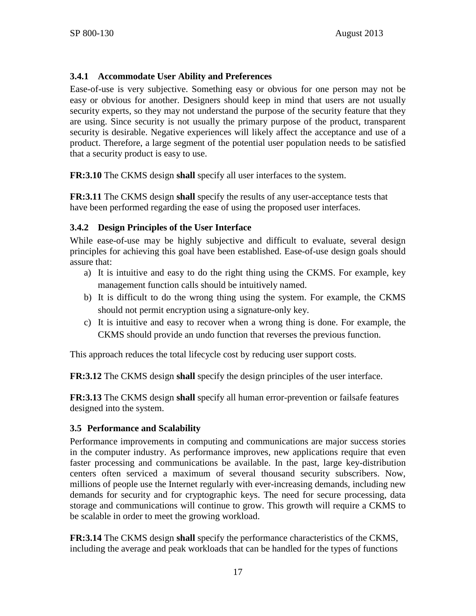## **3.4.1 Accommodate User Ability and Preferences**

Ease-of-use is very subjective. Something easy or obvious for one person may not be easy or obvious for another. Designers should keep in mind that users are not usually security experts, so they may not understand the purpose of the security feature that they are using. Since security is not usually the primary purpose of the product, transparent security is desirable. Negative experiences will likely affect the acceptance and use of a product. Therefore, a large segment of the potential user population needs to be satisfied that a security product is easy to use.

**FR:3.10** The CKMS design **shall** specify all user interfaces to the system.

**FR:3.11** The CKMS design **shall** specify the results of any user-acceptance tests that have been performed regarding the ease of using the proposed user interfaces.

# **3.4.2 Design Principles of the User Interface**

While ease-of-use may be highly subjective and difficult to evaluate, several design principles for achieving this goal have been established. Ease-of-use design goals should assure that:

- a) It is intuitive and easy to do the right thing using the CKMS. For example, key management function calls should be intuitively named.
- b) It is difficult to do the wrong thing using the system. For example, the CKMS should not permit encryption using a signature-only key.
- c) It is intuitive and easy to recover when a wrong thing is done. For example, the CKMS should provide an undo function that reverses the previous function.

This approach reduces the total lifecycle cost by reducing user support costs.

**FR:3.12** The CKMS design **shall** specify the design principles of the user interface.

**FR:3.13** The CKMS design **shall** specify all human error-prevention or failsafe features designed into the system.

# **3.5 Performance and Scalability**

Performance improvements in computing and communications are major success stories in the computer industry. As performance improves, new applications require that even faster processing and communications be available. In the past, large key-distribution centers often serviced a maximum of several thousand security subscribers. Now, millions of people use the Internet regularly with ever-increasing demands, including new demands for security and for cryptographic keys. The need for secure processing, data storage and communications will continue to grow. This growth will require a CKMS to be scalable in order to meet the growing workload.

**FR:3.14** The CKMS design **shall** specify the performance characteristics of the CKMS, including the average and peak workloads that can be handled for the types of functions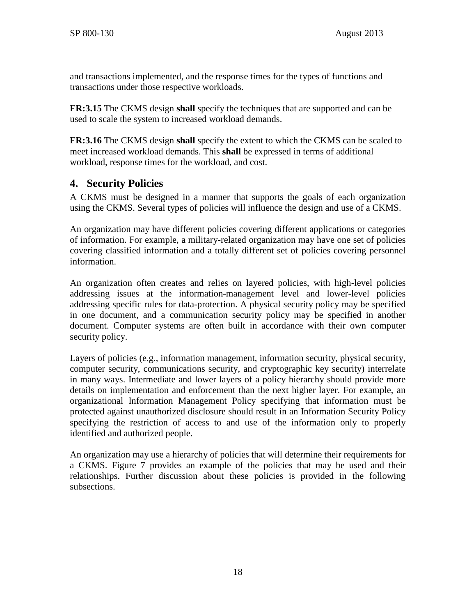and transactions implemented, and the response times for the types of functions and transactions under those respective workloads.

**FR:3.15** The CKMS design **shall** specify the techniques that are supported and can be used to scale the system to increased workload demands.

**FR:3.16** The CKMS design **shall** specify the extent to which the CKMS can be scaled to meet increased workload demands. This **shall** be expressed in terms of additional workload, response times for the workload, and cost.

# **4. Security Policies**

A CKMS must be designed in a manner that supports the goals of each organization using the CKMS. Several types of policies will influence the design and use of a CKMS.

An organization may have different policies covering different applications or categories of information. For example, a military-related organization may have one set of policies covering classified information and a totally different set of policies covering personnel information.

An organization often creates and relies on layered policies, with high-level policies addressing issues at the information-management level and lower-level policies addressing specific rules for data-protection. A physical security policy may be specified in one document, and a communication security policy may be specified in another document. Computer systems are often built in accordance with their own computer security policy.

Layers of policies (e.g., information management, information security, physical security, computer security, communications security, and cryptographic key security) interrelate in many ways. Intermediate and lower layers of a policy hierarchy should provide more details on implementation and enforcement than the next higher layer. For example, an organizational Information Management Policy specifying that information must be protected against unauthorized disclosure should result in an Information Security Policy specifying the restriction of access to and use of the information only to properly identified and authorized people.

An organization may use a hierarchy of policies that will determine their requirements for a CKMS. Figure 7 provides an example of the policies that may be used and their relationships. Further discussion about these policies is provided in the following subsections.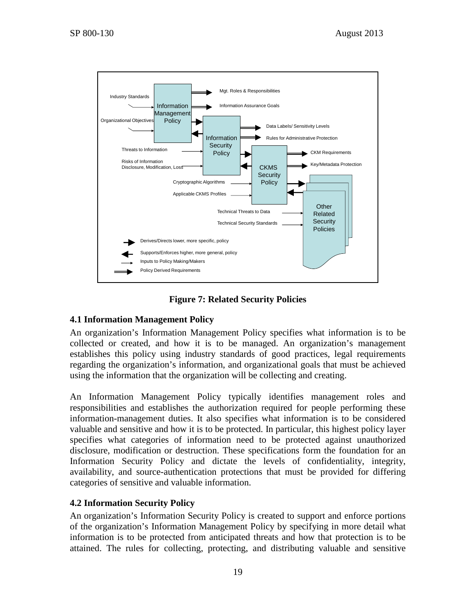

**Figure 7: Related Security Policies**

# **4.1 Information Management Policy**

An organization's Information Management Policy specifies what information is to be collected or created, and how it is to be managed. An organization's management establishes this policy using industry standards of good practices, legal requirements regarding the organization's information, and organizational goals that must be achieved using the information that the organization will be collecting and creating.

An Information Management Policy typically identifies management roles and responsibilities and establishes the authorization required for people performing these information-management duties. It also specifies what information is to be considered valuable and sensitive and how it is to be protected. In particular, this highest policy layer specifies what categories of information need to be protected against unauthorized disclosure, modification or destruction. These specifications form the foundation for an Information Security Policy and dictate the levels of confidentiality, integrity, availability, and source-authentication protections that must be provided for differing categories of sensitive and valuable information.

## **4.2 Information Security Policy**

An organization's Information Security Policy is created to support and enforce portions of the organization's Information Management Policy by specifying in more detail what information is to be protected from anticipated threats and how that protection is to be attained. The rules for collecting, protecting, and distributing valuable and sensitive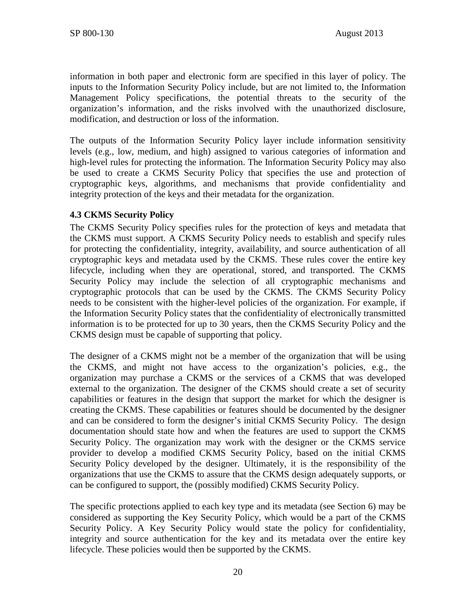information in both paper and electronic form are specified in this layer of policy. The inputs to the Information Security Policy include, but are not limited to, the Information Management Policy specifications, the potential threats to the security of the organization's information, and the risks involved with the unauthorized disclosure, modification, and destruction or loss of the information.

The outputs of the Information Security Policy layer include information sensitivity levels (e.g., low, medium, and high) assigned to various categories of information and high-level rules for protecting the information. The Information Security Policy may also be used to create a CKMS Security Policy that specifies the use and protection of cryptographic keys, algorithms, and mechanisms that provide confidentiality and integrity protection of the keys and their metadata for the organization.

## **4.3 CKMS Security Policy**

The CKMS Security Policy specifies rules for the protection of keys and metadata that the CKMS must support. A CKMS Security Policy needs to establish and specify rules for protecting the confidentiality, integrity, availability, and source authentication of all cryptographic keys and metadata used by the CKMS. These rules cover the entire key lifecycle, including when they are operational, stored, and transported. The CKMS Security Policy may include the selection of all cryptographic mechanisms and cryptographic protocols that can be used by the CKMS. The CKMS Security Policy needs to be consistent with the higher-level policies of the organization. For example, if the Information Security Policy states that the confidentiality of electronically transmitted information is to be protected for up to 30 years, then the CKMS Security Policy and the CKMS design must be capable of supporting that policy.

The designer of a CKMS might not be a member of the organization that will be using the CKMS, and might not have access to the organization's policies, e.g., the organization may purchase a CKMS or the services of a CKMS that was developed external to the organization. The designer of the CKMS should create a set of security capabilities or features in the design that support the market for which the designer is creating the CKMS. These capabilities or features should be documented by the designer and can be considered to form the designer's initial CKMS Security Policy. The design documentation should state how and when the features are used to support the CKMS Security Policy. The organization may work with the designer or the CKMS service provider to develop a modified CKMS Security Policy, based on the initial CKMS Security Policy developed by the designer. Ultimately, it is the responsibility of the organizations that use the CKMS to assure that the CKMS design adequately supports, or can be configured to support, the (possibly modified) CKMS Security Policy.

The specific protections applied to each key type and its metadata (see Section [6\)](#page-38-0) may be considered as supporting the Key Security Policy, which would be a part of the CKMS Security Policy. A Key Security Policy would state the policy for confidentiality, integrity and source authentication for the key and its metadata over the entire key lifecycle. These policies would then be supported by the CKMS.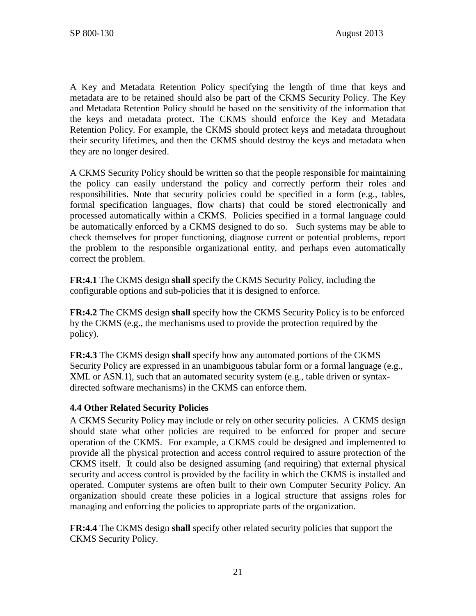A Key and Metadata Retention Policy specifying the length of time that keys and metadata are to be retained should also be part of the CKMS Security Policy. The Key and Metadata Retention Policy should be based on the sensitivity of the information that the keys and metadata protect. The CKMS should enforce the Key and Metadata Retention Policy. For example, the CKMS should protect keys and metadata throughout their security lifetimes, and then the CKMS should destroy the keys and metadata when they are no longer desired.

A CKMS Security Policy should be written so that the people responsible for maintaining the policy can easily understand the policy and correctly perform their roles and responsibilities. Note that security policies could be specified in a form (e.g., tables, formal specification languages, flow charts) that could be stored electronically and processed automatically within a CKMS. Policies specified in a formal language could be automatically enforced by a CKMS designed to do so. Such systems may be able to check themselves for proper functioning, diagnose current or potential problems, report the problem to the responsible organizational entity, and perhaps even automatically correct the problem.

**FR:4.1** The CKMS design **shall** specify the CKMS Security Policy, including the configurable options and sub-policies that it is designed to enforce.

**FR:4.2** The CKMS design **shall** specify how the CKMS Security Policy is to be enforced by the CKMS (e.g., the mechanisms used to provide the protection required by the policy).

**FR:4.3** The CKMS design **shall** specify how any automated portions of the CKMS Security Policy are expressed in an unambiguous tabular form or a formal language (e.g., XML or ASN.1), such that an automated security system (e.g., table driven or syntaxdirected software mechanisms) in the CKMS can enforce them.

## **4.4 Other Related Security Policies**

A CKMS Security Policy may include or rely on other security policies. A CKMS design should state what other policies are required to be enforced for proper and secure operation of the CKMS. For example, a CKMS could be designed and implemented to provide all the physical protection and access control required to assure protection of the CKMS itself. It could also be designed assuming (and requiring) that external physical security and access control is provided by the facility in which the CKMS is installed and operated. Computer systems are often built to their own Computer Security Policy. An organization should create these policies in a logical structure that assigns roles for managing and enforcing the policies to appropriate parts of the organization.

**FR:4.4** The CKMS design **shall** specify other related security policies that support the CKMS Security Policy.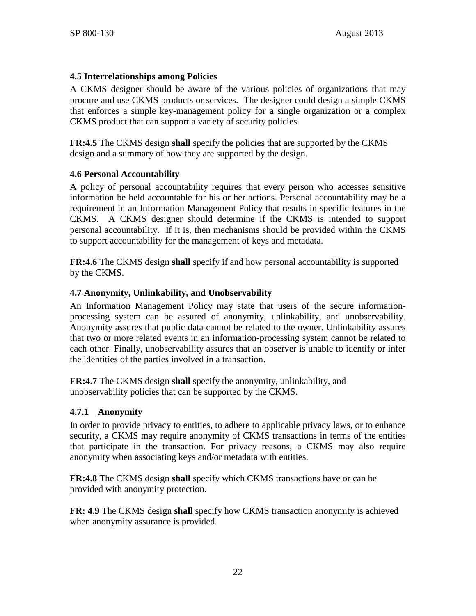## **4.5 Interrelationships among Policies**

A CKMS designer should be aware of the various policies of organizations that may procure and use CKMS products or services. The designer could design a simple CKMS that enforces a simple key-management policy for a single organization or a complex CKMS product that can support a variety of security policies.

**FR:4.5** The CKMS design **shall** specify the policies that are supported by the CKMS design and a summary of how they are supported by the design.

## **4.6 Personal Accountability**

A policy of personal accountability requires that every person who accesses sensitive information be held accountable for his or her actions. Personal accountability may be a requirement in an Information Management Policy that results in specific features in the CKMS. A CKMS designer should determine if the CKMS is intended to support personal accountability. If it is, then mechanisms should be provided within the CKMS to support accountability for the management of keys and metadata.

**FR:4.6** The CKMS design **shall** specify if and how personal accountability is supported by the CKMS.

# **4.7 Anonymity, Unlinkability, and Unobservability**

An Information Management Policy may state that users of the secure informationprocessing system can be assured of anonymity, unlinkability, and unobservability. Anonymity assures that public data cannot be related to the owner. Unlinkability assures that two or more related events in an information-processing system cannot be related to each other. Finally, unobservability assures that an observer is unable to identify or infer the identities of the parties involved in a transaction.

**FR:4.7** The CKMS design **shall** specify the anonymity, unlinkability, and unobservability policies that can be supported by the CKMS.

## **4.7.1 Anonymity**

In order to provide privacy to entities, to adhere to applicable privacy laws, or to enhance security, a CKMS may require anonymity of CKMS transactions in terms of the entities that participate in the transaction. For privacy reasons, a CKMS may also require anonymity when associating keys and/or metadata with entities.

**FR:4.8** The CKMS design **shall** specify which CKMS transactions have or can be provided with anonymity protection.

**FR: 4.9** The CKMS design **shall** specify how CKMS transaction anonymity is achieved when anonymity assurance is provided.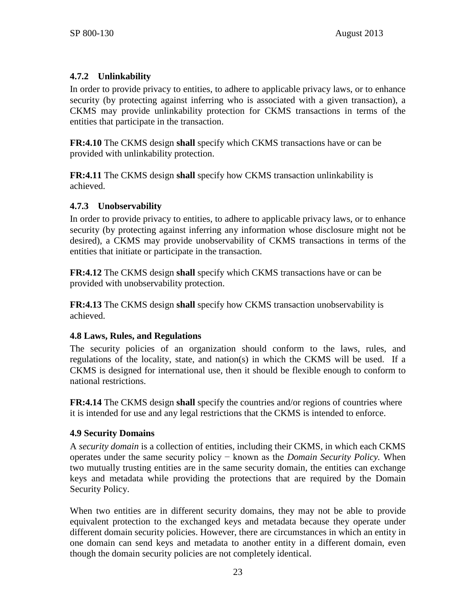# **4.7.2 Unlinkability**

In order to provide privacy to entities, to adhere to applicable privacy laws, or to enhance security (by protecting against inferring who is associated with a given transaction), a CKMS may provide unlinkability protection for CKMS transactions in terms of the entities that participate in the transaction.

**FR:4.10** The CKMS design **shall** specify which CKMS transactions have or can be provided with unlinkability protection.

**FR:4.11** The CKMS design **shall** specify how CKMS transaction unlinkability is achieved.

## **4.7.3 Unobservability**

In order to provide privacy to entities, to adhere to applicable privacy laws, or to enhance security (by protecting against inferring any information whose disclosure might not be desired), a CKMS may provide unobservability of CKMS transactions in terms of the entities that initiate or participate in the transaction.

**FR:4.12** The CKMS design **shall** specify which CKMS transactions have or can be provided with unobservability protection.

**FR:4.13** The CKMS design **shall** specify how CKMS transaction unobservability is achieved.

# **4.8 Laws, Rules, and Regulations**

The security policies of an organization should conform to the laws, rules, and regulations of the locality, state, and nation(s) in which the CKMS will be used. If a CKMS is designed for international use, then it should be flexible enough to conform to national restrictions.

**FR:4.14** The CKMS design **shall** specify the countries and/or regions of countries where it is intended for use and any legal restrictions that the CKMS is intended to enforce.

# **4.9 Security Domains**

A *security domain* is a collection of entities, including their CKMS, in which each CKMS operates under the same security policy − known as the *Domain Security Policy.* When two mutually trusting entities are in the same security domain, the entities can exchange keys and metadata while providing the protections that are required by the Domain Security Policy.

When two entities are in different security domains, they may not be able to provide equivalent protection to the exchanged keys and metadata because they operate under different domain security policies. However, there are circumstances in which an entity in one domain can send keys and metadata to another entity in a different domain, even though the domain security policies are not completely identical.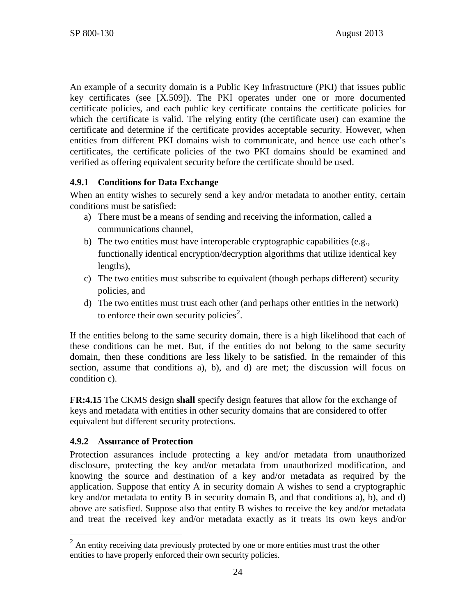An example of a security domain is a Public Key Infrastructure (PKI) that issues public key certificates (see [\[X.509\]\)](#page-109-0). The PKI operates under one or more documented certificate policies, and each public key certificate contains the certificate policies for which the certificate is valid. The relying entity (the certificate user) can examine the certificate and determine if the certificate provides acceptable security. However, when entities from different PKI domains wish to communicate, and hence use each other's certificates, the certificate policies of the two PKI domains should be examined and verified as offering equivalent security before the certificate should be used.

# **4.9.1 Conditions for Data Exchange**

When an entity wishes to securely send a key and/or metadata to another entity, certain conditions must be satisfied:

- a) There must be a means of sending and receiving the information, called a communications channel,
- b) The two entities must have interoperable cryptographic capabilities (e.g., functionally identical encryption/decryption algorithms that utilize identical key lengths),
- c) The two entities must subscribe to equivalent (though perhaps different) security policies, and
- d) The two entities must trust each other (and perhaps other entities in the network) to enforce their own security policies<sup>[2](#page-31-0)</sup>.

If the entities belong to the same security domain, there is a high likelihood that each of these conditions can be met. But, if the entities do not belong to the same security domain, then these conditions are less likely to be satisfied. In the remainder of this section, assume that conditions a), b), and d) are met; the discussion will focus on condition c).

**FR:4.15** The CKMS design **shall** specify design features that allow for the exchange of keys and metadata with entities in other security domains that are considered to offer equivalent but different security protections.

## **4.9.2 Assurance of Protection**

Protection assurances include protecting a key and/or metadata from unauthorized disclosure, protecting the key and/or metadata from unauthorized modification, and knowing the source and destination of a key and/or metadata as required by the application. Suppose that entity A in security domain A wishes to send a cryptographic key and/or metadata to entity B in security domain B, and that conditions a), b), and d) above are satisfied. Suppose also that entity B wishes to receive the key and/or metadata and treat the received key and/or metadata exactly as it treats its own keys and/or

<span id="page-31-0"></span> $2$  An entity receiving data previously protected by one or more entities must trust the other entities to have properly enforced their own security policies.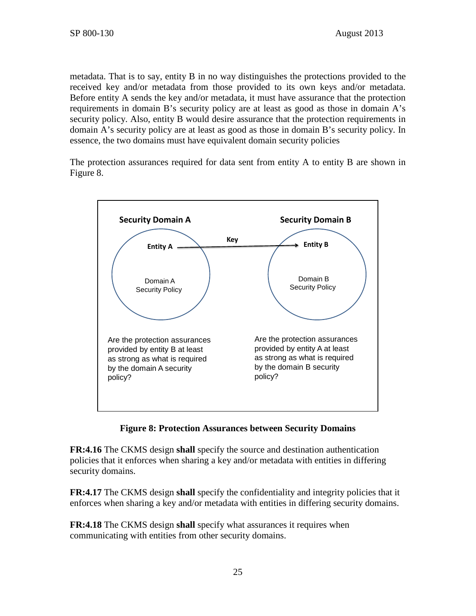metadata. That is to say, entity B in no way distinguishes the protections provided to the received key and/or metadata from those provided to its own keys and/or metadata. Before entity A sends the key and/or metadata, it must have assurance that the protection requirements in domain B's security policy are at least as good as those in domain A's security policy. Also, entity B would desire assurance that the protection requirements in domain A's security policy are at least as good as those in domain B's security policy. In essence, the two domains must have equivalent domain security policies

The protection assurances required for data sent from entity A to entity B are shown in [Figure 8.](#page-32-0)



**Figure 8: Protection Assurances between Security Domains**

<span id="page-32-0"></span>**FR:4.16** The CKMS design **shall** specify the source and destination authentication policies that it enforces when sharing a key and/or metadata with entities in differing security domains.

**FR:4.17** The CKMS design **shall** specify the confidentiality and integrity policies that it enforces when sharing a key and/or metadata with entities in differing security domains.

**FR:4.18** The CKMS design **shall** specify what assurances it requires when communicating with entities from other security domains.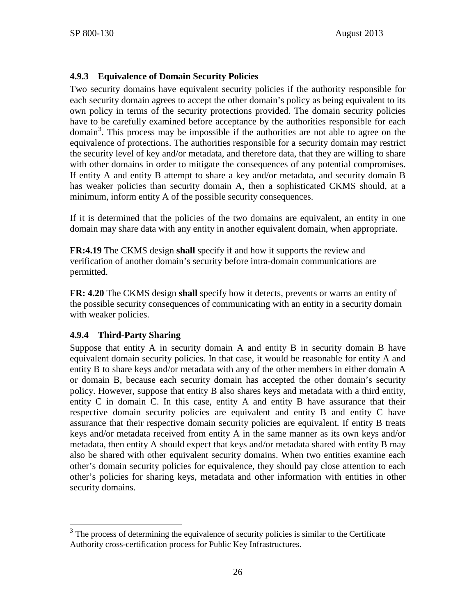# **4.9.3 Equivalence of Domain Security Policies**

Two security domains have equivalent security policies if the authority responsible for each security domain agrees to accept the other domain's policy as being equivalent to its own policy in terms of the security protections provided. The domain security policies have to be carefully examined before acceptance by the authorities responsible for each domain<sup>[3](#page-33-0)</sup>. This process may be impossible if the authorities are not able to agree on the equivalence of protections. The authorities responsible for a security domain may restrict the security level of key and/or metadata, and therefore data, that they are willing to share with other domains in order to mitigate the consequences of any potential compromises. If entity A and entity B attempt to share a key and/or metadata, and security domain B has weaker policies than security domain A, then a sophisticated CKMS should, at a minimum, inform entity A of the possible security consequences.

If it is determined that the policies of the two domains are equivalent, an entity in one domain may share data with any entity in another equivalent domain, when appropriate.

**FR:4.19** The CKMS design **shall** specify if and how it supports the review and verification of another domain's security before intra-domain communications are permitted.

**FR: 4.20** The CKMS design **shall** specify how it detects, prevents or warns an entity of the possible security consequences of communicating with an entity in a security domain with weaker policies.

## **4.9.4 Third-Party Sharing**

Suppose that entity A in security domain A and entity B in security domain B have equivalent domain security policies. In that case, it would be reasonable for entity A and entity B to share keys and/or metadata with any of the other members in either domain A or domain B, because each security domain has accepted the other domain's security policy. However, suppose that entity B also shares keys and metadata with a third entity, entity C in domain C. In this case, entity A and entity B have assurance that their respective domain security policies are equivalent and entity B and entity C have assurance that their respective domain security policies are equivalent. If entity B treats keys and/or metadata received from entity A in the same manner as its own keys and/or metadata, then entity A should expect that keys and/or metadata shared with entity B may also be shared with other equivalent security domains. When two entities examine each other's domain security policies for equivalence, they should pay close attention to each other's policies for sharing keys, metadata and other information with entities in other security domains.

<span id="page-33-0"></span> $3$  The process of determining the equivalence of security policies is similar to the Certificate Authority cross-certification process for Public Key Infrastructures.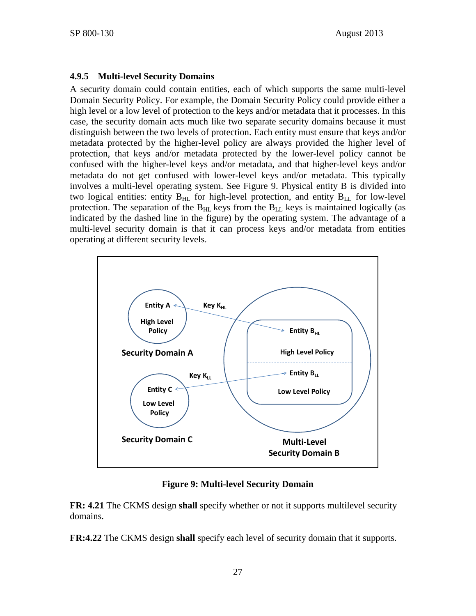#### **4.9.5 Multi-level Security Domains**

A security domain could contain entities, each of which supports the same multi-level Domain Security Policy. For example, the Domain Security Policy could provide either a high level or a low level of protection to the keys and/or metadata that it processes. In this case, the security domain acts much like two separate security domains because it must distinguish between the two levels of protection. Each entity must ensure that keys and/or metadata protected by the higher-level policy are always provided the higher level of protection, that keys and/or metadata protected by the lower-level policy cannot be confused with the higher-level keys and/or metadata, and that higher-level keys and/or metadata do not get confused with lower-level keys and/or metadata. This typically involves a multi-level operating system. See [Figure 9.](#page-34-0) Physical entity B is divided into two logical entities: entity  $B_{HL}$  for high-level protection, and entity  $B_{LL}$  for low-level protection. The separation of the  $B_{HL}$  keys from the  $B_{LL}$  keys is maintained logically (as indicated by the dashed line in the figure) by the operating system. The advantage of a multi-level security domain is that it can process keys and/or metadata from entities operating at different security levels.



**Figure 9: Multi-level Security Domain**

<span id="page-34-0"></span>**FR: 4.21** The CKMS design **shall** specify whether or not it supports multilevel security domains.

**FR:4.22** The CKMS design **shall** specify each level of security domain that it supports.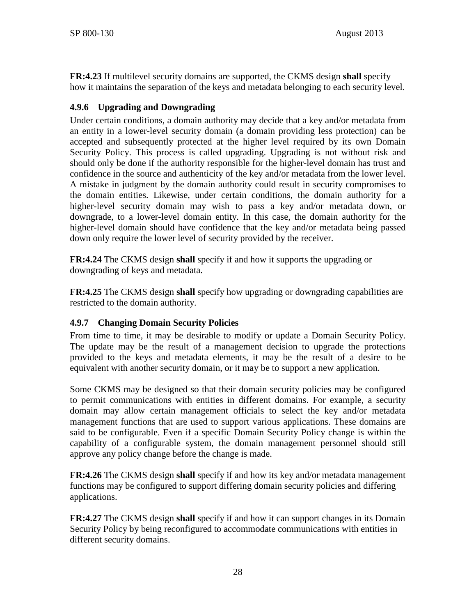**FR:4.23** If multilevel security domains are supported, the CKMS design **shall** specify how it maintains the separation of the keys and metadata belonging to each security level.

# **4.9.6 Upgrading and Downgrading**

Under certain conditions, a domain authority may decide that a key and/or metadata from an entity in a lower-level security domain (a domain providing less protection) can be accepted and subsequently protected at the higher level required by its own Domain Security Policy. This process is called upgrading. Upgrading is not without risk and should only be done if the authority responsible for the higher-level domain has trust and confidence in the source and authenticity of the key and/or metadata from the lower level. A mistake in judgment by the domain authority could result in security compromises to the domain entities. Likewise, under certain conditions, the domain authority for a higher-level security domain may wish to pass a key and/or metadata down, or downgrade, to a lower-level domain entity. In this case, the domain authority for the higher-level domain should have confidence that the key and/or metadata being passed down only require the lower level of security provided by the receiver.

**FR:4.24** The CKMS design **shall** specify if and how it supports the upgrading or downgrading of keys and metadata.

**FR:4.25** The CKMS design **shall** specify how upgrading or downgrading capabilities are restricted to the domain authority.

# **4.9.7 Changing Domain Security Policies**

From time to time, it may be desirable to modify or update a Domain Security Policy. The update may be the result of a management decision to upgrade the protections provided to the keys and metadata elements, it may be the result of a desire to be equivalent with another security domain, or it may be to support a new application.

Some CKMS may be designed so that their domain security policies may be configured to permit communications with entities in different domains. For example, a security domain may allow certain management officials to select the key and/or metadata management functions that are used to support various applications. These domains are said to be configurable. Even if a specific Domain Security Policy change is within the capability of a configurable system, the domain management personnel should still approve any policy change before the change is made.

**FR:4.26** The CKMS design **shall** specify if and how its key and/or metadata management functions may be configured to support differing domain security policies and differing applications.

**FR:4.27** The CKMS design **shall** specify if and how it can support changes in its Domain Security Policy by being reconfigured to accommodate communications with entities in different security domains.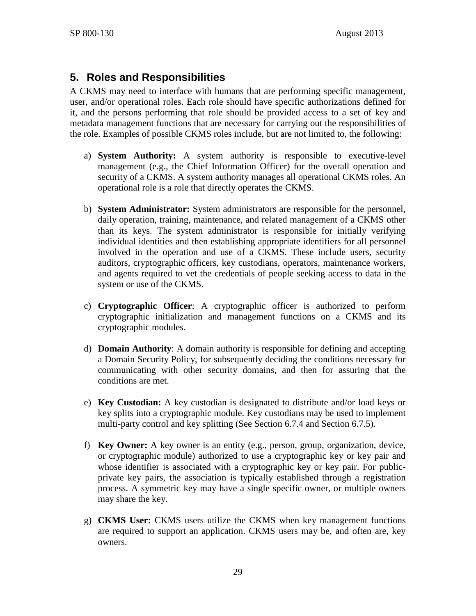# **5. Roles and Responsibilities**

A CKMS may need to interface with humans that are performing specific management, user, and/or operational roles. Each role should have specific authorizations defined for it, and the persons performing that role should be provided access to a set of key and metadata management functions that are necessary for carrying out the responsibilities of the role. Examples of possible CKMS roles include, but are not limited to, the following:

- a) **System Authority:** A system authority is responsible to executive-level management (e.g., the Chief Information Officer) for the overall operation and security of a CKMS. A system authority manages all operational CKMS roles. An operational role is a role that directly operates the CKMS.
- b) **System Administrator:** System administrators are responsible for the personnel, daily operation, training, maintenance, and related management of a CKMS other than its keys. The system administrator is responsible for initially verifying individual identities and then establishing appropriate identifiers for all personnel involved in the operation and use of a CKMS. These include users, security auditors, cryptographic officers, key custodians, operators, maintenance workers, and agents required to vet the credentials of people seeking access to data in the system or use of the CKMS.
- c) **Cryptographic Officer**: A cryptographic officer is authorized to perform cryptographic initialization and management functions on a CKMS and its cryptographic modules.
- d) **Domain Authority**: A domain authority is responsible for defining and accepting a Domain Security Policy, for subsequently deciding the conditions necessary for communicating with other security domains, and then for assuring that the conditions are met.
- e) **Key Custodian:** A key custodian is designated to distribute and/or load keys or key splits into a cryptographic module. Key custodians may be used to implement multi-party control and key splitting (See Section [6.7.4](#page-65-0) and Section [6.7.5\)](#page-66-0).
- f) **Key Owner:** A key owner is an entity (e.g., person, group, organization, device, or cryptographic module) authorized to use a cryptographic key or key pair and whose identifier is associated with a cryptographic key or key pair. For publicprivate key pairs, the association is typically established through a registration process. A symmetric key may have a single specific owner, or multiple owners may share the key.
- g) **CKMS User:** CKMS users utilize the CKMS when key management functions are required to support an application. CKMS users may be, and often are, key owners.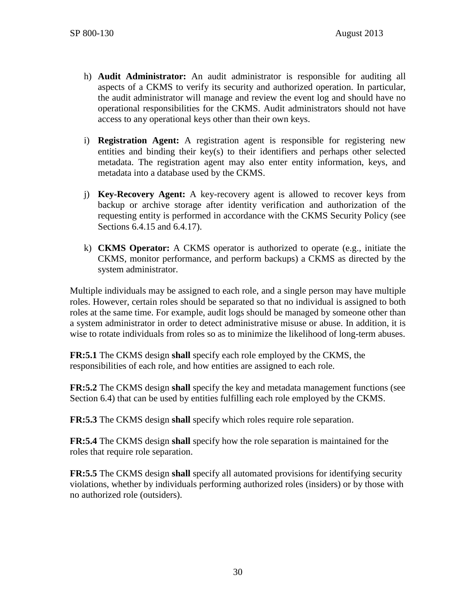- h) **Audit Administrator:** An audit administrator is responsible for auditing all aspects of a CKMS to verify its security and authorized operation. In particular, the audit administrator will manage and review the event log and should have no operational responsibilities for the CKMS. Audit administrators should not have access to any operational keys other than their own keys.
- i) **Registration Agent:** A registration agent is responsible for registering new entities and binding their key(s) to their identifiers and perhaps other selected metadata. The registration agent may also enter entity information, keys, and metadata into a database used by the CKMS.
- j) **Key-Recovery Agent:** A key-recovery agent is allowed to recover keys from backup or archive storage after identity verification and authorization of the requesting entity is performed in accordance with the CKMS Security Policy (see Sections [6.4.15](#page-53-0) and [6.4.17\)](#page-54-0).
- k) **CKMS Operator:** A CKMS operator is authorized to operate (e.g., initiate the CKMS, monitor performance, and perform backups) a CKMS as directed by the system administrator.

Multiple individuals may be assigned to each role, and a single person may have multiple roles. However, certain roles should be separated so that no individual is assigned to both roles at the same time. For example, audit logs should be managed by someone other than a system administrator in order to detect administrative misuse or abuse. In addition, it is wise to rotate individuals from roles so as to minimize the likelihood of long-term abuses.

**FR:5.1** The CKMS design **shall** specify each role employed by the CKMS, the responsibilities of each role, and how entities are assigned to each role.

**FR:5.2** The CKMS design **shall** specify the key and metadata management functions (see Section [6.4\)](#page-46-0) that can be used by entities fulfilling each role employed by the CKMS.

**FR:5.3** The CKMS design **shall** specify which roles require role separation.

**FR:5.4** The CKMS design **shall** specify how the role separation is maintained for the roles that require role separation.

**FR:5.5** The CKMS design **shall** specify all automated provisions for identifying security violations, whether by individuals performing authorized roles (insiders) or by those with no authorized role (outsiders).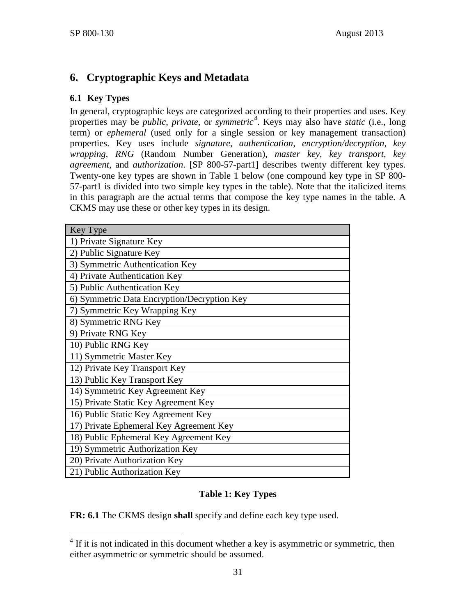# **6. Cryptographic Keys and Metadata**

# <span id="page-38-2"></span>**6.1 Key Types**

In general, cryptographic keys are categorized according to their properties and uses. Key properties may be *public*, *private*, or *symmetric[4](#page-38-1)* . Keys may also have *static* (i.e., long term) or *ephemeral* (used only for a single session or key management transaction) properties. Key uses include *signature*, *authentication*, *encryption/decryption*, *key wrapping*, *RNG* (Random Number Generation), *master key*, *key transport*, *key agreement*, and *authorization*. [\[SP 800-57-part1\]](#page-106-0) describes twenty different key types. Twenty-one key types are shown in [Table 1](#page-38-0) below (one compound key type in SP 800- 57-part1 is divided into two simple key types in the table). Note that the italicized items in this paragraph are the actual terms that compose the key type names in the table. A CKMS may use these or other key types in its design.

| Key Type                                    |
|---------------------------------------------|
| 1) Private Signature Key                    |
| 2) Public Signature Key                     |
| 3) Symmetric Authentication Key             |
| 4) Private Authentication Key               |
| 5) Public Authentication Key                |
| 6) Symmetric Data Encryption/Decryption Key |
| 7) Symmetric Key Wrapping Key               |
| 8) Symmetric RNG Key                        |
| 9) Private RNG Key                          |
| 10) Public RNG Key                          |
| 11) Symmetric Master Key                    |
| 12) Private Key Transport Key               |
| 13) Public Key Transport Key                |
| 14) Symmetric Key Agreement Key             |
| 15) Private Static Key Agreement Key        |
| 16) Public Static Key Agreement Key         |
| 17) Private Ephemeral Key Agreement Key     |
| 18) Public Ephemeral Key Agreement Key      |
| 19) Symmetric Authorization Key             |
| 20) Private Authorization Key               |
| 21) Public Authorization Key                |

# **Table 1: Key Types**

<span id="page-38-0"></span>**FR: 6.1** The CKMS design **shall** specify and define each key type used.

<span id="page-38-1"></span> $4$  If it is not indicated in this document whether a key is asymmetric or symmetric, then either asymmetric or symmetric should be assumed.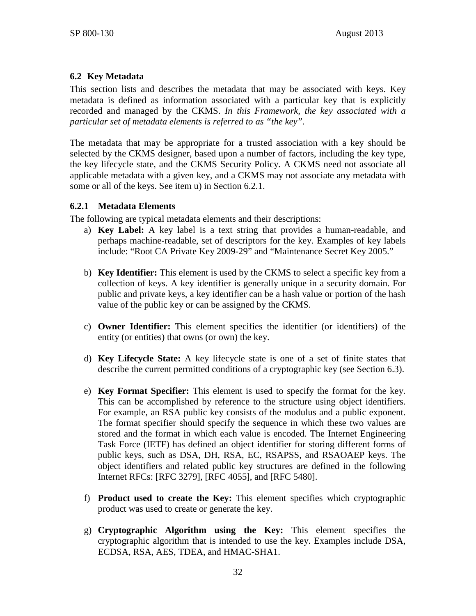### **6.2 Key Metadata**

This section lists and describes the metadata that may be associated with keys. Key metadata is defined as information associated with a particular key that is explicitly recorded and managed by the CKMS. *In this Framework, the key associated with a particular set of metadata elements is referred to as "the key".* 

The metadata that may be appropriate for a trusted association with a key should be selected by the CKMS designer, based upon a number of factors, including the key type, the key lifecycle state, and the CKMS Security Policy. A CKMS need not associate all applicable metadata with a given key, and a CKMS may not associate any metadata with some or all of the keys. See item [u\)](#page-42-0) in Section 6.2.1.

#### **6.2.1 Metadata Elements**

The following are typical metadata elements and their descriptions:

- a) **Key Label:** A key label is a text string that provides a human-readable, and perhaps machine-readable, set of descriptors for the key. Examples of key labels include: "Root CA Private Key 2009-29" and "Maintenance Secret Key 2005."
- <span id="page-39-0"></span>b) **Key Identifier:** This element is used by the CKMS to select a specific key from a collection of keys. A key identifier is generally unique in a security domain. For public and private keys, a key identifier can be a hash value or portion of the hash value of the public key or can be assigned by the CKMS.
- c) **Owner Identifier:** This element specifies the identifier (or identifiers) of the entity (or entities) that owns (or own) the key.
- d) **Key Lifecycle State:** A key lifecycle state is one of a set of finite states that describe the current permitted conditions of a cryptographic key (see Section [6.3\)](#page-46-1).
- e) **Key Format Specifier:** This element is used to specify the format for the key. This can be accomplished by reference to the structure using object identifiers. For example, an RSA public key consists of the modulus and a public exponent. The format specifier should specify the sequence in which these two values are stored and the format in which each value is encoded. The Internet Engineering Task Force (IETF) has defined an object identifier for storing different forms of public keys, such as DSA, DH, RSA, EC, RSAPSS, and RSAOAEP keys. The object identifiers and related public key structures are defined in the following Internet RFCs: [\[RFC 3279\],](#page-100-0) [\[RFC 4055\],](#page-100-1) and [\[RFC 5480\].](#page-102-0)
- f) **Product used to create the Key:** This element specifies which cryptographic product was used to create or generate the key.
- <span id="page-39-1"></span>g) **Cryptographic Algorithm using the Key:** This element specifies the cryptographic algorithm that is intended to use the key. Examples include DSA, ECDSA, RSA, AES, TDEA, and HMAC-SHA1.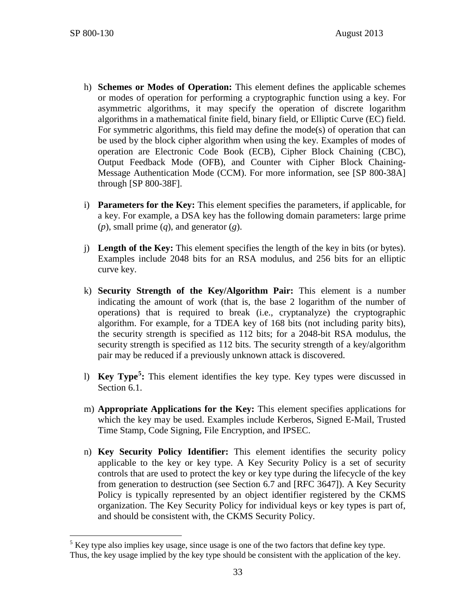- h) **Schemes or Modes of Operation:** This element defines the applicable schemes or modes of operation for performing a cryptographic function using a key. For asymmetric algorithms, it may specify the operation of discrete logarithm algorithms in a mathematical finite field, binary field, or Elliptic Curve (EC) field. For symmetric algorithms, this field may define the mode(s) of operation that can be used by the block cipher algorithm when using the key. Examples of modes of operation are Electronic Code Book (ECB), Cipher Block Chaining (CBC), Output Feedback Mode (OFB), and Counter with Cipher Block Chaining-Message Authentication Mode (CCM). For more information, see [\[SP 800-38A\]](#page-103-0) through [\[SP 800-38F\].](#page-104-0)
- <span id="page-40-1"></span>i) **Parameters for the Key:** This element specifies the parameters, if applicable, for a key. For example, a DSA key has the following domain parameters: large prime (*p*), small prime (*q*), and generator (*g*).
- j) **Length of the Key:** This element specifies the length of the key in bits (or bytes). Examples include 2048 bits for an RSA modulus, and 256 bits for an elliptic curve key.
- k) **Security Strength of the Key/Algorithm Pair:** This element is a number indicating the amount of work (that is, the base 2 logarithm of the number of operations) that is required to break (i.e., cryptanalyze) the cryptographic algorithm. For example, for a TDEA key of 168 bits (not including parity bits), the security strength is specified as 112 bits; for a 2048-bit RSA modulus, the security strength is specified as 112 bits. The security strength of a key/algorithm pair may be reduced if a previously unknown attack is discovered.
- l) **Key Type[5](#page-40-0) :** This element identifies the key type. Key types were discussed in Section [6.1.](#page-38-2)
- m) **Appropriate Applications for the Key:** This element specifies applications for which the key may be used. Examples include Kerberos, Signed E-Mail, Trusted Time Stamp, Code Signing, File Encryption, and IPSEC.
- n) **Key Security Policy Identifier:** This element identifies the security policy applicable to the key or key type. A Key Security Policy is a set of security controls that are used to protect the key or key type during the lifecycle of the key from generation to destruction (see Section [6.7](#page-61-0) and [\[RFC 3647\]\)](#page-100-2). A Key Security Policy is typically represented by an object identifier registered by the CKMS organization. The Key Security Policy for individual keys or key types is part of, and should be consistent with, the CKMS Security Policy.

<span id="page-40-0"></span> $5$  Key type also implies key usage, since usage is one of the two factors that define key type. Thus, the key usage implied by the key type should be consistent with the application of the key.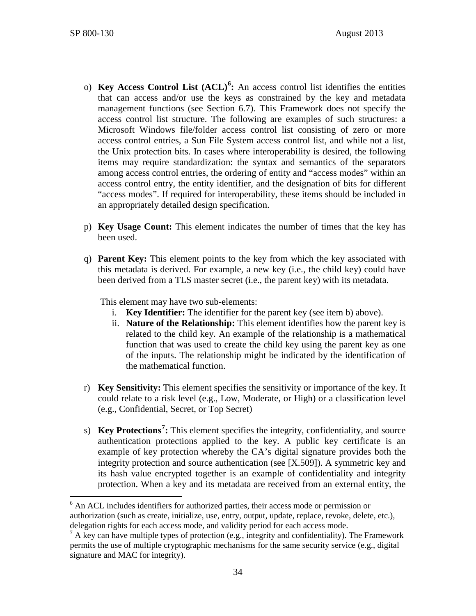- o) **Key Access Control List (ACL)[6](#page-41-0) :** An access control list identifies the entities that can access and/or use the keys as constrained by the key and metadata management functions (see Section [6.7\)](#page-61-0). This Framework does not specify the access control list structure. The following are examples of such structures: a Microsoft Windows file/folder access control list consisting of zero or more access control entries, a Sun File System access control list, and while not a list, the Unix protection bits. In cases where interoperability is desired, the following items may require standardization: the syntax and semantics of the separators among access control entries, the ordering of entity and "access modes" within an access control entry, the entity identifier, and the designation of bits for different "access modes". If required for interoperability, these items should be included in an appropriately detailed design specification.
- p) **Key Usage Count:** This element indicates the number of times that the key has been used.
- q) **Parent Key:** This element points to the key from which the key associated with this metadata is derived. For example, a new key (i.e., the child key) could have been derived from a TLS master secret (i.e., the parent key) with its metadata.

This element may have two sub-elements:

- i. **Key Identifier:** The identifier for the parent key (see item [b\)](#page-39-0) above).
- ii. **Nature of the Relationship:** This element identifies how the parent key is related to the child key. An example of the relationship is a mathematical function that was used to create the child key using the parent key as one of the inputs. The relationship might be indicated by the identification of the mathematical function.
- r) **Key Sensitivity:** This element specifies the sensitivity or importance of the key. It could relate to a risk level (e.g., Low, Moderate, or High) or a classification level (e.g., Confidential, Secret, or Top Secret)
- <span id="page-41-2"></span>s) **Key Protections[7](#page-41-1) :** This element specifies the integrity, confidentiality, and source authentication protections applied to the key. A public key certificate is an example of key protection whereby the CA's digital signature provides both the integrity protection and source authentication (see [\[X.509\]\)](#page-109-0). A symmetric key and its hash value encrypted together is an example of confidentiality and integrity protection. When a key and its metadata are received from an external entity, the

<span id="page-41-0"></span> <sup>6</sup> An ACL includes identifiers for authorized parties, their access mode or permission or authorization (such as create, initialize, use, entry, output, update, replace, revoke, delete, etc.), delegation rights for each access mode, and validity period for each access mode.

<span id="page-41-1"></span> $^7$  A key can have multiple types of protection (e.g., integrity and confidentiality). The Framework permits the use of multiple cryptographic mechanisms for the same security service (e.g., digital signature and MAC for integrity).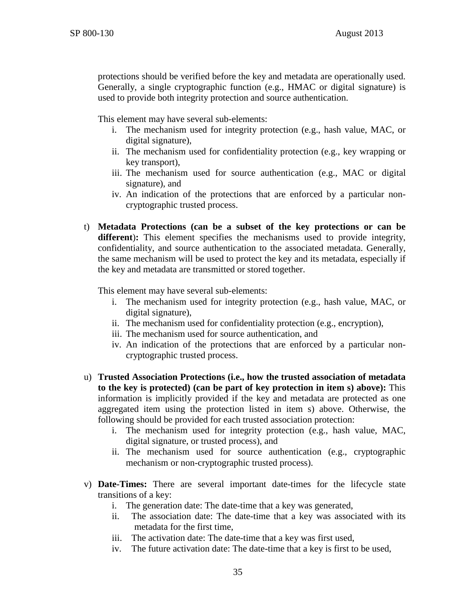protections should be verified before the key and metadata are operationally used. Generally, a single cryptographic function (e.g., HMAC or digital signature) is used to provide both integrity protection and source authentication.

This element may have several sub-elements:

- i. The mechanism used for integrity protection (e.g., hash value, MAC, or digital signature),
- ii. The mechanism used for confidentiality protection (e.g., key wrapping or key transport),
- iii. The mechanism used for source authentication (e.g., MAC or digital signature), and
- iv. An indication of the protections that are enforced by a particular noncryptographic trusted process.
- t) **Metadata Protections (can be a subset of the key protections or can be different**)**:** This element specifies the mechanisms used to provide integrity, confidentiality, and source authentication to the associated metadata. Generally, the same mechanism will be used to protect the key and its metadata, especially if the key and metadata are transmitted or stored together.

This element may have several sub-elements:

- i. The mechanism used for integrity protection (e.g., hash value, MAC, or digital signature),
- ii. The mechanism used for confidentiality protection (e.g., encryption),
- iii. The mechanism used for source authentication, and
- iv. An indication of the protections that are enforced by a particular noncryptographic trusted process.
- <span id="page-42-0"></span>u) **Trusted Association Protections (i.e., how the trusted association of metadata to the key is protected) (can be part of key protection in item [s\)](#page-41-2) above):** This information is implicitly provided if the key and metadata are protected as one aggregated item using the protection listed in item s) above. Otherwise, the following should be provided for each trusted association protection:
	- i. The mechanism used for integrity protection (e.g., hash value, MAC, digital signature, or trusted process), and
	- ii. The mechanism used for source authentication (e.g., cryptographic mechanism or non-cryptographic trusted process).
- v) **Date-Times:** There are several important date-times for the lifecycle state transitions of a key:
	- i. The generation date: The date-time that a key was generated,
	- ii. The association date: The date-time that a key was associated with its metadata for the first time,
	- iii. The activation date: The date-time that a key was first used,
	- iv. The future activation date: The date-time that a key is first to be used,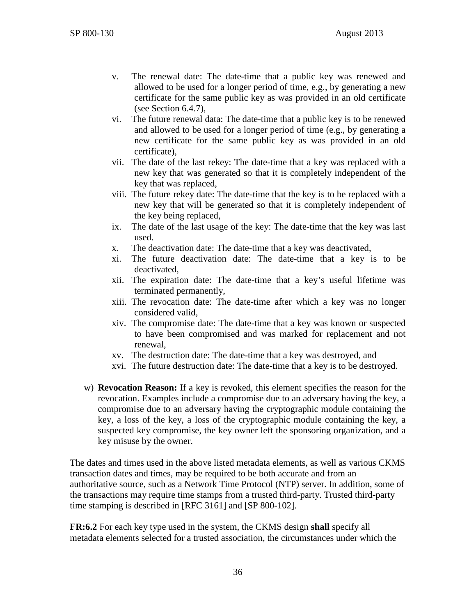- v. The renewal date: The date-time that a public key was renewed and allowed to be used for a longer period of time, e.g., by generating a new certificate for the same public key as was provided in an old certificate (see Section [6.4.7\)](#page-50-0),
- vi. The future renewal data: The date-time that a public key is to be renewed and allowed to be used for a longer period of time (e.g., by generating a new certificate for the same public key as was provided in an old certificate),
- vii. The date of the last rekey: The date-time that a key was replaced with a new key that was generated so that it is completely independent of the key that was replaced,
- viii. The future rekey date: The date-time that the key is to be replaced with a new key that will be generated so that it is completely independent of the key being replaced,
- ix. The date of the last usage of the key: The date-time that the key was last used.
- x. The deactivation date: The date-time that a key was deactivated,
- xi. The future deactivation date: The date-time that a key is to be deactivated,
- xii. The expiration date: The date-time that a key's useful lifetime was terminated permanently,
- xiii. The revocation date: The date-time after which a key was no longer considered valid,
- xiv. The compromise date: The date-time that a key was known or suspected to have been compromised and was marked for replacement and not renewal,
- xv. The destruction date: The date-time that a key was destroyed, and
- xvi. The future destruction date: The date-time that a key is to be destroyed.
- w) **Revocation Reason:** If a key is revoked, this element specifies the reason for the revocation. Examples include a compromise due to an adversary having the key, a compromise due to an adversary having the cryptographic module containing the key, a loss of the key, a loss of the cryptographic module containing the key, a suspected key compromise, the key owner left the sponsoring organization, and a key misuse by the owner.

The dates and times used in the above listed metadata elements, as well as various CKMS transaction dates and times, may be required to be both accurate and from an authoritative source, such as a Network Time Protocol (NTP) server. In addition, some of the transactions may require time stamps from a trusted third-party. Trusted third-party time stamping is described in [\[RFC 3161\]](#page-100-3) and [\[SP 800-102\].](#page-107-0)

**FR:6.2** For each key type used in the system, the CKMS design **shall** specify all metadata elements selected for a trusted association, the circumstances under which the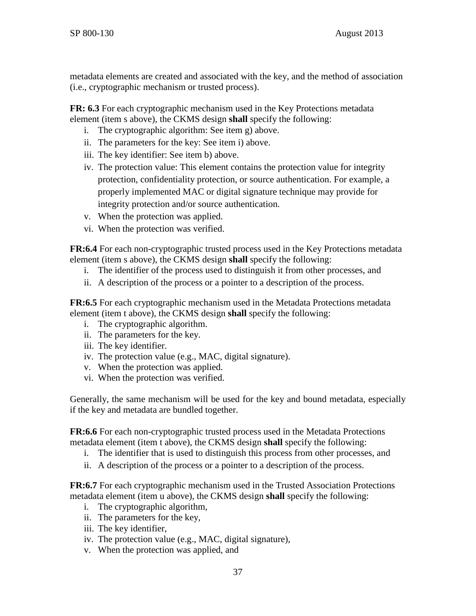metadata elements are created and associated with the key, and the method of association (i.e., cryptographic mechanism or trusted process).

**FR: 6.3** For each cryptographic mechanism used in the Key Protections metadata element (item s above), the CKMS design **shall** specify the following:

- i. The cryptographic algorithm: See item [g\)](#page-39-1) above.
- ii. The parameters for the key: See item [i\)](#page-40-1) above.
- iii. The key identifier: See item [b\)](#page-39-0) above.
- iv. The protection value: This element contains the protection value for integrity protection, confidentiality protection, or source authentication. For example, a properly implemented MAC or digital signature technique may provide for integrity protection and/or source authentication.
- v. When the protection was applied.
- vi. When the protection was verified.

**FR:6.4** For each non-cryptographic trusted process used in the Key Protections metadata element (item s above), the CKMS design **shall** specify the following:

- i. The identifier of the process used to distinguish it from other processes, and
- ii. A description of the process or a pointer to a description of the process.

**FR:6.5** For each cryptographic mechanism used in the Metadata Protections metadata element (item t above), the CKMS design **shall** specify the following:

- i. The cryptographic algorithm.
- ii. The parameters for the key.
- iii. The key identifier.
- iv. The protection value (e.g., MAC, digital signature).
- v. When the protection was applied.
- vi. When the protection was verified.

Generally, the same mechanism will be used for the key and bound metadata, especially if the key and metadata are bundled together.

**FR:6.6** For each non-cryptographic trusted process used in the Metadata Protections metadata element (item t above), the CKMS design **shall** specify the following:

- i. The identifier that is used to distinguish this process from other processes, and
- ii. A description of the process or a pointer to a description of the process.

**FR:6.7** For each cryptographic mechanism used in the Trusted Association Protections metadata element (item u above), the CKMS design **shall** specify the following:

- i. The cryptographic algorithm,
- ii. The parameters for the key,
- iii. The key identifier,
- iv. The protection value (e.g., MAC, digital signature),
- v. When the protection was applied, and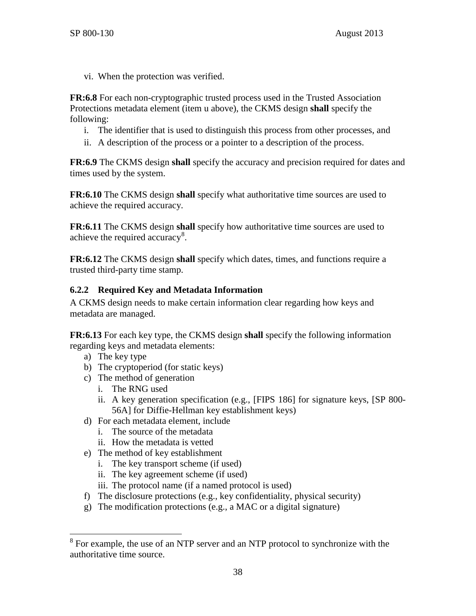vi. When the protection was verified.

**FR:6.8** For each non-cryptographic trusted process used in the Trusted Association Protections metadata element (item u above), the CKMS design **shall** specify the following:

- i. The identifier that is used to distinguish this process from other processes, and
- ii. A description of the process or a pointer to a description of the process.

**FR:6.9** The CKMS design **shall** specify the accuracy and precision required for dates and times used by the system.

**FR:6.10** The CKMS design **shall** specify what authoritative time sources are used to achieve the required accuracy.

**FR:6.11** The CKMS design **shall** specify how authoritative time sources are used to achieve the required accuracy<sup>[8](#page-45-0)</sup>.

**FR:6.12** The CKMS design **shall** specify which dates, times, and functions require a trusted third-party time stamp.

### **6.2.2 Required Key and Metadata Information**

A CKMS design needs to make certain information clear regarding how keys and metadata are managed.

**FR:6.13** For each key type, the CKMS design **shall** specify the following information regarding keys and metadata elements:

- a) The key type
- b) The cryptoperiod (for static keys)
- c) The method of generation
	- i. The RNG used
	- ii. A key generation specification (e.g., [\[FIPS 186\]](#page-98-0) for signature keys, [\[SP 800-](#page-105-0) [56A\]](#page-105-0) for Diffie-Hellman key establishment keys)
- d) For each metadata element, include
	- i. The source of the metadata
	- ii. How the metadata is vetted
- e) The method of key establishment
	- i. The key transport scheme (if used)
	- ii. The key agreement scheme (if used)
	- iii. The protocol name (if a named protocol is used)
- f) The disclosure protections (e.g., key confidentiality, physical security)
- g) The modification protections (e.g., a MAC or a digital signature)

<span id="page-45-0"></span><sup>&</sup>lt;sup>8</sup> For example, the use of an NTP server and an NTP protocol to synchronize with the authoritative time source.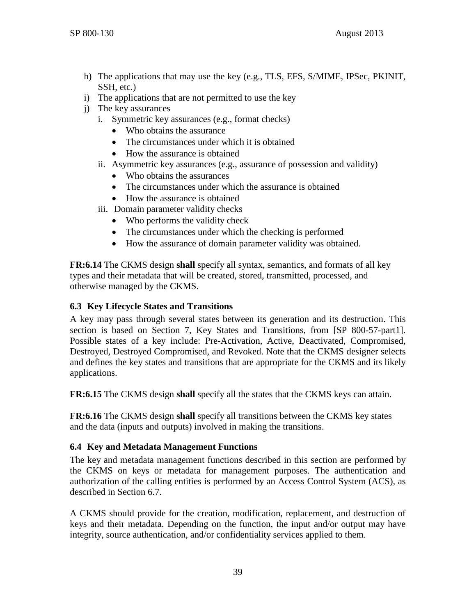- h) The applications that may use the key (e.g., TLS, EFS, S/MIME, IPSec, PKINIT, SSH, etc.)
- i) The applications that are not permitted to use the key
- j) The key assurances
	- i. Symmetric key assurances (e.g., format checks)
		- Who obtains the assurance
		- The circumstances under which it is obtained
		- How the assurance is obtained
	- ii. Asymmetric key assurances (e.g., assurance of possession and validity)
		- Who obtains the assurances
		- The circumstances under which the assurance is obtained
		- How the assurance is obtained
	- iii. Domain parameter validity checks
		- Who performs the validity check
		- The circumstances under which the checking is performed
		- How the assurance of domain parameter validity was obtained.

**FR:6.14** The CKMS design **shall** specify all syntax, semantics, and formats of all key types and their metadata that will be created, stored, transmitted, processed, and otherwise managed by the CKMS.

### <span id="page-46-1"></span>**6.3 Key Lifecycle States and Transitions**

A key may pass through several states between its generation and its destruction. This section is based on Section 7, Key States and Transitions, from [\[SP 800-57-part1\].](#page-106-0) Possible states of a key include: Pre-Activation, Active, Deactivated, Compromised, Destroyed, Destroyed Compromised, and Revoked. Note that the CKMS designer selects and defines the key states and transitions that are appropriate for the CKMS and its likely applications.

**FR:6.15** The CKMS design **shall** specify all the states that the CKMS keys can attain.

**FR:6.16** The CKMS design **shall** specify all transitions between the CKMS key states and the data (inputs and outputs) involved in making the transitions.

### <span id="page-46-0"></span>**6.4 Key and Metadata Management Functions**

The key and metadata management functions described in this section are performed by the CKMS on keys or metadata for management purposes. The authentication and authorization of the calling entities is performed by an Access Control System (ACS), as described in Section [6.7.](#page-61-0)

A CKMS should provide for the creation, modification, replacement, and destruction of keys and their metadata. Depending on the function, the input and/or output may have integrity, source authentication, and/or confidentiality services applied to them.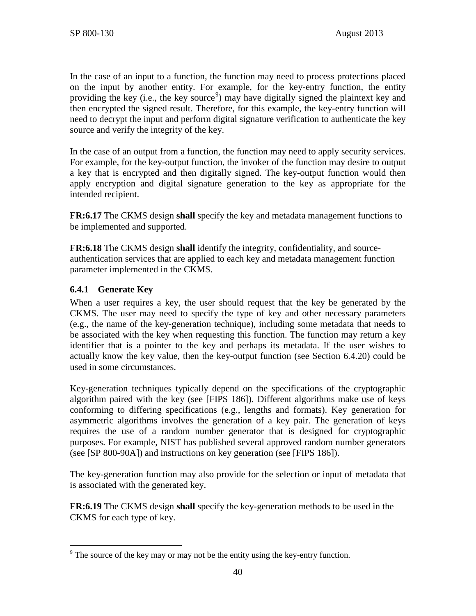In the case of an input to a function, the function may need to process protections placed on the input by another entity. For example, for the key-entry function, the entity providing the key (i.e., the key source<sup>[9](#page-47-0)</sup>) may have digitally signed the plaintext key and then encrypted the signed result. Therefore, for this example, the key-entry function will need to decrypt the input and perform digital signature verification to authenticate the key source and verify the integrity of the key.

In the case of an output from a function, the function may need to apply security services. For example, for the key-output function, the invoker of the function may desire to output a key that is encrypted and then digitally signed. The key-output function would then apply encryption and digital signature generation to the key as appropriate for the intended recipient.

**FR:6.17** The CKMS design **shall** specify the key and metadata management functions to be implemented and supported.

**FR:6.18** The CKMS design **shall** identify the integrity, confidentiality, and sourceauthentication services that are applied to each key and metadata management function parameter implemented in the CKMS.

### **6.4.1 Generate Key**

When a user requires a key, the user should request that the key be generated by the CKMS. The user may need to specify the type of key and other necessary parameters (e.g., the name of the key-generation technique), including some metadata that needs to be associated with the key when requesting this function. The function may return a key identifier that is a pointer to the key and perhaps its metadata. If the user wishes to actually know the key value, then the key-output function (see Section [6.4.20\)](#page-55-0) could be used in some circumstances.

Key-generation techniques typically depend on the specifications of the cryptographic algorithm paired with the key (see [\[FIPS 186\]\)](#page-98-0). Different algorithms make use of keys conforming to differing specifications (e.g., lengths and formats). Key generation for asymmetric algorithms involves the generation of a key pair. The generation of keys requires the use of a random number generator that is designed for cryptographic purposes. For example, NIST has published several approved random number generators (see [\[SP 800-90A\]\)](#page-106-1) and instructions on key generation (see [\[FIPS 186\]\)](#page-98-0).

The key-generation function may also provide for the selection or input of metadata that is associated with the generated key.

**FR:6.19** The CKMS design **shall** specify the key-generation methods to be used in the CKMS for each type of key.

<span id="page-47-0"></span> $9<sup>9</sup>$  The source of the key may or may not be the entity using the key-entry function.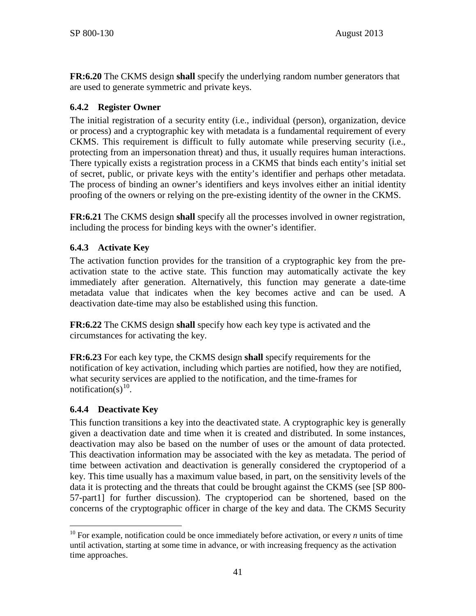**FR:6.20** The CKMS design **shall** specify the underlying random number generators that are used to generate symmetric and private keys.

### **6.4.2 Register Owner**

The initial registration of a security entity (i.e., individual (person), organization, device or process) and a cryptographic key with metadata is a fundamental requirement of every CKMS. This requirement is difficult to fully automate while preserving security (i.e., protecting from an impersonation threat) and thus, it usually requires human interactions. There typically exists a registration process in a CKMS that binds each entity's initial set of secret, public, or private keys with the entity's identifier and perhaps other metadata. The process of binding an owner's identifiers and keys involves either an initial identity proofing of the owners or relying on the pre-existing identity of the owner in the CKMS.

**FR:6.21** The CKMS design **shall** specify all the processes involved in owner registration, including the process for binding keys with the owner's identifier.

### **6.4.3 Activate Key**

The activation function provides for the transition of a cryptographic key from the preactivation state to the active state. This function may automatically activate the key immediately after generation. Alternatively, this function may generate a date-time metadata value that indicates when the key becomes active and can be used. A deactivation date-time may also be established using this function.

**FR:6.22** The CKMS design **shall** specify how each key type is activated and the circumstances for activating the key.

**FR:6.23** For each key type, the CKMS design **shall** specify requirements for the notification of key activation, including which parties are notified, how they are notified, what security services are applied to the notification, and the time-frames for notification(s)<sup>10</sup>.

### **6.4.4 Deactivate Key**

This function transitions a key into the deactivated state. A cryptographic key is generally given a deactivation date and time when it is created and distributed. In some instances, deactivation may also be based on the number of uses or the amount of data protected. This deactivation information may be associated with the key as metadata. The period of time between activation and deactivation is generally considered the cryptoperiod of a key. This time usually has a maximum value based, in part, on the sensitivity levels of the data it is protecting and the threats that could be brought against the CKMS (see [\[SP 800-](#page-106-0) [57-part1\]](#page-106-0) for further discussion). The cryptoperiod can be shortened, based on the concerns of the cryptographic officer in charge of the key and data. The CKMS Security

<span id="page-48-0"></span><sup>&</sup>lt;sup>10</sup> For example, notification could be once immediately before activation, or every *n* units of time until activation, starting at some time in advance, or with increasing frequency as the activation time approaches.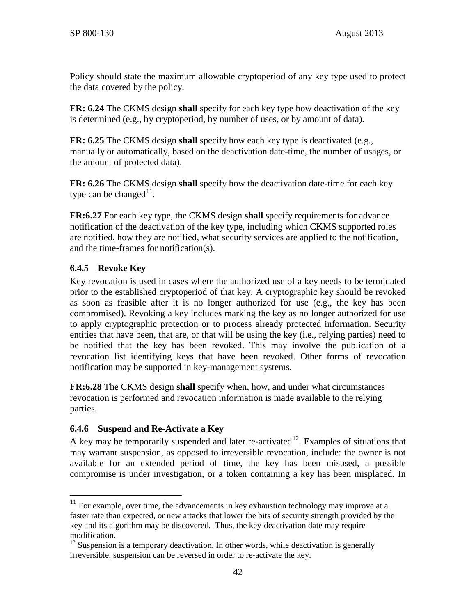Policy should state the maximum allowable cryptoperiod of any key type used to protect the data covered by the policy.

**FR: 6.24** The CKMS design **shall** specify for each key type how deactivation of the key is determined (e.g., by cryptoperiod, by number of uses, or by amount of data).

**FR: 6.25** The CKMS design **shall** specify how each key type is deactivated (e.g., manually or automatically, based on the deactivation date-time, the number of usages, or the amount of protected data).

**FR: 6.26** The CKMS design **shall** specify how the deactivation date-time for each key type can be changed $11$ .

**FR:6.27** For each key type, the CKMS design **shall** specify requirements for advance notification of the deactivation of the key type, including which CKMS supported roles are notified, how they are notified, what security services are applied to the notification, and the time-frames for notification(s).

# **6.4.5 Revoke Key**

Key revocation is used in cases where the authorized use of a key needs to be terminated prior to the established cryptoperiod of that key. A cryptographic key should be revoked as soon as feasible after it is no longer authorized for use (e.g., the key has been compromised). Revoking a key includes marking the key as no longer authorized for use to apply cryptographic protection or to process already protected information. Security entities that have been, that are, or that will be using the key (i.e., relying parties) need to be notified that the key has been revoked. This may involve the publication of a revocation list identifying keys that have been revoked. Other forms of revocation notification may be supported in key-management systems.

**FR:6.28** The CKMS design **shall** specify when, how, and under what circumstances revocation is performed and revocation information is made available to the relying parties.

# **6.4.6 Suspend and Re-Activate a Key**

A key may be temporarily suspended and later re-activated<sup>12</sup>. Examples of situations that may warrant suspension, as opposed to irreversible revocation, include: the owner is not available for an extended period of time, the key has been misused, a possible compromise is under investigation, or a token containing a key has been misplaced. In

<span id="page-49-0"></span> $11$  For example, over time, the advancements in key exhaustion technology may improve at a faster rate than expected, or new attacks that lower the bits of security strength provided by the key and its algorithm may be discovered. Thus, the key-deactivation date may require modification.

<span id="page-49-1"></span> $12$  Suspension is a temporary deactivation. In other words, while deactivation is generally irreversible, suspension can be reversed in order to re-activate the key.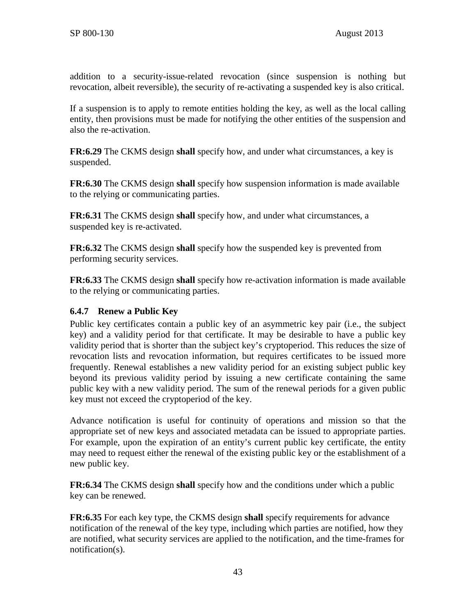addition to a security-issue-related revocation (since suspension is nothing but revocation, albeit reversible), the security of re-activating a suspended key is also critical.

If a suspension is to apply to remote entities holding the key, as well as the local calling entity, then provisions must be made for notifying the other entities of the suspension and also the re-activation.

**FR:6.29** The CKMS design **shall** specify how, and under what circumstances, a key is suspended.

**FR:6.30** The CKMS design **shall** specify how suspension information is made available to the relying or communicating parties.

**FR:6.31** The CKMS design **shall** specify how, and under what circumstances, a suspended key is re-activated.

**FR:6.32** The CKMS design **shall** specify how the suspended key is prevented from performing security services.

**FR:6.33** The CKMS design **shall** specify how re-activation information is made available to the relying or communicating parties.

### <span id="page-50-0"></span>**6.4.7 Renew a Public Key**

Public key certificates contain a public key of an asymmetric key pair (i.e., the subject key) and a validity period for that certificate. It may be desirable to have a public key validity period that is shorter than the subject key's cryptoperiod. This reduces the size of revocation lists and revocation information, but requires certificates to be issued more frequently. Renewal establishes a new validity period for an existing subject public key beyond its previous validity period by issuing a new certificate containing the same public key with a new validity period. The sum of the renewal periods for a given public key must not exceed the cryptoperiod of the key.

Advance notification is useful for continuity of operations and mission so that the appropriate set of new keys and associated metadata can be issued to appropriate parties. For example, upon the expiration of an entity's current public key certificate, the entity may need to request either the renewal of the existing public key or the establishment of a new public key.

**FR:6.34** The CKMS design **shall** specify how and the conditions under which a public key can be renewed.

**FR:6.35** For each key type, the CKMS design **shall** specify requirements for advance notification of the renewal of the key type, including which parties are notified, how they are notified, what security services are applied to the notification, and the time-frames for notification(s).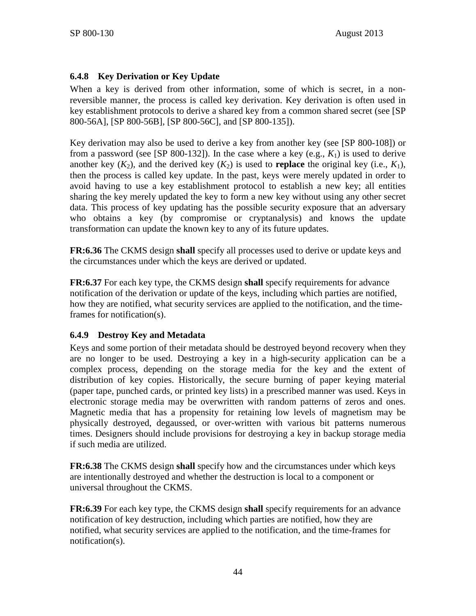### **6.4.8 Key Derivation or Key Update**

When a key is derived from other information, some of which is secret, in a nonreversible manner, the process is called key derivation. Key derivation is often used in key establishment protocols to derive a shared key from a common shared secret (see [\[SP](#page-105-0)  [800-56A\],](#page-105-0) [\[SP 800-56B\],](#page-105-1) [\[SP 800-56C\],](#page-105-2) and [\[SP 800-135\]\)](#page-108-0).

Key derivation may also be used to derive a key from another key (see [\[SP 800-108\]\)](#page-107-1) or from a password (see [\[SP 800-132\]\)](#page-108-1). In the case where a key (e.g.,  $K_1$ ) is used to derive another key  $(K_2)$ , and the derived key  $(K_2)$  is used to **replace** the original key (i.e.,  $K_1$ ), then the process is called key update. In the past, keys were merely updated in order to avoid having to use a key establishment protocol to establish a new key; all entities sharing the key merely updated the key to form a new key without using any other secret data. This process of key updating has the possible security exposure that an adversary who obtains a key (by compromise or cryptanalysis) and knows the update transformation can update the known key to any of its future updates.

**FR:6.36** The CKMS design **shall** specify all processes used to derive or update keys and the circumstances under which the keys are derived or updated.

**FR:6.37** For each key type, the CKMS design **shall** specify requirements for advance notification of the derivation or update of the keys, including which parties are notified, how they are notified, what security services are applied to the notification, and the timeframes for notification(s).

### **6.4.9 Destroy Key and Metadata**

Keys and some portion of their metadata should be destroyed beyond recovery when they are no longer to be used. Destroying a key in a high-security application can be a complex process, depending on the storage media for the key and the extent of distribution of key copies. Historically, the secure burning of paper keying material (paper tape, punched cards, or printed key lists) in a prescribed manner was used. Keys in electronic storage media may be overwritten with random patterns of zeros and ones. Magnetic media that has a propensity for retaining low levels of magnetism may be physically destroyed, degaussed, or over-written with various bit patterns numerous times. Designers should include provisions for destroying a key in backup storage media if such media are utilized.

**FR:6.38** The CKMS design **shall** specify how and the circumstances under which keys are intentionally destroyed and whether the destruction is local to a component or universal throughout the CKMS.

**FR:6.39** For each key type, the CKMS design **shall** specify requirements for an advance notification of key destruction, including which parties are notified, how they are notified, what security services are applied to the notification, and the time-frames for notification(s).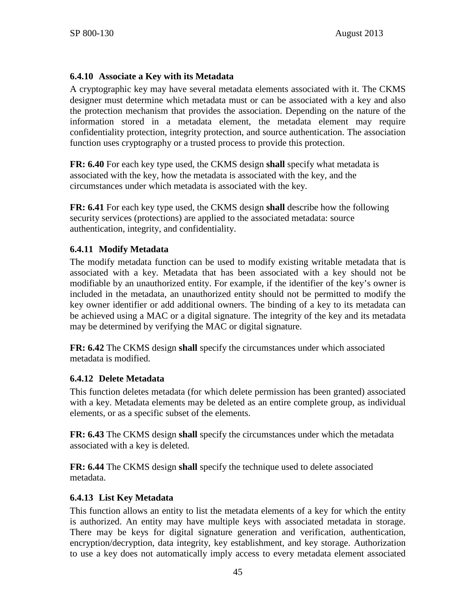### **6.4.10 Associate a Key with its Metadata**

A cryptographic key may have several metadata elements associated with it. The CKMS designer must determine which metadata must or can be associated with a key and also the protection mechanism that provides the association. Depending on the nature of the information stored in a metadata element, the metadata element may require confidentiality protection, integrity protection, and source authentication. The association function uses cryptography or a trusted process to provide this protection.

**FR: 6.40** For each key type used, the CKMS design **shall** specify what metadata is associated with the key, how the metadata is associated with the key, and the circumstances under which metadata is associated with the key.

**FR: 6.41** For each key type used, the CKMS design **shall** describe how the following security services (protections) are applied to the associated metadata: source authentication, integrity, and confidentiality.

### **6.4.11 Modify Metadata**

The modify metadata function can be used to modify existing writable metadata that is associated with a key. Metadata that has been associated with a key should not be modifiable by an unauthorized entity. For example, if the identifier of the key's owner is included in the metadata, an unauthorized entity should not be permitted to modify the key owner identifier or add additional owners. The binding of a key to its metadata can be achieved using a MAC or a digital signature. The integrity of the key and its metadata may be determined by verifying the MAC or digital signature.

**FR: 6.42** The CKMS design **shall** specify the circumstances under which associated metadata is modified.

### **6.4.12 Delete Metadata**

This function deletes metadata (for which delete permission has been granted) associated with a key. Metadata elements may be deleted as an entire complete group, as individual elements, or as a specific subset of the elements.

**FR: 6.43** The CKMS design **shall** specify the circumstances under which the metadata associated with a key is deleted.

**FR: 6.44** The CKMS design **shall** specify the technique used to delete associated metadata.

### **6.4.13 List Key Metadata**

This function allows an entity to list the metadata elements of a key for which the entity is authorized. An entity may have multiple keys with associated metadata in storage. There may be keys for digital signature generation and verification, authentication, encryption/decryption, data integrity, key establishment, and key storage. Authorization to use a key does not automatically imply access to every metadata element associated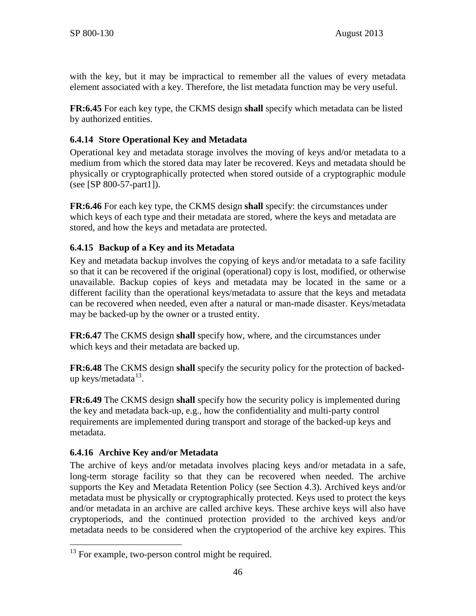with the key, but it may be impractical to remember all the values of every metadata element associated with a key. Therefore, the list metadata function may be very useful.

**FR:6.45** For each key type, the CKMS design **shall** specify which metadata can be listed by authorized entities.

# **6.4.14 Store Operational Key and Metadata**

Operational key and metadata storage involves the moving of keys and/or metadata to a medium from which the stored data may later be recovered. Keys and metadata should be physically or cryptographically protected when stored outside of a cryptographic module (see [\[SP 800-57-part1\]\)](#page-106-0).

**FR:6.46** For each key type, the CKMS design **shall** specify: the circumstances under which keys of each type and their metadata are stored, where the keys and metadata are stored, and how the keys and metadata are protected.

# <span id="page-53-0"></span>**6.4.15 Backup of a Key and its Metadata**

Key and metadata backup involves the copying of keys and/or metadata to a safe facility so that it can be recovered if the original (operational) copy is lost, modified, or otherwise unavailable. Backup copies of keys and metadata may be located in the same or a different facility than the operational keys/metadata to assure that the keys and metadata can be recovered when needed, even after a natural or man-made disaster. Keys/metadata may be backed-up by the owner or a trusted entity.

**FR:6.47** The CKMS design **shall** specify how, where, and the circumstances under which keys and their metadata are backed up.

**FR:6.48** The CKMS design **shall** specify the security policy for the protection of backedup keys/metadata $^{13}$  $^{13}$  $^{13}$ .

**FR:6.49** The CKMS design **shall** specify how the security policy is implemented during the key and metadata back-up, e.g., how the confidentiality and multi-party control requirements are implemented during transport and storage of the backed-up keys and metadata.

# **6.4.16 Archive Key and/or Metadata**

The archive of keys and/or metadata involves placing keys and/or metadata in a safe, long-term storage facility so that they can be recovered when needed. The archive supports the Key and Metadata Retention Policy (see Section 4.3). Archived keys and/or metadata must be physically or cryptographically protected. Keys used to protect the keys and/or metadata in an archive are called archive keys. These archive keys will also have cryptoperiods, and the continued protection provided to the archived keys and/or metadata needs to be considered when the cryptoperiod of the archive key expires. This

<span id="page-53-1"></span><sup>&</sup>lt;sup>13</sup> For example, two-person control might be required.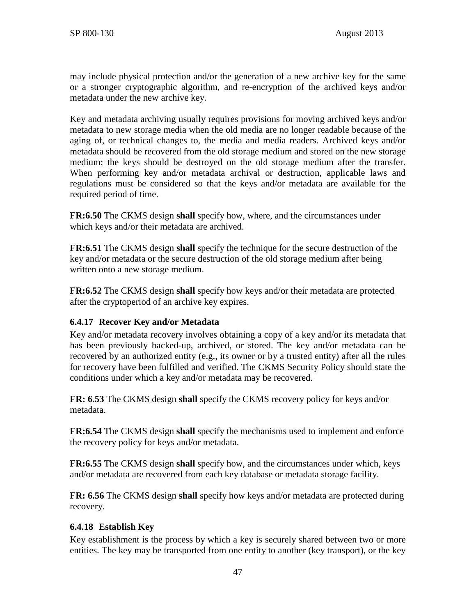may include physical protection and/or the generation of a new archive key for the same or a stronger cryptographic algorithm, and re-encryption of the archived keys and/or metadata under the new archive key.

Key and metadata archiving usually requires provisions for moving archived keys and/or metadata to new storage media when the old media are no longer readable because of the aging of, or technical changes to, the media and media readers. Archived keys and/or metadata should be recovered from the old storage medium and stored on the new storage medium; the keys should be destroyed on the old storage medium after the transfer. When performing key and/or metadata archival or destruction, applicable laws and regulations must be considered so that the keys and/or metadata are available for the required period of time.

**FR:6.50** The CKMS design **shall** specify how, where, and the circumstances under which keys and/or their metadata are archived.

**FR:6.51** The CKMS design **shall** specify the technique for the secure destruction of the key and/or metadata or the secure destruction of the old storage medium after being written onto a new storage medium.

**FR:6.52** The CKMS design **shall** specify how keys and/or their metadata are protected after the cryptoperiod of an archive key expires.

### <span id="page-54-0"></span>**6.4.17 Recover Key and/or Metadata**

Key and/or metadata recovery involves obtaining a copy of a key and/or its metadata that has been previously backed-up, archived, or stored. The key and/or metadata can be recovered by an authorized entity (e.g., its owner or by a trusted entity) after all the rules for recovery have been fulfilled and verified. The CKMS Security Policy should state the conditions under which a key and/or metadata may be recovered.

**FR: 6.53** The CKMS design **shall** specify the CKMS recovery policy for keys and/or metadata.

**FR:6.54** The CKMS design **shall** specify the mechanisms used to implement and enforce the recovery policy for keys and/or metadata.

**FR:6.55** The CKMS design **shall** specify how, and the circumstances under which, keys and/or metadata are recovered from each key database or metadata storage facility.

**FR: 6.56** The CKMS design **shall** specify how keys and/or metadata are protected during recovery.

### **6.4.18 Establish Key**

Key establishment is the process by which a key is securely shared between two or more entities. The key may be transported from one entity to another (key transport), or the key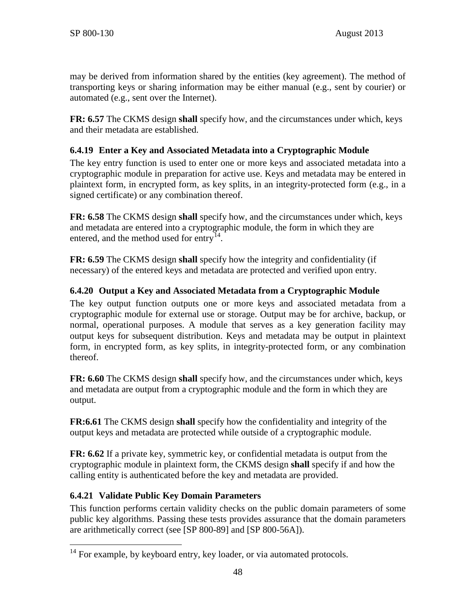may be derived from information shared by the entities (key agreement). The method of transporting keys or sharing information may be either manual (e.g., sent by courier) or automated (e.g., sent over the Internet).

**FR: 6.57** The CKMS design **shall** specify how, and the circumstances under which, keys and their metadata are established.

# <span id="page-55-2"></span>**6.4.19 Enter a Key and Associated Metadata into a Cryptographic Module**

The key entry function is used to enter one or more keys and associated metadata into a cryptographic module in preparation for active use. Keys and metadata may be entered in plaintext form, in encrypted form, as key splits, in an integrity-protected form (e.g., in a signed certificate) or any combination thereof.

**FR: 6.58** The CKMS design **shall** specify how, and the circumstances under which, keys and metadata are entered into a cryptographic module, the form in which they are entered, and the method used for entry<sup>14</sup>.

**FR: 6.59** The CKMS design **shall** specify how the integrity and confidentiality (if necessary) of the entered keys and metadata are protected and verified upon entry.

# <span id="page-55-0"></span>**6.4.20 Output a Key and Associated Metadata from a Cryptographic Module**

The key output function outputs one or more keys and associated metadata from a cryptographic module for external use or storage. Output may be for archive, backup, or normal, operational purposes. A module that serves as a key generation facility may output keys for subsequent distribution. Keys and metadata may be output in plaintext form, in encrypted form, as key splits, in integrity-protected form, or any combination thereof.

**FR: 6.60** The CKMS design **shall** specify how, and the circumstances under which, keys and metadata are output from a cryptographic module and the form in which they are output.

**FR:6.61** The CKMS design **shall** specify how the confidentiality and integrity of the output keys and metadata are protected while outside of a cryptographic module.

**FR: 6.62** If a private key, symmetric key, or confidential metadata is output from the cryptographic module in plaintext form, the CKMS design **shall** specify if and how the calling entity is authenticated before the key and metadata are provided.

# **6.4.21 Validate Public Key Domain Parameters**

This function performs certain validity checks on the public domain parameters of some public key algorithms. Passing these tests provides assurance that the domain parameters are arithmetically correct (see [\[SP 800-89\]](#page-106-2) and [\[SP 800-56A\]\)](#page-105-0).

<span id="page-55-1"></span><sup>&</sup>lt;sup>14</sup> For example, by keyboard entry, key loader, or via automated protocols.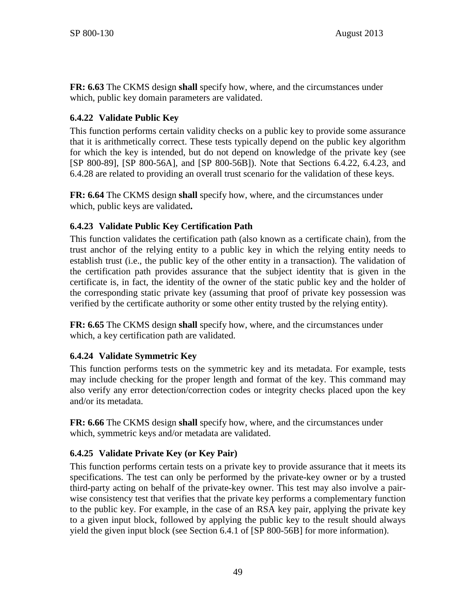**FR: 6.63** The CKMS design **shall** specify how, where, and the circumstances under which, public key domain parameters are validated.

# <span id="page-56-0"></span>**6.4.22 Validate Public Key**

This function performs certain validity checks on a public key to provide some assurance that it is arithmetically correct. These tests typically depend on the public key algorithm for which the key is intended, but do not depend on knowledge of the private key (see [\[SP 800-89\],](#page-106-2) [\[SP 800-56A\],](#page-105-0) and [\[SP 800-56B\]\)](#page-105-1). Note that Sections [6.4.22,](#page-56-0) [6.4.23,](#page-56-1) and [6.4.28](#page-57-0) are related to providing an overall trust scenario for the validation of these keys.

**FR: 6.64** The CKMS design **shall** specify how, where, and the circumstances under which, public keys are validated**.**

# <span id="page-56-1"></span>**6.4.23 Validate Public Key Certification Path**

This function validates the certification path (also known as a certificate chain), from the trust anchor of the relying entity to a public key in which the relying entity needs to establish trust (i.e., the public key of the other entity in a transaction). The validation of the certification path provides assurance that the subject identity that is given in the certificate is, in fact, the identity of the owner of the static public key and the holder of the corresponding static private key (assuming that proof of private key possession was verified by the certificate authority or some other entity trusted by the relying entity).

**FR: 6.65** The CKMS design **shall** specify how, where, and the circumstances under which, a key certification path are validated.

# **6.4.24 Validate Symmetric Key**

This function performs tests on the symmetric key and its metadata. For example, tests may include checking for the proper length and format of the key. This command may also verify any error detection/correction codes or integrity checks placed upon the key and/or its metadata.

**FR: 6.66** The CKMS design **shall** specify how, where, and the circumstances under which, symmetric keys and/or metadata are validated.

# **6.4.25 Validate Private Key (or Key Pair)**

This function performs certain tests on a private key to provide assurance that it meets its specifications. The test can only be performed by the private-key owner or by a trusted third-party acting on behalf of the private-key owner. This test may also involve a pairwise consistency test that verifies that the private key performs a complementary function to the public key. For example, in the case of an RSA key pair, applying the private key to a given input block, followed by applying the public key to the result should always yield the given input block (see Section 6.4.1 of [\[SP 800-56B\]](#page-105-1) for more information).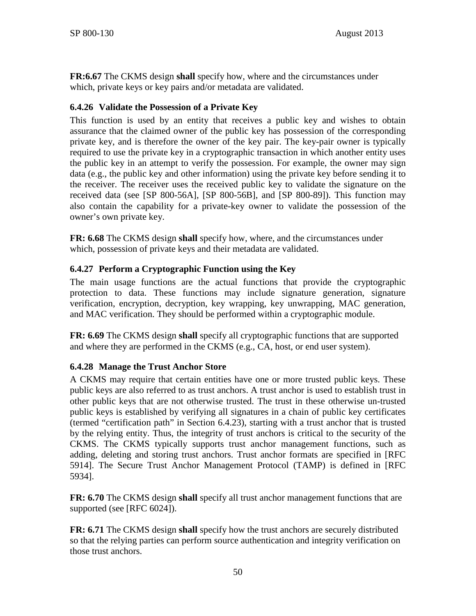**FR:6.67** The CKMS design **shall** specify how, where and the circumstances under which, private keys or key pairs and/or metadata are validated.

### **6.4.26 Validate the Possession of a Private Key**

This function is used by an entity that receives a public key and wishes to obtain assurance that the claimed owner of the public key has possession of the corresponding private key, and is therefore the owner of the key pair. The key-pair owner is typically required to use the private key in a cryptographic transaction in which another entity uses the public key in an attempt to verify the possession. For example, the owner may sign data (e.g., the public key and other information) using the private key before sending it to the receiver. The receiver uses the received public key to validate the signature on the received data (see [\[SP 800-56A\],](#page-105-0) [\[SP 800-56B\],](#page-105-1) and [\[SP 800-89\]\)](#page-106-2). This function may also contain the capability for a private-key owner to validate the possession of the owner's own private key.

**FR: 6.68** The CKMS design **shall** specify how, where, and the circumstances under which, possession of private keys and their metadata are validated.

### **6.4.27 Perform a Cryptographic Function using the Key**

The main usage functions are the actual functions that provide the cryptographic protection to data. These functions may include signature generation, signature verification, encryption, decryption, key wrapping, key unwrapping, MAC generation, and MAC verification. They should be performed within a cryptographic module.

**FR: 6.69** The CKMS design **shall** specify all cryptographic functions that are supported and where they are performed in the CKMS (e.g., CA, host, or end user system).

### <span id="page-57-0"></span>**6.4.28 Manage the Trust Anchor Store**

A CKMS may require that certain entities have one or more trusted public keys. These public keys are also referred to as trust anchors. A trust anchor is used to establish trust in other public keys that are not otherwise trusted. The trust in these otherwise un-trusted public keys is established by verifying all signatures in a chain of public key certificates (termed "certification path" in Section [6.4.23\)](#page-56-1), starting with a trust anchor that is trusted by the relying entity. Thus, the integrity of trust anchors is critical to the security of the CKMS. The CKMS typically supports trust anchor management functions, such as adding, deleting and storing trust anchors. Trust anchor formats are specified in [\[RFC](#page-102-1)  [5914\].](#page-102-1) The Secure Trust Anchor Management Protocol (TAMP) is defined in [\[RFC](#page-102-2)  [5934\].](#page-102-2)

**FR: 6.70** The CKMS design **shall** specify all trust anchor management functions that are supported (see [\[RFC 6024\]\)](#page-102-3).

**FR: 6.71** The CKMS design **shall** specify how the trust anchors are securely distributed so that the relying parties can perform source authentication and integrity verification on those trust anchors.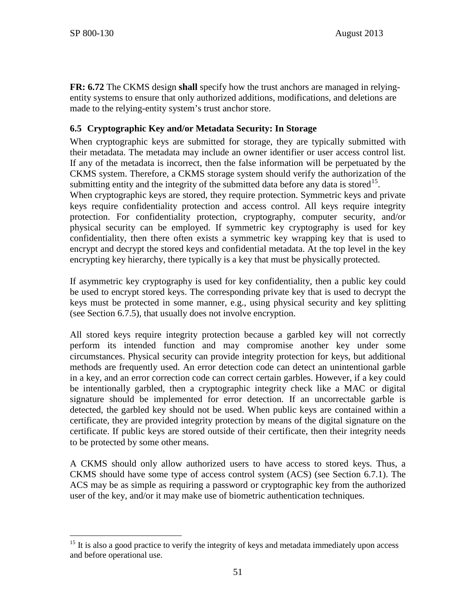**FR: 6.72** The CKMS design **shall** specify how the trust anchors are managed in relyingentity systems to ensure that only authorized additions, modifications, and deletions are made to the relying-entity system's trust anchor store.

### **6.5 Cryptographic Key and/or Metadata Security: In Storage**

When cryptographic keys are submitted for storage, they are typically submitted with their metadata. The metadata may include an owner identifier or user access control list. If any of the metadata is incorrect, then the false information will be perpetuated by the CKMS system. Therefore, a CKMS storage system should verify the authorization of the submitting entity and the integrity of the submitted data before any data is stored<sup>[15](#page-58-0)</sup>.

When cryptographic keys are stored, they require protection. Symmetric keys and private keys require confidentiality protection and access control. All keys require integrity protection. For confidentiality protection, cryptography, computer security, and/or physical security can be employed. If symmetric key cryptography is used for key confidentiality, then there often exists a symmetric key wrapping key that is used to encrypt and decrypt the stored keys and confidential metadata. At the top level in the key encrypting key hierarchy, there typically is a key that must be physically protected.

If asymmetric key cryptography is used for key confidentiality, then a public key could be used to encrypt stored keys. The corresponding private key that is used to decrypt the keys must be protected in some manner, e.g., using physical security and key splitting (see Section [6.7.5\)](#page-66-0), that usually does not involve encryption.

All stored keys require integrity protection because a garbled key will not correctly perform its intended function and may compromise another key under some circumstances. Physical security can provide integrity protection for keys, but additional methods are frequently used. An error detection code can detect an unintentional garble in a key, and an error correction code can correct certain garbles. However, if a key could be intentionally garbled, then a cryptographic integrity check like a MAC or digital signature should be implemented for error detection. If an uncorrectable garble is detected, the garbled key should not be used. When public keys are contained within a certificate, they are provided integrity protection by means of the digital signature on the certificate. If public keys are stored outside of their certificate, then their integrity needs to be protected by some other means.

A CKMS should only allow authorized users to have access to stored keys. Thus, a CKMS should have some type of access control system (ACS) (see Section [6.7.1\)](#page-62-0). The ACS may be as simple as requiring a password or cryptographic key from the authorized user of the key, and/or it may make use of biometric authentication techniques.

<span id="page-58-0"></span> $15$  It is also a good practice to verify the integrity of keys and metadata immediately upon access and before operational use.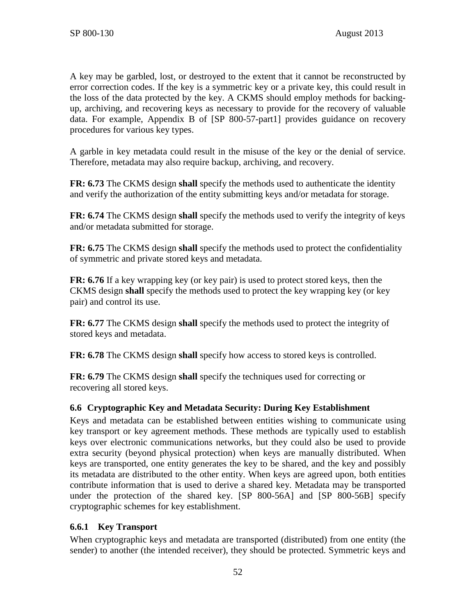A key may be garbled, lost, or destroyed to the extent that it cannot be reconstructed by error correction codes. If the key is a symmetric key or a private key, this could result in the loss of the data protected by the key. A CKMS should employ methods for backingup, archiving, and recovering keys as necessary to provide for the recovery of valuable data. For example, Appendix B of [\[SP 800-57-part1\]](#page-106-0) provides guidance on recovery procedures for various key types.

A garble in key metadata could result in the misuse of the key or the denial of service. Therefore, metadata may also require backup, archiving, and recovery.

**FR: 6.73** The CKMS design **shall** specify the methods used to authenticate the identity and verify the authorization of the entity submitting keys and/or metadata for storage.

**FR: 6.74** The CKMS design **shall** specify the methods used to verify the integrity of keys and/or metadata submitted for storage.

**FR: 6.75** The CKMS design **shall** specify the methods used to protect the confidentiality of symmetric and private stored keys and metadata.

**FR: 6.76** If a key wrapping key (or key pair) is used to protect stored keys, then the CKMS design **shall** specify the methods used to protect the key wrapping key (or key pair) and control its use.

**FR: 6.77** The CKMS design **shall** specify the methods used to protect the integrity of stored keys and metadata.

**FR: 6.78** The CKMS design **shall** specify how access to stored keys is controlled.

**FR: 6.79** The CKMS design **shall** specify the techniques used for correcting or recovering all stored keys.

### **6.6 Cryptographic Key and Metadata Security: During Key Establishment**

Keys and metadata can be established between entities wishing to communicate using key transport or key agreement methods. These methods are typically used to establish keys over electronic communications networks, but they could also be used to provide extra security (beyond physical protection) when keys are manually distributed. When keys are transported, one entity generates the key to be shared, and the key and possibly its metadata are distributed to the other entity. When keys are agreed upon, both entities contribute information that is used to derive a shared key. Metadata may be transported under the protection of the shared key. [\[SP 800-56A\]](#page-105-0) and [\[SP 800-56B\]](#page-105-1) specify cryptographic schemes for key establishment.

### **6.6.1 Key Transport**

When cryptographic keys and metadata are transported (distributed) from one entity (the sender) to another (the intended receiver), they should be protected. Symmetric keys and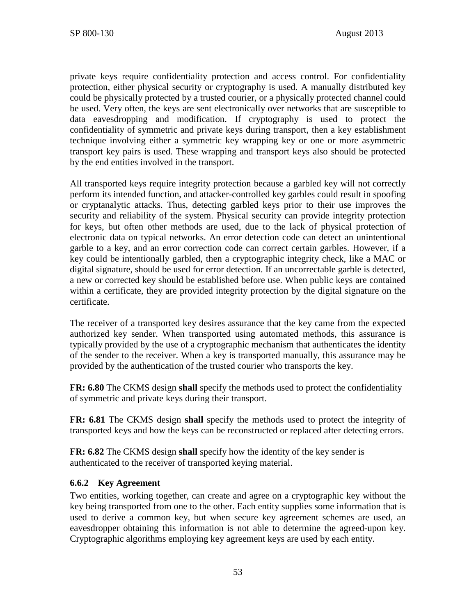private keys require confidentiality protection and access control. For confidentiality protection, either physical security or cryptography is used. A manually distributed key could be physically protected by a trusted courier, or a physically protected channel could be used. Very often, the keys are sent electronically over networks that are susceptible to data eavesdropping and modification. If cryptography is used to protect the confidentiality of symmetric and private keys during transport, then a key establishment technique involving either a symmetric key wrapping key or one or more asymmetric transport key pairs is used. These wrapping and transport keys also should be protected by the end entities involved in the transport.

All transported keys require integrity protection because a garbled key will not correctly perform its intended function, and attacker-controlled key garbles could result in spoofing or cryptanalytic attacks. Thus, detecting garbled keys prior to their use improves the security and reliability of the system. Physical security can provide integrity protection for keys, but often other methods are used, due to the lack of physical protection of electronic data on typical networks. An error detection code can detect an unintentional garble to a key, and an error correction code can correct certain garbles. However, if a key could be intentionally garbled, then a cryptographic integrity check, like a MAC or digital signature, should be used for error detection. If an uncorrectable garble is detected, a new or corrected key should be established before use. When public keys are contained within a certificate, they are provided integrity protection by the digital signature on the certificate.

The receiver of a transported key desires assurance that the key came from the expected authorized key sender. When transported using automated methods, this assurance is typically provided by the use of a cryptographic mechanism that authenticates the identity of the sender to the receiver. When a key is transported manually, this assurance may be provided by the authentication of the trusted courier who transports the key.

**FR: 6.80** The CKMS design **shall** specify the methods used to protect the confidentiality of symmetric and private keys during their transport.

**FR: 6.81** The CKMS design **shall** specify the methods used to protect the integrity of transported keys and how the keys can be reconstructed or replaced after detecting errors.

**FR: 6.82** The CKMS design **shall** specify how the identity of the key sender is authenticated to the receiver of transported keying material.

### **6.6.2 Key Agreement**

Two entities, working together, can create and agree on a cryptographic key without the key being transported from one to the other. Each entity supplies some information that is used to derive a common key, but when secure key agreement schemes are used, an eavesdropper obtaining this information is not able to determine the agreed-upon key. Cryptographic algorithms employing key agreement keys are used by each entity.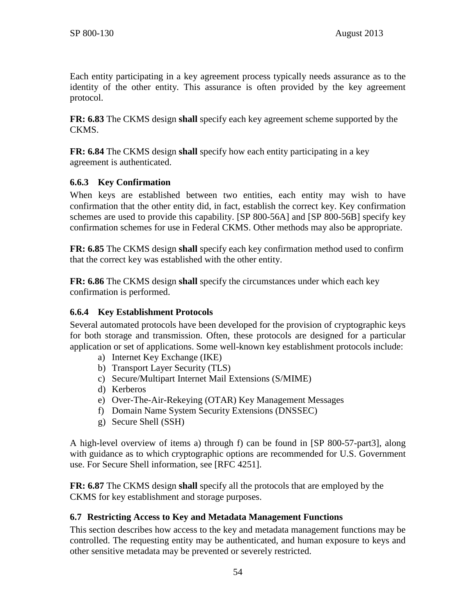Each entity participating in a key agreement process typically needs assurance as to the identity of the other entity. This assurance is often provided by the key agreement protocol.

**FR: 6.83** The CKMS design **shall** specify each key agreement scheme supported by the CKMS.

**FR: 6.84** The CKMS design **shall** specify how each entity participating in a key agreement is authenticated.

### **6.6.3 Key Confirmation**

When keys are established between two entities, each entity may wish to have confirmation that the other entity did, in fact, establish the correct key. Key confirmation schemes are used to provide this capability. [\[SP 800-56A\]](#page-105-0) and [\[SP 800-56B\]](#page-105-1) specify key confirmation schemes for use in Federal CKMS. Other methods may also be appropriate.

**FR: 6.85** The CKMS design **shall** specify each key confirmation method used to confirm that the correct key was established with the other entity.

**FR: 6.86** The CKMS design **shall** specify the circumstances under which each key confirmation is performed.

# **6.6.4 Key Establishment Protocols**

Several automated protocols have been developed for the provision of cryptographic keys for both storage and transmission. Often, these protocols are designed for a particular application or set of applications. Some well-known key establishment protocols include:

- a) Internet Key Exchange (IKE)
- b) Transport Layer Security (TLS)
- c) Secure/Multipart Internet Mail Extensions (S/MIME)
- d) Kerberos
- e) Over-The-Air-Rekeying (OTAR) Key Management Messages
- f) Domain Name System Security Extensions (DNSSEC)
- g) Secure Shell (SSH)

A high-level overview of items a) through f) can be found in [\[SP 800-57-part3\],](#page-106-3) along with guidance as to which cryptographic options are recommended for U.S. Government use. For Secure Shell information, see [\[RFC 4251\].](#page-101-0)

**FR: 6.87** The CKMS design **shall** specify all the protocols that are employed by the CKMS for key establishment and storage purposes.

# <span id="page-61-0"></span>**6.7 Restricting Access to Key and Metadata Management Functions**

This section describes how access to the key and metadata management functions may be controlled. The requesting entity may be authenticated, and human exposure to keys and other sensitive metadata may be prevented or severely restricted.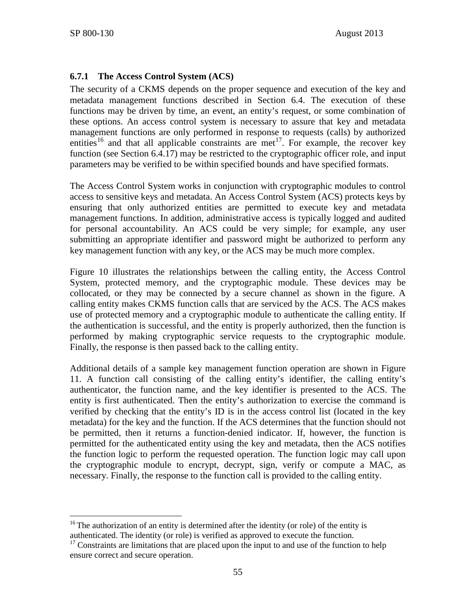### <span id="page-62-0"></span>**6.7.1 The Access Control System (ACS)**

The security of a CKMS depends on the proper sequence and execution of the key and metadata management functions described in Section [6.4.](#page-46-0) The execution of these functions may be driven by time, an event, an entity's request, or some combination of these options. An access control system is necessary to assure that key and metadata management functions are only performed in response to requests (calls) by authorized entities<sup>[16](#page-62-1)</sup> and that all applicable constraints are met<sup>17</sup>. For example, the recover key function (see Section [6.4.17\)](#page-54-0) may be restricted to the cryptographic officer role, and input parameters may be verified to be within specified bounds and have specified formats.

The Access Control System works in conjunction with cryptographic modules to control access to sensitive keys and metadata. An Access Control System (ACS) protects keys by ensuring that only authorized entities are permitted to execute key and metadata management functions. In addition, administrative access is typically logged and audited for personal accountability. An ACS could be very simple; for example, any user submitting an appropriate identifier and password might be authorized to perform any key management function with any key, or the ACS may be much more complex.

[Figure 10](#page-63-0) illustrates the relationships between the calling entity, the Access Control System, protected memory, and the cryptographic module. These devices may be collocated, or they may be connected by a secure channel as shown in the figure. A calling entity makes CKMS function calls that are serviced by the ACS. The ACS makes use of protected memory and a cryptographic module to authenticate the calling entity. If the authentication is successful, and the entity is properly authorized, then the function is performed by making cryptographic service requests to the cryptographic module. Finally, the response is then passed back to the calling entity.

Additional details of a sample key management function operation are shown in [Figure](#page-64-0)  [11.](#page-64-0) A function call consisting of the calling entity's identifier, the calling entity's authenticator, the function name, and the key identifier is presented to the ACS. The entity is first authenticated. Then the entity's authorization to exercise the command is verified by checking that the entity's ID is in the access control list (located in the key metadata) for the key and the function. If the ACS determines that the function should not be permitted, then it returns a function-denied indicator. If, however, the function is permitted for the authenticated entity using the key and metadata, then the ACS notifies the function logic to perform the requested operation. The function logic may call upon the cryptographic module to encrypt, decrypt, sign, verify or compute a MAC, as necessary. Finally, the response to the function call is provided to the calling entity.

<span id="page-62-1"></span><sup>&</sup>lt;sup>16</sup> The authorization of an entity is determined after the identity (or role) of the entity is authenticated. The identity (or role) is verified as approved to execute the function.

<span id="page-62-2"></span> $17$  Constraints are limitations that are placed upon the input to and use of the function to help ensure correct and secure operation.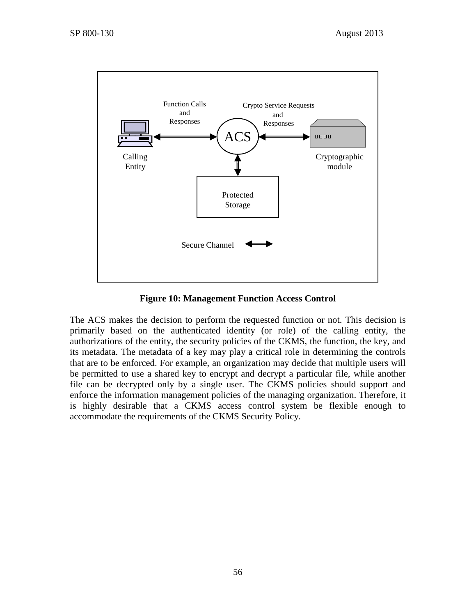

**Figure 10: Management Function Access Control**

<span id="page-63-0"></span>The ACS makes the decision to perform the requested function or not. This decision is primarily based on the authenticated identity (or role) of the calling entity, the authorizations of the entity, the security policies of the CKMS, the function, the key, and its metadata. The metadata of a key may play a critical role in determining the controls that are to be enforced. For example, an organization may decide that multiple users will be permitted to use a shared key to encrypt and decrypt a particular file, while another file can be decrypted only by a single user. The CKMS policies should support and enforce the information management policies of the managing organization. Therefore, it is highly desirable that a CKMS access control system be flexible enough to accommodate the requirements of the CKMS Security Policy.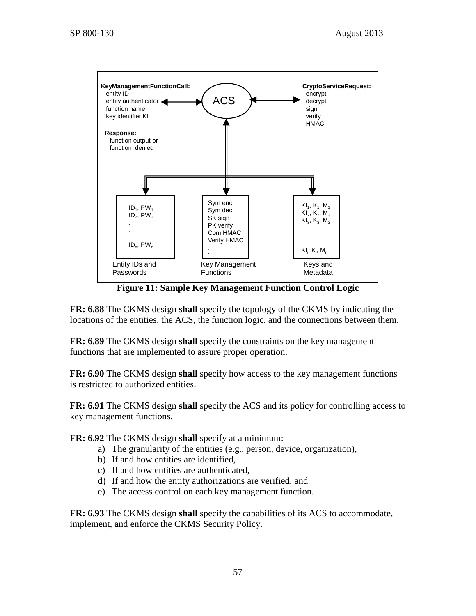

**Figure 11: Sample Key Management Function Control Logic**

<span id="page-64-0"></span>**FR: 6.88** The CKMS design **shall** specify the topology of the CKMS by indicating the locations of the entities, the ACS, the function logic, and the connections between them.

**FR: 6.89** The CKMS design **shall** specify the constraints on the key management functions that are implemented to assure proper operation.

**FR: 6.90** The CKMS design **shall** specify how access to the key management functions is restricted to authorized entities.

**FR: 6.91** The CKMS design **shall** specify the ACS and its policy for controlling access to key management functions.

**FR: 6.92** The CKMS design **shall** specify at a minimum:

- a) The granularity of the entities (e.g., person, device, organization),
- b) If and how entities are identified,
- c) If and how entities are authenticated,
- d) If and how the entity authorizations are verified, and
- e) The access control on each key management function.

**FR: 6.93** The CKMS design **shall** specify the capabilities of its ACS to accommodate, implement, and enforce the CKMS Security Policy.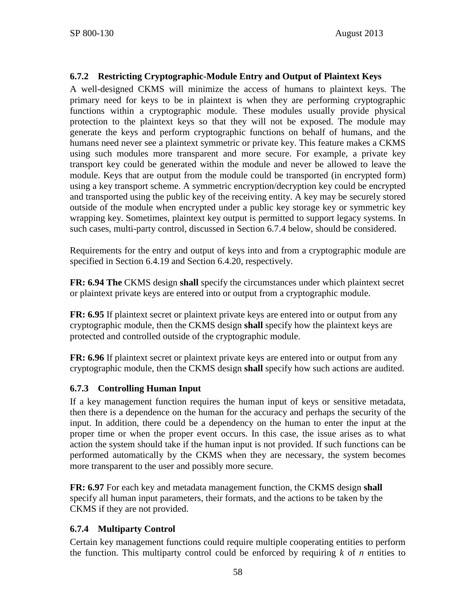### **6.7.2 Restricting Cryptographic-Module Entry and Output of Plaintext Keys**

A well-designed CKMS will minimize the access of humans to plaintext keys. The primary need for keys to be in plaintext is when they are performing cryptographic functions within a cryptographic module. These modules usually provide physical protection to the plaintext keys so that they will not be exposed. The module may generate the keys and perform cryptographic functions on behalf of humans, and the humans need never see a plaintext symmetric or private key. This feature makes a CKMS using such modules more transparent and more secure. For example, a private key transport key could be generated within the module and never be allowed to leave the module. Keys that are output from the module could be transported (in encrypted form) using a key transport scheme. A symmetric encryption/decryption key could be encrypted and transported using the public key of the receiving entity. A key may be securely stored outside of the module when encrypted under a public key storage key or symmetric key wrapping key. Sometimes, plaintext key output is permitted to support legacy systems. In such cases, multi-party control, discussed in Section [6.7.4](#page-65-0) below, should be considered.

Requirements for the entry and output of keys into and from a cryptographic module are specified in Section [6.4.19](#page-55-2) and Section [6.4.20,](#page-55-0) respectively.

**FR: 6.94 The** CKMS design **shall** specify the circumstances under which plaintext secret or plaintext private keys are entered into or output from a cryptographic module.

**FR: 6.95** If plaintext secret or plaintext private keys are entered into or output from any cryptographic module, then the CKMS design **shall** specify how the plaintext keys are protected and controlled outside of the cryptographic module.

**FR: 6.96** If plaintext secret or plaintext private keys are entered into or output from any cryptographic module, then the CKMS design **shall** specify how such actions are audited.

### **6.7.3 Controlling Human Input**

If a key management function requires the human input of keys or sensitive metadata, then there is a dependence on the human for the accuracy and perhaps the security of the input. In addition, there could be a dependency on the human to enter the input at the proper time or when the proper event occurs. In this case, the issue arises as to what action the system should take if the human input is not provided. If such functions can be performed automatically by the CKMS when they are necessary, the system becomes more transparent to the user and possibly more secure.

**FR: 6.97** For each key and metadata management function, the CKMS design **shall** specify all human input parameters, their formats, and the actions to be taken by the CKMS if they are not provided.

### <span id="page-65-0"></span>**6.7.4 Multiparty Control**

Certain key management functions could require multiple cooperating entities to perform the function. This multiparty control could be enforced by requiring  $k$  of  $n$  entities to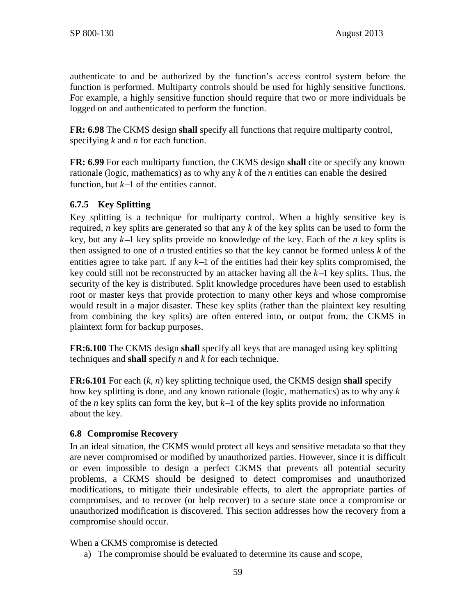authenticate to and be authorized by the function's access control system before the function is performed. Multiparty controls should be used for highly sensitive functions. For example, a highly sensitive function should require that two or more individuals be logged on and authenticated to perform the function.

**FR: 6.98** The CKMS design **shall** specify all functions that require multiparty control, specifying *k* and *n* for each function.

**FR: 6.99** For each multiparty function, the CKMS design **shall** cite or specify any known rationale (logic, mathematics) as to why any *k* of the *n* entities can enable the desired function, but *k*−1 of the entities cannot.

### <span id="page-66-0"></span>**6.7.5 Key Splitting**

Key splitting is a technique for multiparty control. When a highly sensitive key is required, *n* key splits are generated so that any *k* of the key splits can be used to form the key, but any *k*−1 key splits provide no knowledge of the key. Each of the *n* key splits is then assigned to one of *n* trusted entities so that the key cannot be formed unless *k* of the entities agree to take part. If any *k*−1 of the entities had their key splits compromised, the key could still not be reconstructed by an attacker having all the *k*−1 key splits. Thus, the security of the key is distributed. Split knowledge procedures have been used to establish root or master keys that provide protection to many other keys and whose compromise would result in a major disaster. These key splits (rather than the plaintext key resulting from combining the key splits) are often entered into, or output from, the CKMS in plaintext form for backup purposes.

**FR:6.100** The CKMS design **shall** specify all keys that are managed using key splitting techniques and **shall** specify *n* and *k* for each technique.

**FR:6.101** For each (*k*, *n*) key splitting technique used, the CKMS design **shall** specify how key splitting is done, and any known rationale (logic, mathematics) as to why any *k* of the *n* key splits can form the key, but *k*−1 of the key splits provide no information about the key.

# **6.8 Compromise Recovery**

In an ideal situation, the CKMS would protect all keys and sensitive metadata so that they are never compromised or modified by unauthorized parties. However, since it is difficult or even impossible to design a perfect CKMS that prevents all potential security problems, a CKMS should be designed to detect compromises and unauthorized modifications, to mitigate their undesirable effects, to alert the appropriate parties of compromises, and to recover (or help recover) to a secure state once a compromise or unauthorized modification is discovered. This section addresses how the recovery from a compromise should occur.

### When a CKMS compromise is detected

a) The compromise should be evaluated to determine its cause and scope,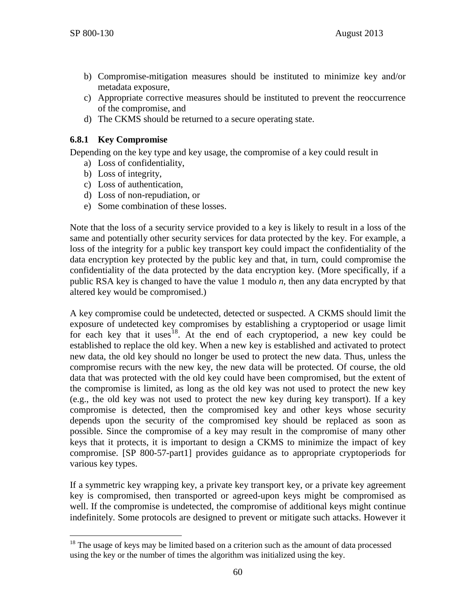- b) Compromise-mitigation measures should be instituted to minimize key and/or metadata exposure,
- c) Appropriate corrective measures should be instituted to prevent the reoccurrence of the compromise, and
- d) The CKMS should be returned to a secure operating state.

### **6.8.1 Key Compromise**

Depending on the key type and key usage, the compromise of a key could result in

- a) Loss of confidentiality,
- b) Loss of integrity,
- c) Loss of authentication,
- d) Loss of non-repudiation, or
- e) Some combination of these losses.

Note that the loss of a security service provided to a key is likely to result in a loss of the same and potentially other security services for data protected by the key. For example, a loss of the integrity for a public key transport key could impact the confidentiality of the data encryption key protected by the public key and that, in turn, could compromise the confidentiality of the data protected by the data encryption key. (More specifically, if a public RSA key is changed to have the value 1 modulo *n*, then any data encrypted by that altered key would be compromised.)

A key compromise could be undetected, detected or suspected. A CKMS should limit the exposure of undetected key compromises by establishing a cryptoperiod or usage limit for each key that it uses<sup>18</sup>. At the end of each cryptoperiod, a new key could be established to replace the old key. When a new key is established and activated to protect new data, the old key should no longer be used to protect the new data. Thus, unless the compromise recurs with the new key, the new data will be protected. Of course, the old data that was protected with the old key could have been compromised, but the extent of the compromise is limited, as long as the old key was not used to protect the new key (e.g., the old key was not used to protect the new key during key transport). If a key compromise is detected, then the compromised key and other keys whose security depends upon the security of the compromised key should be replaced as soon as possible. Since the compromise of a key may result in the compromise of many other keys that it protects, it is important to design a CKMS to minimize the impact of key compromise. [\[SP 800-57-part1\]](#page-106-0) provides guidance as to appropriate cryptoperiods for various key types.

If a symmetric key wrapping key, a private key transport key, or a private key agreement key is compromised, then transported or agreed-upon keys might be compromised as well. If the compromise is undetected, the compromise of additional keys might continue indefinitely. Some protocols are designed to prevent or mitigate such attacks. However it

<span id="page-67-0"></span> $18$  The usage of keys may be limited based on a criterion such as the amount of data processed using the key or the number of times the algorithm was initialized using the key.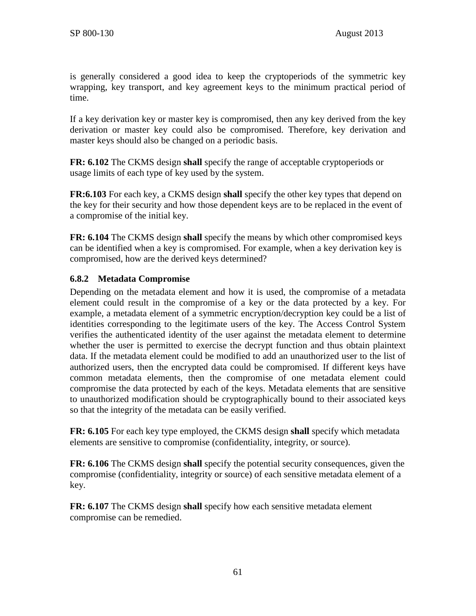is generally considered a good idea to keep the cryptoperiods of the symmetric key wrapping, key transport, and key agreement keys to the minimum practical period of time.

If a key derivation key or master key is compromised, then any key derived from the key derivation or master key could also be compromised. Therefore, key derivation and master keys should also be changed on a periodic basis.

**FR: 6.102** The CKMS design **shall** specify the range of acceptable cryptoperiods or usage limits of each type of key used by the system.

**FR:6.103** For each key, a CKMS design **shall** specify the other key types that depend on the key for their security and how those dependent keys are to be replaced in the event of a compromise of the initial key.

**FR: 6.104** The CKMS design **shall** specify the means by which other compromised keys can be identified when a key is compromised. For example, when a key derivation key is compromised, how are the derived keys determined?

### **6.8.2 Metadata Compromise**

Depending on the metadata element and how it is used, the compromise of a metadata element could result in the compromise of a key or the data protected by a key. For example, a metadata element of a symmetric encryption/decryption key could be a list of identities corresponding to the legitimate users of the key. The Access Control System verifies the authenticated identity of the user against the metadata element to determine whether the user is permitted to exercise the decrypt function and thus obtain plaintext data. If the metadata element could be modified to add an unauthorized user to the list of authorized users, then the encrypted data could be compromised. If different keys have common metadata elements, then the compromise of one metadata element could compromise the data protected by each of the keys. Metadata elements that are sensitive to unauthorized modification should be cryptographically bound to their associated keys so that the integrity of the metadata can be easily verified.

**FR: 6.105** For each key type employed, the CKMS design **shall** specify which metadata elements are sensitive to compromise (confidentiality, integrity, or source).

**FR: 6.106** The CKMS design **shall** specify the potential security consequences, given the compromise (confidentiality, integrity or source) of each sensitive metadata element of a key.

**FR: 6.107** The CKMS design **shall** specify how each sensitive metadata element compromise can be remedied.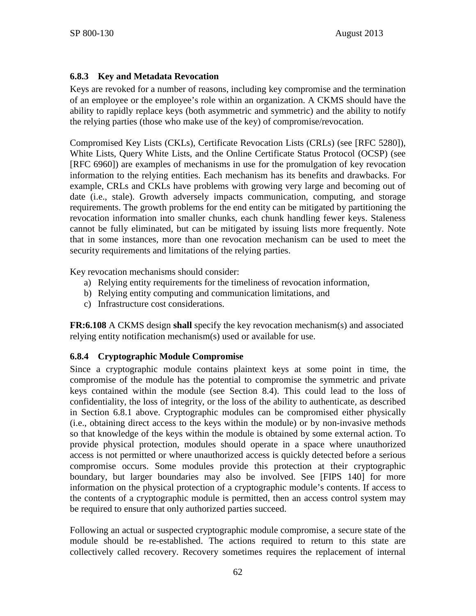### **6.8.3 Key and Metadata Revocation**

Keys are revoked for a number of reasons, including key compromise and the termination of an employee or the employee's role within an organization. A CKMS should have the ability to rapidly replace keys (both asymmetric and symmetric) and the ability to notify the relying parties (those who make use of the key) of compromise/revocation.

Compromised Key Lists (CKLs), Certificate Revocation Lists (CRLs) (see [\[RFC 5280\]\)](#page-101-1), White Lists, Query White Lists, and the Online Certificate Status Protocol (OCSP) (see [RFC 6960]) are examples of mechanisms in use for the promulgation of key revocation information to the relying entities. Each mechanism has its benefits and drawbacks. For example, CRLs and CKLs have problems with growing very large and becoming out of date (i.e., stale). Growth adversely impacts communication, computing, and storage requirements. The growth problems for the end entity can be mitigated by partitioning the revocation information into smaller chunks, each chunk handling fewer keys. Staleness cannot be fully eliminated, but can be mitigated by issuing lists more frequently. Note that in some instances, more than one revocation mechanism can be used to meet the security requirements and limitations of the relying parties.

Key revocation mechanisms should consider:

- a) Relying entity requirements for the timeliness of revocation information,
- b) Relying entity computing and communication limitations, and
- c) Infrastructure cost considerations.

**FR:6.108** A CKMS design **shall** specify the key revocation mechanism(s) and associated relying entity notification mechanism(s) used or available for use.

### **6.8.4 Cryptographic Module Compromise**

Since a cryptographic module contains plaintext keys at some point in time, the compromise of the module has the potential to compromise the symmetric and private keys contained within the module (see Section [8.4\)](#page-82-0). This could lead to the loss of confidentiality, the loss of integrity, or the loss of the ability to authenticate, as described in Section 6.8.1 above. Cryptographic modules can be compromised either physically (i.e., obtaining direct access to the keys within the module) or by non-invasive methods so that knowledge of the keys within the module is obtained by some external action. To provide physical protection, modules should operate in a space where unauthorized access is not permitted or where unauthorized access is quickly detected before a serious compromise occurs. Some modules provide this protection at their cryptographic boundary, but larger boundaries may also be involved. See [\[FIPS 140\]](#page-98-1) for more information on the physical protection of a cryptographic module's contents. If access to the contents of a cryptographic module is permitted, then an access control system may be required to ensure that only authorized parties succeed.

Following an actual or suspected cryptographic module compromise, a secure state of the module should be re-established. The actions required to return to this state are collectively called recovery. Recovery sometimes requires the replacement of internal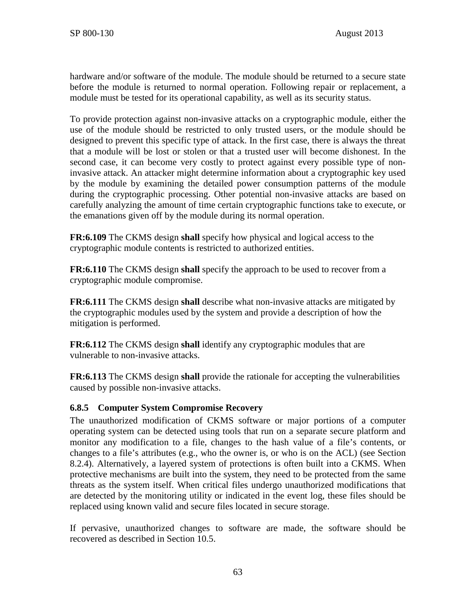hardware and/or software of the module. The module should be returned to a secure state before the module is returned to normal operation. Following repair or replacement, a module must be tested for its operational capability, as well as its security status.

To provide protection against non-invasive attacks on a cryptographic module, either the use of the module should be restricted to only trusted users, or the module should be designed to prevent this specific type of attack. In the first case, there is always the threat that a module will be lost or stolen or that a trusted user will become dishonest. In the second case, it can become very costly to protect against every possible type of noninvasive attack. An attacker might determine information about a cryptographic key used by the module by examining the detailed power consumption patterns of the module during the cryptographic processing. Other potential non-invasive attacks are based on carefully analyzing the amount of time certain cryptographic functions take to execute, or the emanations given off by the module during its normal operation.

**FR:6.109** The CKMS design **shall** specify how physical and logical access to the cryptographic module contents is restricted to authorized entities.

**FR:6.110** The CKMS design **shall** specify the approach to be used to recover from a cryptographic module compromise.

**FR:6.111** The CKMS design **shall** describe what non-invasive attacks are mitigated by the cryptographic modules used by the system and provide a description of how the mitigation is performed.

**FR:6.112** The CKMS design **shall** identify any cryptographic modules that are vulnerable to non-invasive attacks.

**FR:6.113** The CKMS design **shall** provide the rationale for accepting the vulnerabilities caused by possible non-invasive attacks.

### **6.8.5 Computer System Compromise Recovery**

The unauthorized modification of CKMS software or major portions of a computer operating system can be detected using tools that run on a separate secure platform and monitor any modification to a file, changes to the hash value of a file's contents, or changes to a file's attributes (e.g., who the owner is, or who is on the ACL) (see Section [8.2.4\)](#page-80-0). Alternatively, a layered system of protections is often built into a CKMS. When protective mechanisms are built into the system, they need to be protected from the same threats as the system itself. When critical files undergo unauthorized modifications that are detected by the monitoring utility or indicated in the event log, these files should be replaced using known valid and secure files located in secure storage.

If pervasive, unauthorized changes to software are made, the software should be recovered as described in Section [10.5.](#page-90-0)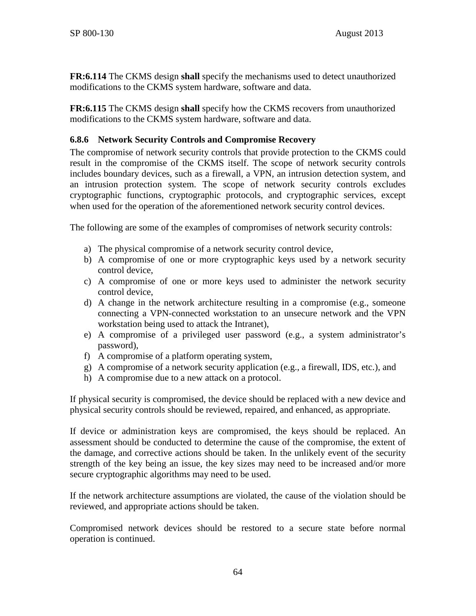**FR:6.114** The CKMS design **shall** specify the mechanisms used to detect unauthorized modifications to the CKMS system hardware, software and data.

**FR:6.115** The CKMS design **shall** specify how the CKMS recovers from unauthorized modifications to the CKMS system hardware, software and data.

# **6.8.6 Network Security Controls and Compromise Recovery**

The compromise of network security controls that provide protection to the CKMS could result in the compromise of the CKMS itself. The scope of network security controls includes boundary devices, such as a firewall, a VPN, an intrusion detection system, and an intrusion protection system. The scope of network security controls excludes cryptographic functions, cryptographic protocols, and cryptographic services, except when used for the operation of the aforementioned network security control devices.

The following are some of the examples of compromises of network security controls:

- a) The physical compromise of a network security control device,
- b) A compromise of one or more cryptographic keys used by a network security control device,
- c) A compromise of one or more keys used to administer the network security control device,
- d) A change in the network architecture resulting in a compromise (e.g., someone connecting a VPN-connected workstation to an unsecure network and the VPN workstation being used to attack the Intranet),
- e) A compromise of a privileged user password (e.g., a system administrator's password),
- f) A compromise of a platform operating system,
- g) A compromise of a network security application (e.g., a firewall, IDS, etc.), and
- h) A compromise due to a new attack on a protocol.

If physical security is compromised, the device should be replaced with a new device and physical security controls should be reviewed, repaired, and enhanced, as appropriate.

If device or administration keys are compromised, the keys should be replaced. An assessment should be conducted to determine the cause of the compromise, the extent of the damage, and corrective actions should be taken. In the unlikely event of the security strength of the key being an issue, the key sizes may need to be increased and/or more secure cryptographic algorithms may need to be used.

If the network architecture assumptions are violated, the cause of the violation should be reviewed, and appropriate actions should be taken.

Compromised network devices should be restored to a secure state before normal operation is continued.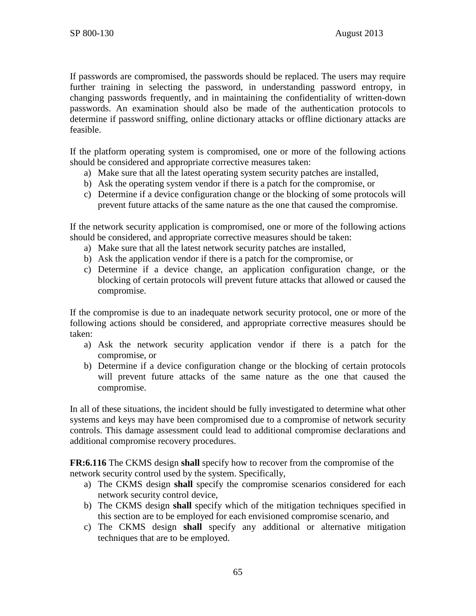If passwords are compromised, the passwords should be replaced. The users may require further training in selecting the password, in understanding password entropy, in changing passwords frequently, and in maintaining the confidentiality of written-down passwords. An examination should also be made of the authentication protocols to determine if password sniffing, online dictionary attacks or offline dictionary attacks are feasible.

If the platform operating system is compromised, one or more of the following actions should be considered and appropriate corrective measures taken:

- a) Make sure that all the latest operating system security patches are installed,
- b) Ask the operating system vendor if there is a patch for the compromise, or
- c) Determine if a device configuration change or the blocking of some protocols will prevent future attacks of the same nature as the one that caused the compromise.

If the network security application is compromised, one or more of the following actions should be considered, and appropriate corrective measures should be taken:

- a) Make sure that all the latest network security patches are installed,
- b) Ask the application vendor if there is a patch for the compromise, or
- c) Determine if a device change, an application configuration change, or the blocking of certain protocols will prevent future attacks that allowed or caused the compromise.

If the compromise is due to an inadequate network security protocol, one or more of the following actions should be considered, and appropriate corrective measures should be taken:

- a) Ask the network security application vendor if there is a patch for the compromise, or
- b) Determine if a device configuration change or the blocking of certain protocols will prevent future attacks of the same nature as the one that caused the compromise.

In all of these situations, the incident should be fully investigated to determine what other systems and keys may have been compromised due to a compromise of network security controls. This damage assessment could lead to additional compromise declarations and additional compromise recovery procedures.

**FR:6.116** The CKMS design **shall** specify how to recover from the compromise of the network security control used by the system. Specifically,

- a) The CKMS design **shall** specify the compromise scenarios considered for each network security control device,
- b) The CKMS design **shall** specify which of the mitigation techniques specified in this section are to be employed for each envisioned compromise scenario, and
- c) The CKMS design **shall** specify any additional or alternative mitigation techniques that are to be employed.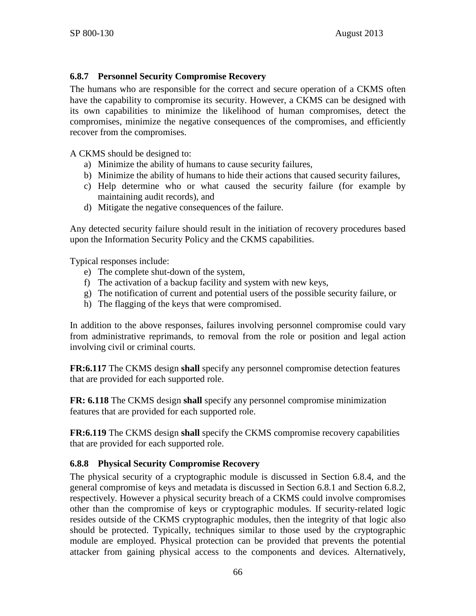## **6.8.7 Personnel Security Compromise Recovery**

The humans who are responsible for the correct and secure operation of a CKMS often have the capability to compromise its security. However, a CKMS can be designed with its own capabilities to minimize the likelihood of human compromises, detect the compromises, minimize the negative consequences of the compromises, and efficiently recover from the compromises.

A CKMS should be designed to:

- a) Minimize the ability of humans to cause security failures,
- b) Minimize the ability of humans to hide their actions that caused security failures,
- c) Help determine who or what caused the security failure (for example by maintaining audit records), and
- d) Mitigate the negative consequences of the failure.

Any detected security failure should result in the initiation of recovery procedures based upon the Information Security Policy and the CKMS capabilities.

Typical responses include:

- e) The complete shut-down of the system,
- f) The activation of a backup facility and system with new keys,
- g) The notification of current and potential users of the possible security failure, or
- h) The flagging of the keys that were compromised.

In addition to the above responses, failures involving personnel compromise could vary from administrative reprimands, to removal from the role or position and legal action involving civil or criminal courts.

**FR:6.117** The CKMS design **shall** specify any personnel compromise detection features that are provided for each supported role.

**FR: 6.118** The CKMS design **shall** specify any personnel compromise minimization features that are provided for each supported role.

**FR:6.119** The CKMS design **shall** specify the CKMS compromise recovery capabilities that are provided for each supported role.

## **6.8.8 Physical Security Compromise Recovery**

The physical security of a cryptographic module is discussed in Section [6.8.4,](#page-69-0) and the general compromise of keys and metadata is discussed in Section [6.8.1](#page-67-0) and Section [6.8.2,](#page-68-0) respectively. However a physical security breach of a CKMS could involve compromises other than the compromise of keys or cryptographic modules. If security-related logic resides outside of the CKMS cryptographic modules, then the integrity of that logic also should be protected. Typically, techniques similar to those used by the cryptographic module are employed. Physical protection can be provided that prevents the potential attacker from gaining physical access to the components and devices. Alternatively,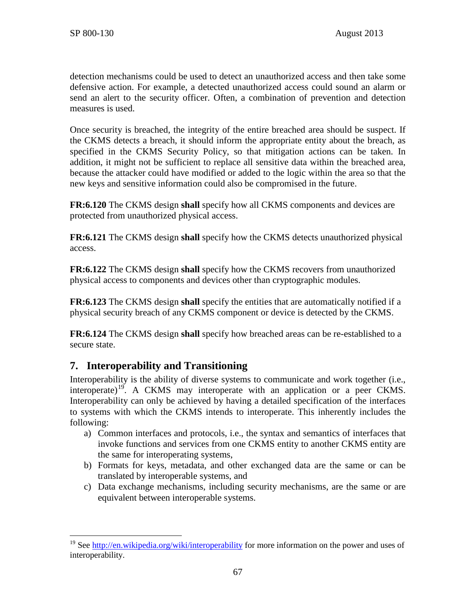detection mechanisms could be used to detect an unauthorized access and then take some defensive action. For example, a detected unauthorized access could sound an alarm or send an alert to the security officer. Often, a combination of prevention and detection measures is used.

Once security is breached, the integrity of the entire breached area should be suspect. If the CKMS detects a breach, it should inform the appropriate entity about the breach, as specified in the CKMS Security Policy, so that mitigation actions can be taken. In addition, it might not be sufficient to replace all sensitive data within the breached area, because the attacker could have modified or added to the logic within the area so that the new keys and sensitive information could also be compromised in the future.

**FR:6.120** The CKMS design **shall** specify how all CKMS components and devices are protected from unauthorized physical access.

**FR:6.121** The CKMS design **shall** specify how the CKMS detects unauthorized physical access.

**FR:6.122** The CKMS design **shall** specify how the CKMS recovers from unauthorized physical access to components and devices other than cryptographic modules.

**FR:6.123** The CKMS design **shall** specify the entities that are automatically notified if a physical security breach of any CKMS component or device is detected by the CKMS.

**FR:6.124** The CKMS design **shall** specify how breached areas can be re-established to a secure state.

# **7. Interoperability and Transitioning**

Interoperability is the ability of diverse systems to communicate and work together (i.e., interoperate)<sup>19</sup>. A CKMS may interoperate with an application or a peer CKMS. Interoperability can only be achieved by having a detailed specification of the interfaces to systems with which the CKMS intends to interoperate. This inherently includes the following:

- a) Common interfaces and protocols, i.e., the syntax and semantics of interfaces that invoke functions and services from one CKMS entity to another CKMS entity are the same for interoperating systems,
- b) Formats for keys, metadata, and other exchanged data are the same or can be translated by interoperable systems, and
- c) Data exchange mechanisms, including security mechanisms, are the same or are equivalent between interoperable systems.

<span id="page-74-0"></span><sup>&</sup>lt;sup>19</sup> See<http://en.wikipedia.org/wiki/interoperability> for more information on the power and uses of interoperability.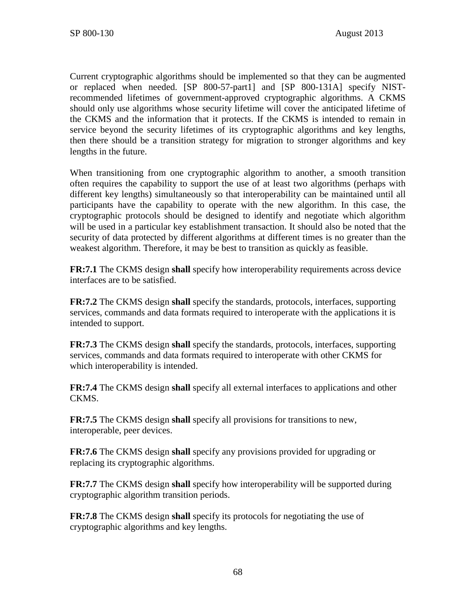Current cryptographic algorithms should be implemented so that they can be augmented or replaced when needed. [\[SP 800-57-part1\]](#page-106-0) and [\[SP 800-131A\]](#page-108-0) specify NISTrecommended lifetimes of government-approved cryptographic algorithms. A CKMS should only use algorithms whose security lifetime will cover the anticipated lifetime of the CKMS and the information that it protects. If the CKMS is intended to remain in service beyond the security lifetimes of its cryptographic algorithms and key lengths, then there should be a transition strategy for migration to stronger algorithms and key lengths in the future.

When transitioning from one cryptographic algorithm to another, a smooth transition often requires the capability to support the use of at least two algorithms (perhaps with different key lengths) simultaneously so that interoperability can be maintained until all participants have the capability to operate with the new algorithm. In this case, the cryptographic protocols should be designed to identify and negotiate which algorithm will be used in a particular key establishment transaction. It should also be noted that the security of data protected by different algorithms at different times is no greater than the weakest algorithm. Therefore, it may be best to transition as quickly as feasible.

**FR:7.1** The CKMS design **shall** specify how interoperability requirements across device interfaces are to be satisfied.

**FR:7.2** The CKMS design **shall** specify the standards, protocols, interfaces, supporting services, commands and data formats required to interoperate with the applications it is intended to support.

**FR:7.3** The CKMS design **shall** specify the standards, protocols, interfaces, supporting services, commands and data formats required to interoperate with other CKMS for which interoperability is intended.

**FR:7.4** The CKMS design **shall** specify all external interfaces to applications and other CKMS.

**FR:7.5** The CKMS design **shall** specify all provisions for transitions to new, interoperable, peer devices.

**FR:7.6** The CKMS design **shall** specify any provisions provided for upgrading or replacing its cryptographic algorithms.

**FR:7.7** The CKMS design **shall** specify how interoperability will be supported during cryptographic algorithm transition periods.

**FR:7.8** The CKMS design **shall** specify its protocols for negotiating the use of cryptographic algorithms and key lengths.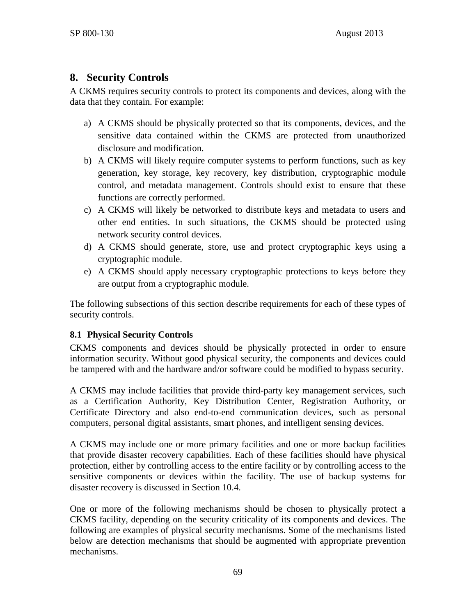# **8. Security Controls**

A CKMS requires security controls to protect its components and devices, along with the data that they contain. For example:

- a) A CKMS should be physically protected so that its components, devices, and the sensitive data contained within the CKMS are protected from unauthorized disclosure and modification.
- b) A CKMS will likely require computer systems to perform functions, such as key generation, key storage, key recovery, key distribution, cryptographic module control, and metadata management. Controls should exist to ensure that these functions are correctly performed.
- c) A CKMS will likely be networked to distribute keys and metadata to users and other end entities. In such situations, the CKMS should be protected using network security control devices.
- d) A CKMS should generate, store, use and protect cryptographic keys using a cryptographic module.
- e) A CKMS should apply necessary cryptographic protections to keys before they are output from a cryptographic module.

The following subsections of this section describe requirements for each of these types of security controls.

# <span id="page-76-0"></span>**8.1 Physical Security Controls**

CKMS components and devices should be physically protected in order to ensure information security. Without good physical security, the components and devices could be tampered with and the hardware and/or software could be modified to bypass security.

A CKMS may include facilities that provide third-party key management services, such as a Certification Authority, Key Distribution Center, Registration Authority, or Certificate Directory and also end-to-end communication devices, such as personal computers, personal digital assistants, smart phones, and intelligent sensing devices.

A CKMS may include one or more primary facilities and one or more backup facilities that provide disaster recovery capabilities. Each of these facilities should have physical protection, either by controlling access to the entire facility or by controlling access to the sensitive components or devices within the facility. The use of backup systems for disaster recovery is discussed in Section [10.4.](#page-89-0)

One or more of the following mechanisms should be chosen to physically protect a CKMS facility, depending on the security criticality of its components and devices. The following are examples of physical security mechanisms. Some of the mechanisms listed below are detection mechanisms that should be augmented with appropriate prevention mechanisms.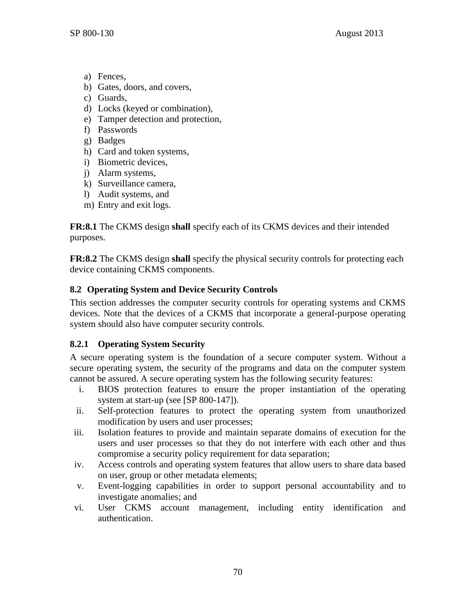- a) Fences,
- b) Gates, doors, and covers,
- c) Guards,
- d) Locks (keyed or combination),
- e) Tamper detection and protection,
- f) Passwords
- g) Badges
- h) Card and token systems,
- i) Biometric devices,
- j) Alarm systems,
- k) Surveillance camera,
- l) Audit systems, and
- m) Entry and exit logs.

**FR:8.1** The CKMS design **shall** specify each of its CKMS devices and their intended purposes.

**FR:8.2** The CKMS design **shall** specify the physical security controls for protecting each device containing CKMS components.

# <span id="page-77-0"></span>**8.2 Operating System and Device Security Controls**

This section addresses the computer security controls for operating systems and CKMS devices. Note that the devices of a CKMS that incorporate a general-purpose operating system should also have computer security controls.

# **8.2.1 Operating System Security**

A secure operating system is the foundation of a secure computer system. Without a secure operating system, the security of the programs and data on the computer system cannot be assured. A secure operating system has the following security features:

- i. BIOS protection features to ensure the proper instantiation of the operating system at start-up (see [\[SP 800-147\]\)](#page-108-1).
- ii. Self-protection features to protect the operating system from unauthorized modification by users and user processes;
- iii. Isolation features to provide and maintain separate domains of execution for the users and user processes so that they do not interfere with each other and thus compromise a security policy requirement for data separation;
- iv. Access controls and operating system features that allow users to share data based on user, group or other metadata elements;
- v. Event-logging capabilities in order to support personal accountability and to investigate anomalies; and
- vi. User CKMS account management, including entity identification and authentication.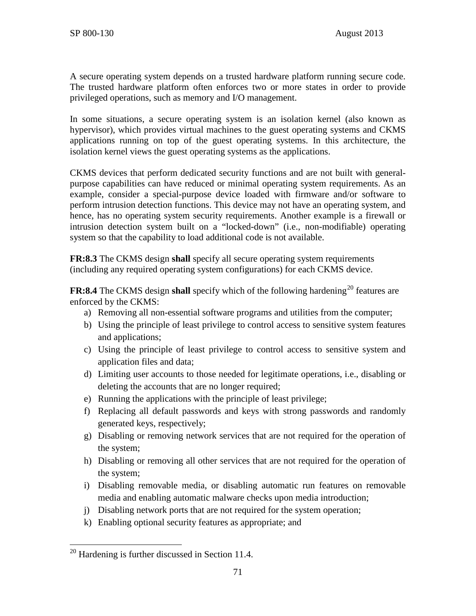A secure operating system depends on a trusted hardware platform running secure code. The trusted hardware platform often enforces two or more states in order to provide privileged operations, such as memory and I/O management.

In some situations, a secure operating system is an isolation kernel (also known as hypervisor), which provides virtual machines to the guest operating systems and CKMS applications running on top of the guest operating systems. In this architecture, the isolation kernel views the guest operating systems as the applications.

CKMS devices that perform dedicated security functions and are not built with generalpurpose capabilities can have reduced or minimal operating system requirements. As an example, consider a special-purpose device loaded with firmware and/or software to perform intrusion detection functions. This device may not have an operating system, and hence, has no operating system security requirements. Another example is a firewall or intrusion detection system built on a "locked-down" (i.e., non-modifiable) operating system so that the capability to load additional code is not available.

**FR:8.3** The CKMS design **shall** specify all secure operating system requirements (including any required operating system configurations) for each CKMS device.

**FR:8.4** The CKMS design **shall** specify which of the following hardening<sup>[20](#page-78-0)</sup> features are enforced by the CKMS:

- a) Removing all non-essential software programs and utilities from the computer;
- b) Using the principle of least privilege to control access to sensitive system features and applications;
- c) Using the principle of least privilege to control access to sensitive system and application files and data;
- d) Limiting user accounts to those needed for legitimate operations, i.e., disabling or deleting the accounts that are no longer required;
- e) Running the applications with the principle of least privilege;
- f) Replacing all default passwords and keys with strong passwords and randomly generated keys, respectively;
- g) Disabling or removing network services that are not required for the operation of the system;
- h) Disabling or removing all other services that are not required for the operation of the system;
- i) Disabling removable media, or disabling automatic run features on removable media and enabling automatic malware checks upon media introduction;
- j) Disabling network ports that are not required for the system operation;
- k) Enabling optional security features as appropriate; and

<span id="page-78-0"></span> $20$  Hardening is further discussed in Section 11.4.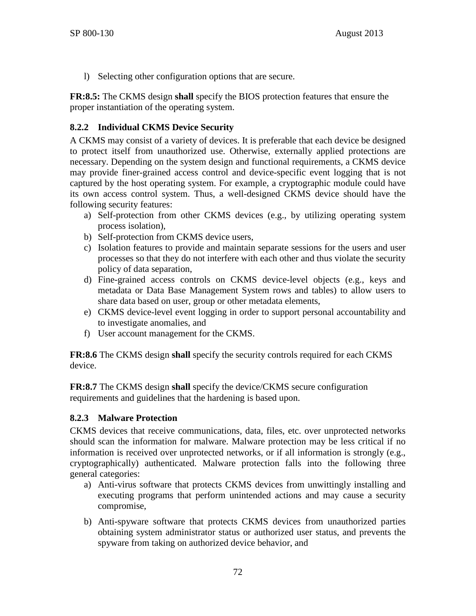l) Selecting other configuration options that are secure.

**FR:8.5:** The CKMS design **shall** specify the BIOS protection features that ensure the proper instantiation of the operating system.

# **8.2.2 Individual CKMS Device Security**

A CKMS may consist of a variety of devices. It is preferable that each device be designed to protect itself from unauthorized use. Otherwise, externally applied protections are necessary. Depending on the system design and functional requirements, a CKMS device may provide finer-grained access control and device-specific event logging that is not captured by the host operating system. For example, a cryptographic module could have its own access control system. Thus, a well-designed CKMS device should have the following security features:

- a) Self-protection from other CKMS devices (e.g., by utilizing operating system process isolation),
- b) Self-protection from CKMS device users,
- c) Isolation features to provide and maintain separate sessions for the users and user processes so that they do not interfere with each other and thus violate the security policy of data separation,
- d) Fine-grained access controls on CKMS device-level objects (e.g., keys and metadata or Data Base Management System rows and tables) to allow users to share data based on user, group or other metadata elements,
- e) CKMS device-level event logging in order to support personal accountability and to investigate anomalies, and
- f) User account management for the CKMS.

**FR:8.6** The CKMS design **shall** specify the security controls required for each CKMS device.

**FR:8.7** The CKMS design **shall** specify the device/CKMS secure configuration requirements and guidelines that the hardening is based upon.

# **8.2.3 Malware Protection**

CKMS devices that receive communications, data, files, etc. over unprotected networks should scan the information for malware. Malware protection may be less critical if no information is received over unprotected networks, or if all information is strongly (e.g., cryptographically) authenticated. Malware protection falls into the following three general categories:

- a) Anti-virus software that protects CKMS devices from unwittingly installing and executing programs that perform unintended actions and may cause a security compromise,
- b) Anti-spyware software that protects CKMS devices from unauthorized parties obtaining system administrator status or authorized user status, and prevents the spyware from taking on authorized device behavior, and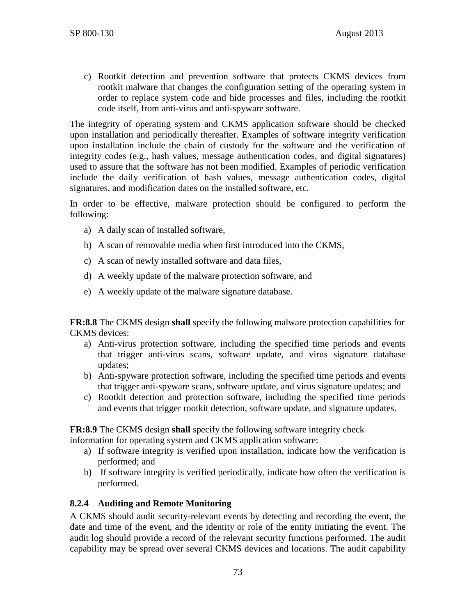c) Rootkit detection and prevention software that protects CKMS devices from rootkit malware that changes the configuration setting of the operating system in order to replace system code and hide processes and files, including the rootkit code itself, from anti-virus and anti-spyware software.

The integrity of operating system and CKMS application software should be checked upon installation and periodically thereafter. Examples of software integrity verification upon installation include the chain of custody for the software and the verification of integrity codes (e.g., hash values, message authentication codes, and digital signatures) used to assure that the software has not been modified. Examples of periodic verification include the daily verification of hash values, message authentication codes, digital signatures, and modification dates on the installed software, etc.

In order to be effective, malware protection should be configured to perform the following:

- a) A daily scan of installed software,
- b) A scan of removable media when first introduced into the CKMS,
- c) A scan of newly installed software and data files,
- d) A weekly update of the malware protection software, and
- e) A weekly update of the malware signature database.

**FR:8.8** The CKMS design **shall** specify the following malware protection capabilities for CKMS devices:

- a) Anti-virus protection software, including the specified time periods and events that trigger anti-virus scans, software update, and virus signature database updates;
- b) Anti-spyware protection software, including the specified time periods and events that trigger anti-spyware scans, software update, and virus signature updates; and
- c) Rootkit detection and protection software, including the specified time periods and events that trigger rootkit detection, software update, and signature updates.

**FR:8.9** The CKMS design **shall** specify the following software integrity check

information for operating system and CKMS application software:

- a) If software integrity is verified upon installation, indicate how the verification is performed; and
- b) If software integrity is verified periodically, indicate how often the verification is performed.

## **8.2.4 Auditing and Remote Monitoring**

A CKMS should audit security-relevant events by detecting and recording the event, the date and time of the event, and the identity or role of the entity initiating the event. The audit log should provide a record of the relevant security functions performed. The audit capability may be spread over several CKMS devices and locations. The audit capability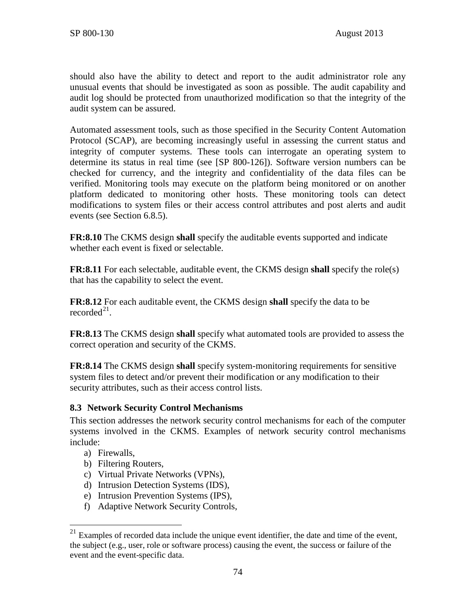should also have the ability to detect and report to the audit administrator role any unusual events that should be investigated as soon as possible. The audit capability and audit log should be protected from unauthorized modification so that the integrity of the audit system can be assured.

Automated assessment tools, such as those specified in the Security Content Automation Protocol (SCAP), are becoming increasingly useful in assessing the current status and integrity of computer systems. These tools can interrogate an operating system to determine its status in real time (see [\[SP 800-126\]\)](#page-107-0). Software version numbers can be checked for currency, and the integrity and confidentiality of the data files can be verified. Monitoring tools may execute on the platform being monitored or on another platform dedicated to monitoring other hosts. These monitoring tools can detect modifications to system files or their access control attributes and post alerts and audit events (see Section [6.8.5\)](#page-70-0).

**FR:8.10** The CKMS design **shall** specify the auditable events supported and indicate whether each event is fixed or selectable.

**FR:8.11** For each selectable, auditable event, the CKMS design **shall** specify the role(s) that has the capability to select the event.

**FR:8.12** For each auditable event, the CKMS design **shall** specify the data to be recorded $^{21}$ .

**FR:8.13** The CKMS design **shall** specify what automated tools are provided to assess the correct operation and security of the CKMS.

**FR:8.14** The CKMS design **shall** specify system-monitoring requirements for sensitive system files to detect and/or prevent their modification or any modification to their security attributes, such as their access control lists.

## **8.3 Network Security Control Mechanisms**

This section addresses the network security control mechanisms for each of the computer systems involved in the CKMS. Examples of network security control mechanisms include:

- a) Firewalls,
- b) Filtering Routers,
- c) Virtual Private Networks (VPNs),
- d) Intrusion Detection Systems (IDS),
- e) Intrusion Prevention Systems (IPS),
- f) Adaptive Network Security Controls,

<span id="page-81-0"></span> $21$  Examples of recorded data include the unique event identifier, the date and time of the event, the subject (e.g., user, role or software process) causing the event, the success or failure of the event and the event-specific data.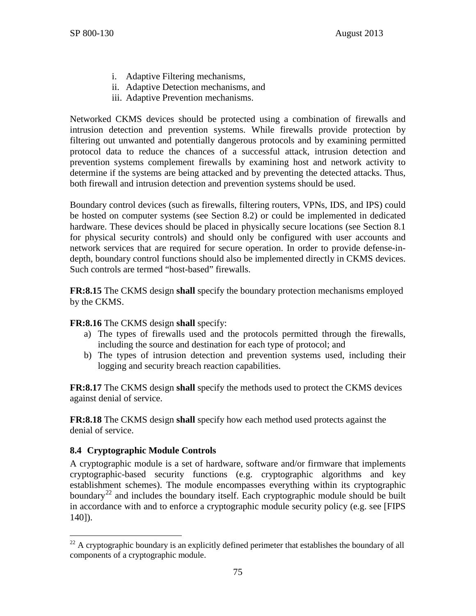- i. Adaptive Filtering mechanisms,
- ii. Adaptive Detection mechanisms, and
- iii. Adaptive Prevention mechanisms.

Networked CKMS devices should be protected using a combination of firewalls and intrusion detection and prevention systems. While firewalls provide protection by filtering out unwanted and potentially dangerous protocols and by examining permitted protocol data to reduce the chances of a successful attack, intrusion detection and prevention systems complement firewalls by examining host and network activity to determine if the systems are being attacked and by preventing the detected attacks. Thus, both firewall and intrusion detection and prevention systems should be used.

Boundary control devices (such as firewalls, filtering routers, VPNs, IDS, and IPS) could be hosted on computer systems (see Section [8.2\)](#page-77-0) or could be implemented in dedicated hardware. These devices should be placed in physically secure locations (see Section [8.1](#page-76-0) for physical security controls) and should only be configured with user accounts and network services that are required for secure operation. In order to provide defense-indepth, boundary control functions should also be implemented directly in CKMS devices. Such controls are termed "host-based" firewalls.

**FR:8.15** The CKMS design **shall** specify the boundary protection mechanisms employed by the CKMS.

## **FR:8.16** The CKMS design **shall** specify:

- a) The types of firewalls used and the protocols permitted through the firewalls, including the source and destination for each type of protocol; and
- b) The types of intrusion detection and prevention systems used, including their logging and security breach reaction capabilities.

**FR:8.17** The CKMS design **shall** specify the methods used to protect the CKMS devices against denial of service.

**FR:8.18** The CKMS design **shall** specify how each method used protects against the denial of service.

# **8.4 Cryptographic Module Controls**

A cryptographic module is a set of hardware, software and/or firmware that implements cryptographic-based security functions (e.g. cryptographic algorithms and key establishment schemes). The module encompasses everything within its cryptographic boundary<sup>[22](#page-82-0)</sup> and includes the boundary itself. Each cryptographic module should be built in accordance with and to enforce a cryptographic module security policy (e.g. see [\[FIPS](#page-98-0)  [140\]\)](#page-98-0).

<span id="page-82-0"></span> $^{22}$  A cryptographic boundary is an explicitly defined perimeter that establishes the boundary of all components of a cryptographic module.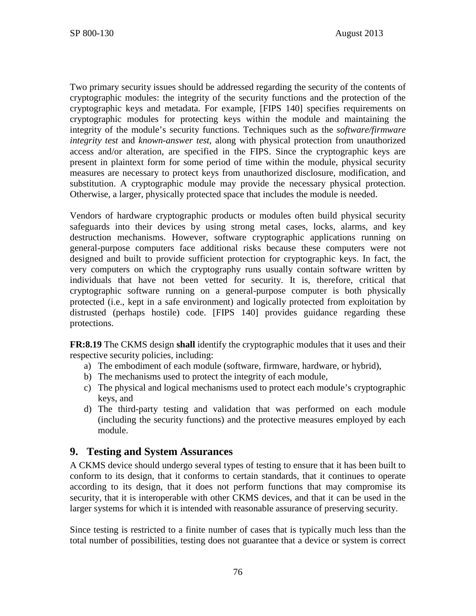Two primary security issues should be addressed regarding the security of the contents of cryptographic modules: the integrity of the security functions and the protection of the cryptographic keys and metadata. For example, [\[FIPS 140\]](#page-98-0) specifies requirements on cryptographic modules for protecting keys within the module and maintaining the integrity of the module's security functions. Techniques such as the *software/firmware integrity test* and *known-answer test*, along with physical protection from unauthorized access and/or alteration, are specified in the FIPS. Since the cryptographic keys are present in plaintext form for some period of time within the module, physical security measures are necessary to protect keys from unauthorized disclosure, modification, and substitution. A cryptographic module may provide the necessary physical protection. Otherwise, a larger, physically protected space that includes the module is needed.

Vendors of hardware cryptographic products or modules often build physical security safeguards into their devices by using strong metal cases, locks, alarms, and key destruction mechanisms. However, software cryptographic applications running on general-purpose computers face additional risks because these computers were not designed and built to provide sufficient protection for cryptographic keys. In fact, the very computers on which the cryptography runs usually contain software written by individuals that have not been vetted for security. It is, therefore, critical that cryptographic software running on a general-purpose computer is both physically protected (i.e., kept in a safe environment) and logically protected from exploitation by distrusted (perhaps hostile) code. [\[FIPS 140\]](#page-98-0) provides guidance regarding these protections.

**FR:8.19** The CKMS design **shall** identify the cryptographic modules that it uses and their respective security policies, including:

- a) The embodiment of each module (software, firmware, hardware, or hybrid),
- b) The mechanisms used to protect the integrity of each module,
- c) The physical and logical mechanisms used to protect each module's cryptographic keys, and
- d) The third-party testing and validation that was performed on each module (including the security functions) and the protective measures employed by each module.

# <span id="page-83-0"></span>**9. Testing and System Assurances**

A CKMS device should undergo several types of testing to ensure that it has been built to conform to its design, that it conforms to certain standards, that it continues to operate according to its design, that it does not perform functions that may compromise its security, that it is interoperable with other CKMS devices, and that it can be used in the larger systems for which it is intended with reasonable assurance of preserving security.

Since testing is restricted to a finite number of cases that is typically much less than the total number of possibilities, testing does not guarantee that a device or system is correct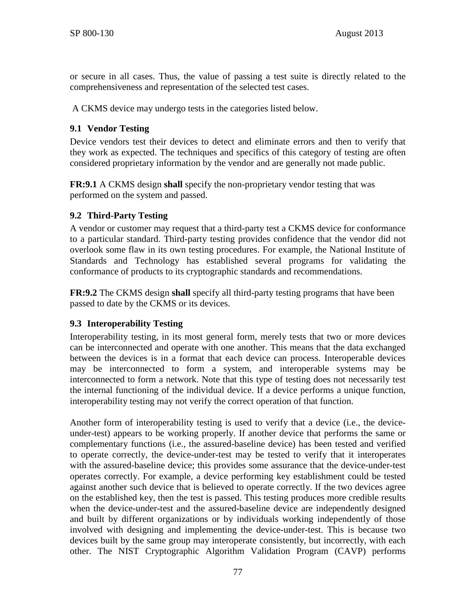or secure in all cases. Thus, the value of passing a test suite is directly related to the comprehensiveness and representation of the selected test cases.

A CKMS device may undergo tests in the categories listed below.

## **9.1 Vendor Testing**

Device vendors test their devices to detect and eliminate errors and then to verify that they work as expected. The techniques and specifics of this category of testing are often considered proprietary information by the vendor and are generally not made public.

**FR:9.1** A CKMS design **shall** specify the non-proprietary vendor testing that was performed on the system and passed.

## **9.2 Third-Party Testing**

A vendor or customer may request that a third-party test a CKMS device for conformance to a particular standard. Third-party testing provides confidence that the vendor did not overlook some flaw in its own testing procedures. For example, the National Institute of Standards and Technology has established several programs for validating the conformance of products to its cryptographic standards and recommendations.

**FR:9.2** The CKMS design **shall** specify all third-party testing programs that have been passed to date by the CKMS or its devices.

## **9.3 Interoperability Testing**

Interoperability testing, in its most general form, merely tests that two or more devices can be interconnected and operate with one another. This means that the data exchanged between the devices is in a format that each device can process. Interoperable devices may be interconnected to form a system, and interoperable systems may be interconnected to form a network. Note that this type of testing does not necessarily test the internal functioning of the individual device. If a device performs a unique function, interoperability testing may not verify the correct operation of that function.

Another form of interoperability testing is used to verify that a device (i.e., the deviceunder-test) appears to be working properly. If another device that performs the same or complementary functions (i.e., the assured-baseline device) has been tested and verified to operate correctly, the device-under-test may be tested to verify that it interoperates with the assured-baseline device; this provides some assurance that the device-under-test operates correctly. For example, a device performing key establishment could be tested against another such device that is believed to operate correctly. If the two devices agree on the established key, then the test is passed. This testing produces more credible results when the device-under-test and the assured-baseline device are independently designed and built by different organizations or by individuals working independently of those involved with designing and implementing the device-under-test. This is because two devices built by the same group may interoperate consistently, but incorrectly, with each other. The NIST Cryptographic Algorithm Validation Program (CAVP) performs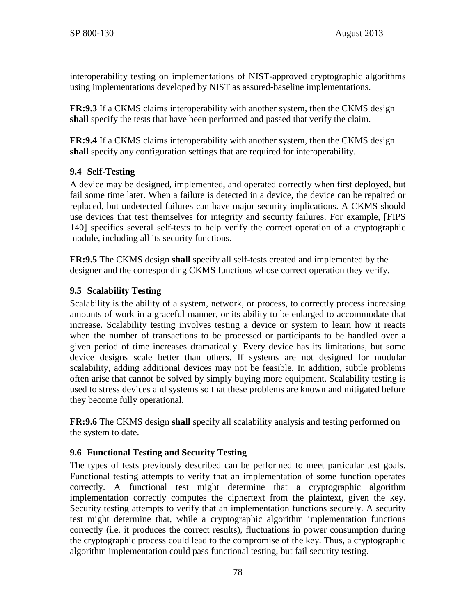interoperability testing on implementations of NIST-approved cryptographic algorithms using implementations developed by NIST as assured-baseline implementations.

**FR:9.3** If a CKMS claims interoperability with another system, then the CKMS design **shall** specify the tests that have been performed and passed that verify the claim.

**FR:9.4** If a CKMS claims interoperability with another system, then the CKMS design **shall** specify any configuration settings that are required for interoperability.

# **9.4 Self-Testing**

A device may be designed, implemented, and operated correctly when first deployed, but fail some time later. When a failure is detected in a device, the device can be repaired or replaced, but undetected failures can have major security implications. A CKMS should use devices that test themselves for integrity and security failures. For example, [\[FIPS](#page-98-0)  [140\]](#page-98-0) specifies several self-tests to help verify the correct operation of a cryptographic module, including all its security functions.

**FR:9.5** The CKMS design **shall** specify all self-tests created and implemented by the designer and the corresponding CKMS functions whose correct operation they verify.

# **9.5 Scalability Testing**

Scalability is the ability of a system, network, or process, to correctly process increasing amounts of work in a graceful manner, or its ability to be enlarged to accommodate that increase. Scalability testing involves testing a device or system to learn how it reacts when the number of transactions to be processed or participants to be handled over a given period of time increases dramatically. Every device has its limitations, but some device designs scale better than others. If systems are not designed for modular scalability, adding additional devices may not be feasible. In addition, subtle problems often arise that cannot be solved by simply buying more equipment. Scalability testing is used to stress devices and systems so that these problems are known and mitigated before they become fully operational.

**FR:9.6** The CKMS design **shall** specify all scalability analysis and testing performed on the system to date.

# <span id="page-85-0"></span>**9.6 Functional Testing and Security Testing**

The types of tests previously described can be performed to meet particular test goals. Functional testing attempts to verify that an implementation of some function operates correctly. A functional test might determine that a cryptographic algorithm implementation correctly computes the ciphertext from the plaintext, given the key. Security testing attempts to verify that an implementation functions securely. A security test might determine that, while a cryptographic algorithm implementation functions correctly (i.e. it produces the correct results), fluctuations in power consumption during the cryptographic process could lead to the compromise of the key. Thus, a cryptographic algorithm implementation could pass functional testing, but fail security testing.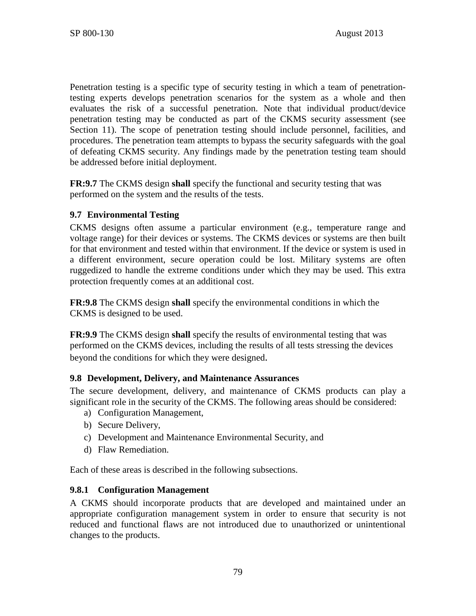Penetration testing is a specific type of security testing in which a team of penetrationtesting experts develops penetration scenarios for the system as a whole and then evaluates the risk of a successful penetration. Note that individual product/device penetration testing may be conducted as part of the CKMS security assessment (see Section [11\)](#page-92-0). The scope of penetration testing should include personnel, facilities, and procedures. The penetration team attempts to bypass the security safeguards with the goal of defeating CKMS security. Any findings made by the penetration testing team should be addressed before initial deployment.

**FR:9.7** The CKMS design **shall** specify the functional and security testing that was performed on the system and the results of the tests.

## **9.7 Environmental Testing**

CKMS designs often assume a particular environment (e.g., temperature range and voltage range) for their devices or systems. The CKMS devices or systems are then built for that environment and tested within that environment. If the device or system is used in a different environment, secure operation could be lost. Military systems are often ruggedized to handle the extreme conditions under which they may be used. This extra protection frequently comes at an additional cost.

**FR:9.8** The CKMS design **shall** specify the environmental conditions in which the CKMS is designed to be used.

**FR:9.9** The CKMS design **shall** specify the results of environmental testing that was performed on the CKMS devices, including the results of all tests stressing the devices beyond the conditions for which they were designed.

## **9.8 Development, Delivery, and Maintenance Assurances**

The secure development, delivery, and maintenance of CKMS products can play a significant role in the security of the CKMS. The following areas should be considered:

- a) Configuration Management,
- b) Secure Delivery,
- c) Development and Maintenance Environmental Security, and
- d) Flaw Remediation.

Each of these areas is described in the following subsections.

### **9.8.1 Configuration Management**

A CKMS should incorporate products that are developed and maintained under an appropriate configuration management system in order to ensure that security is not reduced and functional flaws are not introduced due to unauthorized or unintentional changes to the products.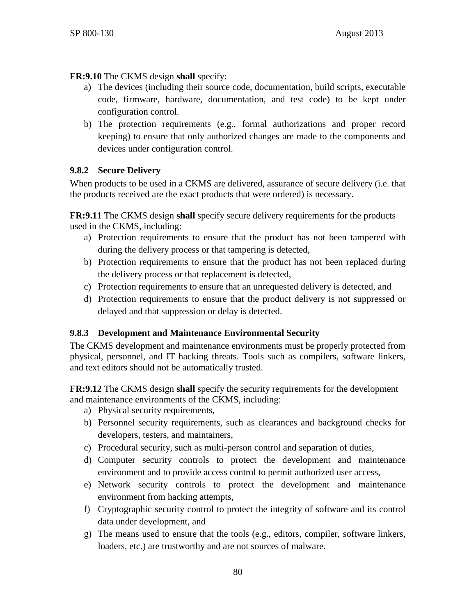# **FR:9.10** The CKMS design **shall** specify:

- a) The devices (including their source code, documentation, build scripts, executable code, firmware, hardware, documentation, and test code) to be kept under configuration control.
- b) The protection requirements (e.g., formal authorizations and proper record keeping) to ensure that only authorized changes are made to the components and devices under configuration control.

# **9.8.2 Secure Delivery**

When products to be used in a CKMS are delivered, assurance of secure delivery (i.e. that the products received are the exact products that were ordered) is necessary.

**FR:9.11** The CKMS design **shall** specify secure delivery requirements for the products used in the CKMS, including:

- a) Protection requirements to ensure that the product has not been tampered with during the delivery process or that tampering is detected,
- b) Protection requirements to ensure that the product has not been replaced during the delivery process or that replacement is detected,
- c) Protection requirements to ensure that an unrequested delivery is detected, and
- d) Protection requirements to ensure that the product delivery is not suppressed or delayed and that suppression or delay is detected.

## **9.8.3 Development and Maintenance Environmental Security**

The CKMS development and maintenance environments must be properly protected from physical, personnel, and IT hacking threats. Tools such as compilers, software linkers, and text editors should not be automatically trusted.

**FR:9.12** The CKMS design **shall** specify the security requirements for the development and maintenance environments of the CKMS, including:

- a) Physical security requirements,
- b) Personnel security requirements, such as clearances and background checks for developers, testers, and maintainers,
- c) Procedural security, such as multi-person control and separation of duties,
- d) Computer security controls to protect the development and maintenance environment and to provide access control to permit authorized user access,
- e) Network security controls to protect the development and maintenance environment from hacking attempts,
- f) Cryptographic security control to protect the integrity of software and its control data under development, and
- g) The means used to ensure that the tools (e.g., editors, compiler, software linkers, loaders, etc.) are trustworthy and are not sources of malware.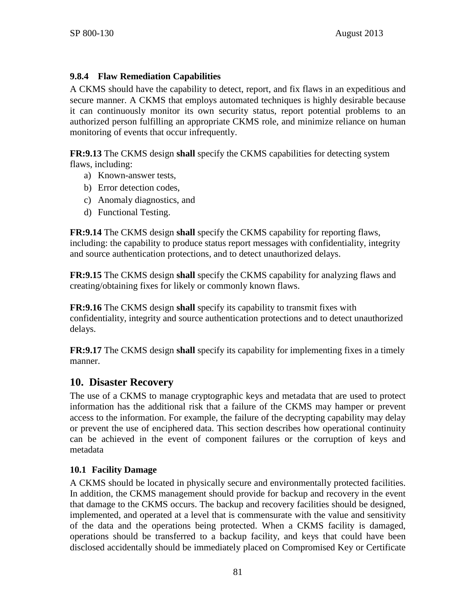# **9.8.4 Flaw Remediation Capabilities**

A CKMS should have the capability to detect, report, and fix flaws in an expeditious and secure manner. A CKMS that employs automated techniques is highly desirable because it can continuously monitor its own security status, report potential problems to an authorized person fulfilling an appropriate CKMS role, and minimize reliance on human monitoring of events that occur infrequently.

**FR:9.13** The CKMS design **shall** specify the CKMS capabilities for detecting system flaws, including:

- a) Known-answer tests,
- b) Error detection codes,
- c) Anomaly diagnostics, and
- d) Functional Testing.

**FR:9.14** The CKMS design **shall** specify the CKMS capability for reporting flaws, including: the capability to produce status report messages with confidentiality, integrity and source authentication protections, and to detect unauthorized delays.

**FR:9.15** The CKMS design **shall** specify the CKMS capability for analyzing flaws and creating/obtaining fixes for likely or commonly known flaws.

**FR:9.16** The CKMS design **shall** specify its capability to transmit fixes with confidentiality, integrity and source authentication protections and to detect unauthorized delays.

**FR:9.17** The CKMS design **shall** specify its capability for implementing fixes in a timely manner.

# **10. Disaster Recovery**

The use of a CKMS to manage cryptographic keys and metadata that are used to protect information has the additional risk that a failure of the CKMS may hamper or prevent access to the information. For example, the failure of the decrypting capability may delay or prevent the use of enciphered data. This section describes how operational continuity can be achieved in the event of component failures or the corruption of keys and metadata

## **10.1 Facility Damage**

A CKMS should be located in physically secure and environmentally protected facilities. In addition, the CKMS management should provide for backup and recovery in the event that damage to the CKMS occurs. The backup and recovery facilities should be designed, implemented, and operated at a level that is commensurate with the value and sensitivity of the data and the operations being protected. When a CKMS facility is damaged, operations should be transferred to a backup facility, and keys that could have been disclosed accidentally should be immediately placed on Compromised Key or Certificate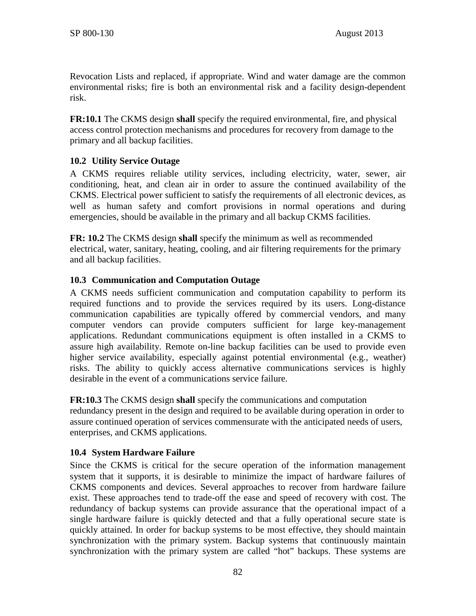Revocation Lists and replaced, if appropriate. Wind and water damage are the common environmental risks; fire is both an environmental risk and a facility design-dependent risk.

**FR:10.1** The CKMS design **shall** specify the required environmental, fire, and physical access control protection mechanisms and procedures for recovery from damage to the primary and all backup facilities.

# **10.2 Utility Service Outage**

A CKMS requires reliable utility services, including electricity, water, sewer, air conditioning, heat, and clean air in order to assure the continued availability of the CKMS. Electrical power sufficient to satisfy the requirements of all electronic devices, as well as human safety and comfort provisions in normal operations and during emergencies, should be available in the primary and all backup CKMS facilities.

**FR: 10.2** The CKMS design **shall** specify the minimum as well as recommended electrical, water, sanitary, heating, cooling, and air filtering requirements for the primary and all backup facilities.

## **10.3 Communication and Computation Outage**

A CKMS needs sufficient communication and computation capability to perform its required functions and to provide the services required by its users. Long-distance communication capabilities are typically offered by commercial vendors, and many computer vendors can provide computers sufficient for large key-management applications. Redundant communications equipment is often installed in a CKMS to assure high availability. Remote on-line backup facilities can be used to provide even higher service availability, especially against potential environmental (e.g., weather) risks. The ability to quickly access alternative communications services is highly desirable in the event of a communications service failure.

**FR:10.3** The CKMS design **shall** specify the communications and computation redundancy present in the design and required to be available during operation in order to assure continued operation of services commensurate with the anticipated needs of users, enterprises, and CKMS applications.

## <span id="page-89-0"></span>**10.4 System Hardware Failure**

Since the CKMS is critical for the secure operation of the information management system that it supports, it is desirable to minimize the impact of hardware failures of CKMS components and devices. Several approaches to recover from hardware failure exist. These approaches tend to trade-off the ease and speed of recovery with cost. The redundancy of backup systems can provide assurance that the operational impact of a single hardware failure is quickly detected and that a fully operational secure state is quickly attained. In order for backup systems to be most effective, they should maintain synchronization with the primary system. Backup systems that continuously maintain synchronization with the primary system are called "hot" backups. These systems are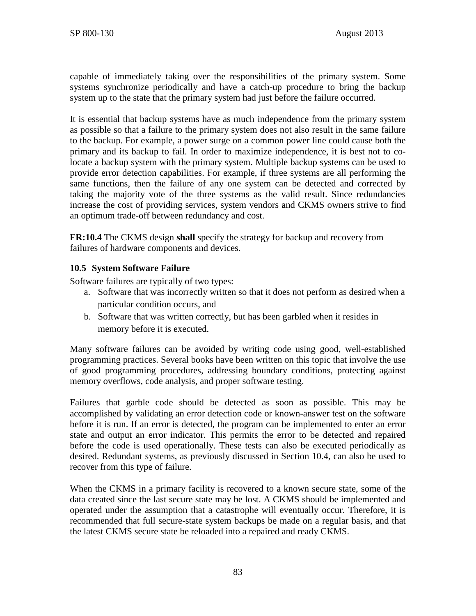capable of immediately taking over the responsibilities of the primary system. Some systems synchronize periodically and have a catch-up procedure to bring the backup system up to the state that the primary system had just before the failure occurred.

It is essential that backup systems have as much independence from the primary system as possible so that a failure to the primary system does not also result in the same failure to the backup. For example, a power surge on a common power line could cause both the primary and its backup to fail. In order to maximize independence, it is best not to colocate a backup system with the primary system. Multiple backup systems can be used to provide error detection capabilities. For example, if three systems are all performing the same functions, then the failure of any one system can be detected and corrected by taking the majority vote of the three systems as the valid result. Since redundancies increase the cost of providing services, system vendors and CKMS owners strive to find an optimum trade-off between redundancy and cost.

**FR:10.4** The CKMS design **shall** specify the strategy for backup and recovery from failures of hardware components and devices.

## **10.5 System Software Failure**

Software failures are typically of two types:

- a. Software that was incorrectly written so that it does not perform as desired when a particular condition occurs, and
- b. Software that was written correctly, but has been garbled when it resides in memory before it is executed.

Many software failures can be avoided by writing code using good, well-established programming practices. Several books have been written on this topic that involve the use of good programming procedures, addressing boundary conditions, protecting against memory overflows, code analysis, and proper software testing.

Failures that garble code should be detected as soon as possible. This may be accomplished by validating an error detection code or known-answer test on the software before it is run. If an error is detected, the program can be implemented to enter an error state and output an error indicator. This permits the error to be detected and repaired before the code is used operationally. These tests can also be executed periodically as desired. Redundant systems, as previously discussed in Section [10.4,](#page-89-0) can also be used to recover from this type of failure.

When the CKMS in a primary facility is recovered to a known secure state, some of the data created since the last secure state may be lost. A CKMS should be implemented and operated under the assumption that a catastrophe will eventually occur. Therefore, it is recommended that full secure-state system backups be made on a regular basis, and that the latest CKMS secure state be reloaded into a repaired and ready CKMS.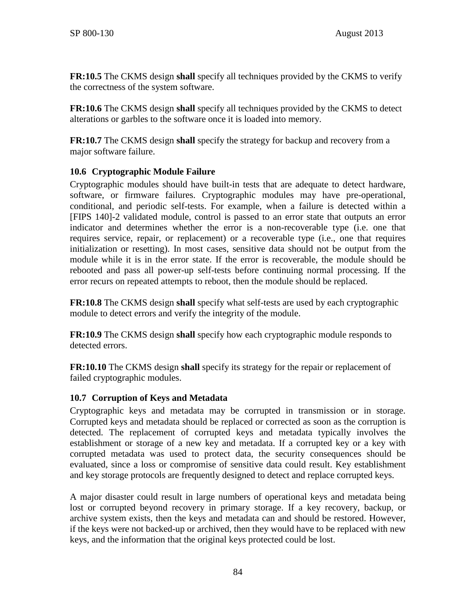**FR:10.5** The CKMS design **shall** specify all techniques provided by the CKMS to verify the correctness of the system software.

**FR:10.6** The CKMS design **shall** specify all techniques provided by the CKMS to detect alterations or garbles to the software once it is loaded into memory.

**FR:10.7** The CKMS design **shall** specify the strategy for backup and recovery from a major software failure.

# **10.6 Cryptographic Module Failure**

Cryptographic modules should have built-in tests that are adequate to detect hardware, software, or firmware failures. Cryptographic modules may have pre-operational, conditional, and periodic self-tests. For example, when a failure is detected within a [\[FIPS 140\]-](#page-98-0)2 validated module, control is passed to an error state that outputs an error indicator and determines whether the error is a non-recoverable type (i.e. one that requires service, repair, or replacement) or a recoverable type (i.e., one that requires initialization or resetting). In most cases, sensitive data should not be output from the module while it is in the error state. If the error is recoverable, the module should be rebooted and pass all power-up self-tests before continuing normal processing. If the error recurs on repeated attempts to reboot, then the module should be replaced.

**FR:10.8** The CKMS design **shall** specify what self-tests are used by each cryptographic module to detect errors and verify the integrity of the module.

**FR:10.9** The CKMS design **shall** specify how each cryptographic module responds to detected errors.

**FR:10.10** The CKMS design **shall** specify its strategy for the repair or replacement of failed cryptographic modules.

## **10.7 Corruption of Keys and Metadata**

Cryptographic keys and metadata may be corrupted in transmission or in storage. Corrupted keys and metadata should be replaced or corrected as soon as the corruption is detected. The replacement of corrupted keys and metadata typically involves the establishment or storage of a new key and metadata. If a corrupted key or a key with corrupted metadata was used to protect data, the security consequences should be evaluated, since a loss or compromise of sensitive data could result. Key establishment and key storage protocols are frequently designed to detect and replace corrupted keys.

A major disaster could result in large numbers of operational keys and metadata being lost or corrupted beyond recovery in primary storage. If a key recovery, backup, or archive system exists, then the keys and metadata can and should be restored. However, if the keys were not backed-up or archived, then they would have to be replaced with new keys, and the information that the original keys protected could be lost.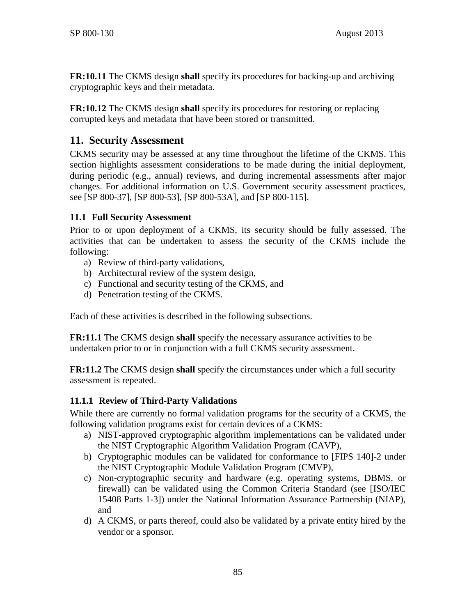**FR:10.11** The CKMS design **shall** specify its procedures for backing-up and archiving cryptographic keys and their metadata.

**FR:10.12** The CKMS design **shall** specify its procedures for restoring or replacing corrupted keys and metadata that have been stored or transmitted.

# <span id="page-92-0"></span>**11. Security Assessment**

CKMS security may be assessed at any time throughout the lifetime of the CKMS. This section highlights assessment considerations to be made during the initial deployment, during periodic (e.g., annual) reviews, and during incremental assessments after major changes. For additional information on U.S. Government security assessment practices, see [\[SP 800-37\],](#page-102-0) [\[SP 800-53\],](#page-104-0) [\[SP 800-53A\],](#page-105-0) and [\[SP 800-115\].](#page-107-1)

## <span id="page-92-1"></span>**11.1 Full Security Assessment**

Prior to or upon deployment of a CKMS, its security should be fully assessed. The activities that can be undertaken to assess the security of the CKMS include the following:

- a) Review of third-party validations,
- b) Architectural review of the system design,
- c) Functional and security testing of the CKMS, and
- d) Penetration testing of the CKMS.

Each of these activities is described in the following subsections.

**FR:11.1** The CKMS design **shall** specify the necessary assurance activities to be undertaken prior to or in conjunction with a full CKMS security assessment.

**FR:11.2** The CKMS design **shall** specify the circumstances under which a full security assessment is repeated.

## **11.1.1 Review of Third-Party Validations**

While there are currently no formal validation programs for the security of a CKMS, the following validation programs exist for certain devices of a CKMS:

- a) NIST-approved cryptographic algorithm implementations can be validated under the NIST Cryptographic Algorithm Validation Program (CAVP),
- b) Cryptographic modules can be validated for conformance to [\[FIPS 140\]-](#page-98-0)2 under the NIST Cryptographic Module Validation Program (CMVP),
- c) Non-cryptographic security and hardware (e.g. operating systems, DBMS, or firewall) can be validated using the Common Criteria Standard (see [\[ISO/IEC](#page-99-0)  [15408 Parts 1-3\]\)](#page-99-0) under the National Information Assurance Partnership (NIAP), and
- d) A CKMS, or parts thereof, could also be validated by a private entity hired by the vendor or a sponsor.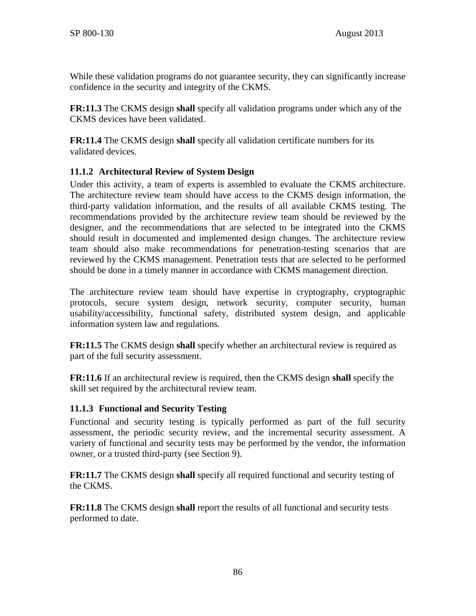While these validation programs do not guarantee security, they can significantly increase confidence in the security and integrity of the CKMS.

**FR:11.3** The CKMS design **shall** specify all validation programs under which any of the CKMS devices have been validated.

**FR:11.4** The CKMS design **shall** specify all validation certificate numbers for its validated devices.

## **11.1.2 Architectural Review of System Design**

Under this activity, a team of experts is assembled to evaluate the CKMS architecture. The architecture review team should have access to the CKMS design information, the third-party validation information, and the results of all available CKMS testing. The recommendations provided by the architecture review team should be reviewed by the designer, and the recommendations that are selected to be integrated into the CKMS should result in documented and implemented design changes. The architecture review team should also make recommendations for penetration-testing scenarios that are reviewed by the CKMS management. Penetration tests that are selected to be performed should be done in a timely manner in accordance with CKMS management direction.

The architecture review team should have expertise in cryptography, cryptographic protocols, secure system design, network security, computer security, human usability/accessibility, functional safety, distributed system design, and applicable information system law and regulations.

**FR:11.5** The CKMS design **shall** specify whether an architectural review is required as part of the full security assessment.

**FR:11.6** If an architectural review is required, then the CKMS design **shall** specify the skill set required by the architectural review team.

## **11.1.3 Functional and Security Testing**

Functional and security testing is typically performed as part of the full security assessment, the periodic security review, and the incremental security assessment. A variety of functional and security tests may be performed by the vendor, the information owner, or a trusted third-party (see Section [9\)](#page-83-0).

**FR:11.7** The CKMS design **shall** specify all required functional and security testing of the CKMS.

**FR:11.8** The CKMS design **shall** report the results of all functional and security tests performed to date.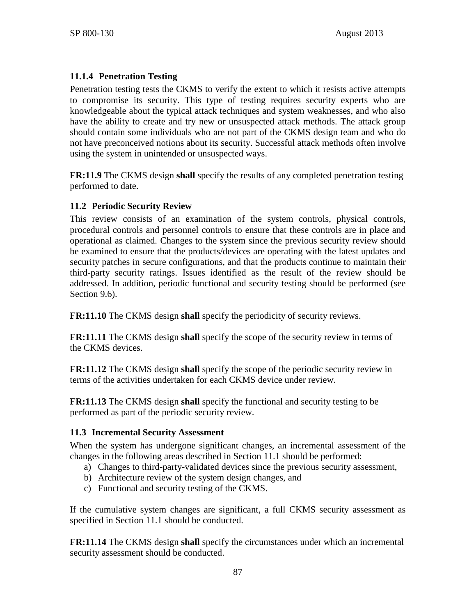# **11.1.4 Penetration Testing**

Penetration testing tests the CKMS to verify the extent to which it resists active attempts to compromise its security. This type of testing requires security experts who are knowledgeable about the typical attack techniques and system weaknesses, and who also have the ability to create and try new or unsuspected attack methods. The attack group should contain some individuals who are not part of the CKMS design team and who do not have preconceived notions about its security. Successful attack methods often involve using the system in unintended or unsuspected ways.

**FR:11.9** The CKMS design **shall** specify the results of any completed penetration testing performed to date.

## **11.2 Periodic Security Review**

This review consists of an examination of the system controls, physical controls, procedural controls and personnel controls to ensure that these controls are in place and operational as claimed. Changes to the system since the previous security review should be examined to ensure that the products/devices are operating with the latest updates and security patches in secure configurations, and that the products continue to maintain their third-party security ratings. Issues identified as the result of the review should be addressed. In addition, periodic functional and security testing should be performed (see Section [9.6\)](#page-85-0).

**FR:11.10** The CKMS design **shall** specify the periodicity of security reviews.

**FR:11.11** The CKMS design **shall** specify the scope of the security review in terms of the CKMS devices.

**FR:11.12** The CKMS design **shall** specify the scope of the periodic security review in terms of the activities undertaken for each CKMS device under review.

**FR:11.13** The CKMS design **shall** specify the functional and security testing to be performed as part of the periodic security review.

## **11.3 Incremental Security Assessment**

When the system has undergone significant changes, an incremental assessment of the changes in the following areas described in Section [11.1](#page-92-1) should be performed:

- a) Changes to third-party-validated devices since the previous security assessment,
- b) Architecture review of the system design changes, and
- c) Functional and security testing of the CKMS.

If the cumulative system changes are significant, a full CKMS security assessment as specified in Section [11.1](#page-92-1) should be conducted.

**FR:11.14** The CKMS design **shall** specify the circumstances under which an incremental security assessment should be conducted.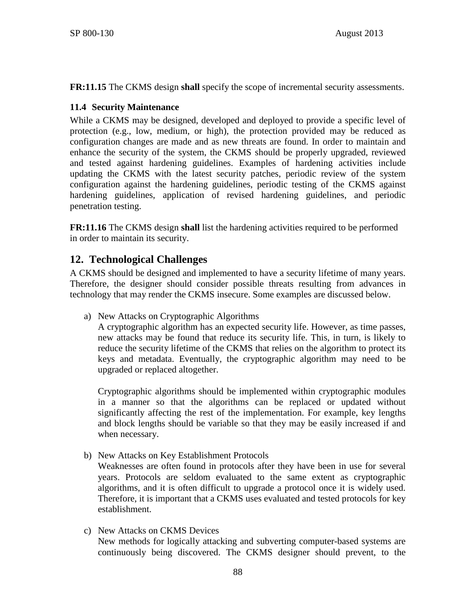**FR:11.15** The CKMS design **shall** specify the scope of incremental security assessments.

### **11.4 Security Maintenance**

While a CKMS may be designed, developed and deployed to provide a specific level of protection (e.g., low, medium, or high), the protection provided may be reduced as configuration changes are made and as new threats are found. In order to maintain and enhance the security of the system, the CKMS should be properly upgraded, reviewed and tested against hardening guidelines. Examples of hardening activities include updating the CKMS with the latest security patches, periodic review of the system configuration against the hardening guidelines, periodic testing of the CKMS against hardening guidelines, application of revised hardening guidelines, and periodic penetration testing.

**FR:11.16** The CKMS design **shall** list the hardening activities required to be performed in order to maintain its security.

# **12. Technological Challenges**

A CKMS should be designed and implemented to have a security lifetime of many years. Therefore, the designer should consider possible threats resulting from advances in technology that may render the CKMS insecure. Some examples are discussed below.

a) New Attacks on Cryptographic Algorithms

A cryptographic algorithm has an expected security life. However, as time passes, new attacks may be found that reduce its security life. This, in turn, is likely to reduce the security lifetime of the CKMS that relies on the algorithm to protect its keys and metadata. Eventually, the cryptographic algorithm may need to be upgraded or replaced altogether.

Cryptographic algorithms should be implemented within cryptographic modules in a manner so that the algorithms can be replaced or updated without significantly affecting the rest of the implementation. For example, key lengths and block lengths should be variable so that they may be easily increased if and when necessary.

b) New Attacks on Key Establishment Protocols

Weaknesses are often found in protocols after they have been in use for several years. Protocols are seldom evaluated to the same extent as cryptographic algorithms, and it is often difficult to upgrade a protocol once it is widely used. Therefore, it is important that a CKMS uses evaluated and tested protocols for key establishment.

c) New Attacks on CKMS Devices New methods for logically attacking and subverting computer-based systems are continuously being discovered. The CKMS designer should prevent, to the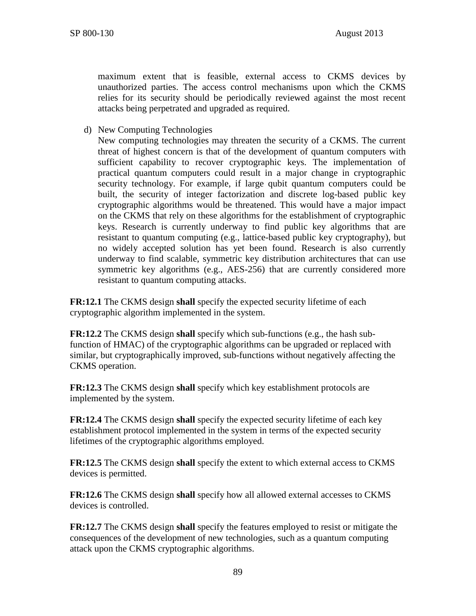maximum extent that is feasible, external access to CKMS devices by unauthorized parties. The access control mechanisms upon which the CKMS relies for its security should be periodically reviewed against the most recent attacks being perpetrated and upgraded as required.

d) New Computing Technologies

New computing technologies may threaten the security of a CKMS. The current threat of highest concern is that of the development of quantum computers with sufficient capability to recover cryptographic keys. The implementation of practical quantum computers could result in a major change in cryptographic security technology. For example, if large qubit quantum computers could be built, the security of integer factorization and discrete log-based public key cryptographic algorithms would be threatened. This would have a major impact on the CKMS that rely on these algorithms for the establishment of cryptographic keys. Research is currently underway to find public key algorithms that are resistant to quantum computing (e.g., lattice-based public key cryptography), but no widely accepted solution has yet been found. Research is also currently underway to find scalable, symmetric key distribution architectures that can use symmetric key algorithms (e.g., AES-256) that are currently considered more resistant to quantum computing attacks.

**FR:12.1** The CKMS design **shall** specify the expected security lifetime of each cryptographic algorithm implemented in the system.

**FR:12.2** The CKMS design **shall** specify which sub-functions (e.g., the hash subfunction of HMAC) of the cryptographic algorithms can be upgraded or replaced with similar, but cryptographically improved, sub-functions without negatively affecting the CKMS operation.

**FR:12.3** The CKMS design **shall** specify which key establishment protocols are implemented by the system.

**FR:12.4** The CKMS design **shall** specify the expected security lifetime of each key establishment protocol implemented in the system in terms of the expected security lifetimes of the cryptographic algorithms employed.

**FR:12.5** The CKMS design **shall** specify the extent to which external access to CKMS devices is permitted.

**FR:12.6** The CKMS design **shall** specify how all allowed external accesses to CKMS devices is controlled.

**FR:12.7** The CKMS design **shall** specify the features employed to resist or mitigate the consequences of the development of new technologies, such as a quantum computing attack upon the CKMS cryptographic algorithms.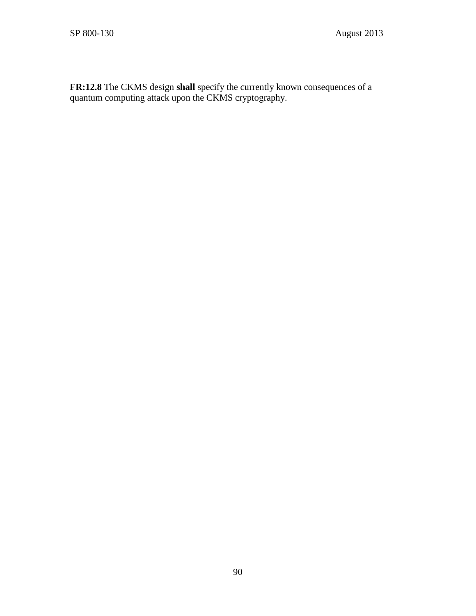**FR:12.8** The CKMS design **shall** specify the currently known consequences of a quantum computing attack upon the CKMS cryptography.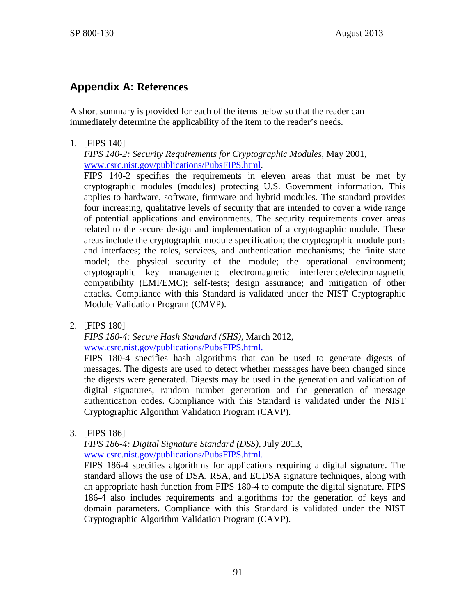# **Appendix A: References**

A short summary is provided for each of the items below so that the reader can immediately determine the applicability of the item to the reader's needs.

<span id="page-98-0"></span>1. [FIPS 140]

*FIPS 140-2: Security Requirements for Cryptographic Modules*, May 2001, www.csrc.nist.gov/publications/PubsFIPS.html.

FIPS 140-2 specifies the requirements in eleven areas that must be met by cryptographic modules (modules) protecting U.S. Government information. This applies to hardware, software, firmware and hybrid modules. The standard provides four increasing, qualitative levels of security that are intended to cover a wide range of potential applications and environments. The security requirements cover areas related to the secure design and implementation of a cryptographic module. These areas include the cryptographic module specification; the cryptographic module ports and interfaces; the roles, services, and authentication mechanisms; the finite state model; the physical security of the module; the operational environment; cryptographic key management; electromagnetic interference/electromagnetic compatibility (EMI/EMC); self-tests; design assurance; and mitigation of other attacks. Compliance with this Standard is validated under the NIST Cryptographic Module Validation Program (CMVP).

2. [FIPS 180]

*FIPS 180-4: Secure Hash Standard (SHS)*, March 2012, [www.csrc.nist.gov/publications/PubsFIPS.html.](http://www.csrc.nist.gov/publications/PubsFIPS.html)

FIPS 180-4 specifies hash algorithms that can be used to generate digests of messages. The digests are used to detect whether messages have been changed since the digests were generated. Digests may be used in the generation and validation of digital signatures, random number generation and the generation of message authentication codes. Compliance with this Standard is validated under the NIST Cryptographic Algorithm Validation Program (CAVP).

3. [FIPS 186]

*FIPS 186-4: Digital Signature Standard (DSS)*, July 2013, www.csrc.nist.gov/publications/PubsFIPS.html.

FIPS 186-4 specifies algorithms for applications requiring a digital signature. The standard allows the use of DSA, RSA, and ECDSA signature techniques, along with an appropriate hash function from FIPS 180-4 to compute the digital signature. FIPS 186-4 also includes requirements and algorithms for the generation of keys and domain parameters. Compliance with this Standard is validated under the NIST Cryptographic Algorithm Validation Program (CAVP).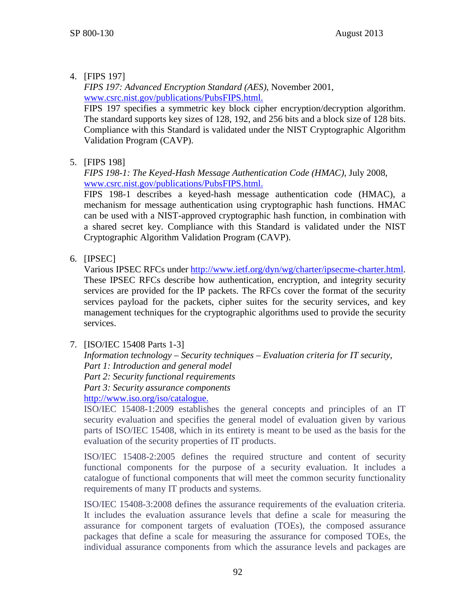# 4. [FIPS 197]

*FIPS 197: Advanced Encryption Standard (AES)*, November 2001, www.csrc.nist.gov/publications/PubsFIPS.html.

FIPS 197 specifies a symmetric key block cipher encryption/decryption algorithm. The standard supports key sizes of 128, 192, and 256 bits and a block size of 128 bits. Compliance with this Standard is validated under the NIST Cryptographic Algorithm Validation Program (CAVP).

5. [FIPS 198]

*FIPS 198-1: The Keyed-Hash Message Authentication Code (HMAC)*, July 2008, www.csrc.nist.gov/publications/PubsFIPS.html.

FIPS 198-1 describes a keyed-hash message authentication code (HMAC), a mechanism for message authentication using cryptographic hash functions. HMAC can be used with a NIST-approved cryptographic hash function, in combination with a shared secret key. Compliance with this Standard is validated under the NIST Cryptographic Algorithm Validation Program (CAVP).

6. [IPSEC]

Various IPSEC RFCs under [http://www.ietf.org/dyn/wg/charter/ipsecme-charter.html.](http://www.ietf.org/dyn/wg/charter/ipsecme-charter.html) These IPSEC RFCs describe how authentication, encryption, and integrity security services are provided for the IP packets. The RFCs cover the format of the security services payload for the packets, cipher suites for the security services, and key management techniques for the cryptographic algorithms used to provide the security services.

<span id="page-99-0"></span>7. [ISO/IEC 15408 Parts 1-3]

*Information technology – Security techniques – Evaluation criteria for IT security*, *Part 1: Introduction and general model Part 2: Security functional requirements*

*Part 3: Security assurance components*

http://www.iso.org/iso/catalogue.

ISO/IEC 15408-1:2009 establishes the general concepts and principles of an IT security evaluation and specifies the general model of evaluation given by various parts of ISO/IEC 15408, which in its entirety is meant to be used as the basis for the evaluation of the security properties of IT products.

ISO/IEC 15408-2:2005 defines the required structure and content of security functional components for the purpose of a security evaluation. It includes a catalogue of functional components that will meet the common security functionality requirements of many IT products and systems.

ISO/IEC 15408-3:2008 defines the assurance requirements of the evaluation criteria. It includes the evaluation assurance levels that define a scale for measuring the assurance for component targets of evaluation (TOEs), the composed assurance packages that define a scale for measuring the assurance for composed TOEs, the individual assurance components from which the assurance levels and packages are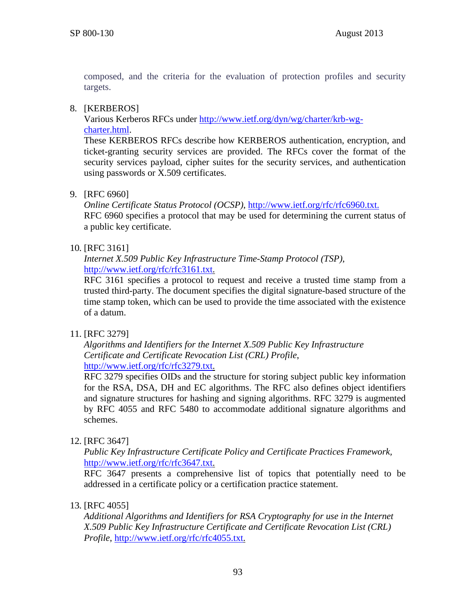composed, and the criteria for the evaluation of protection profiles and security targets.

### 8. [KERBEROS]

Various Kerberos RFCs under [http://www.ietf.org/dyn/wg/charter/krb-wg](http://www.ietf.org/dyn/wg/charter/krb-wg-charter.html)[charter.html.](http://www.ietf.org/dyn/wg/charter/krb-wg-charter.html)

These KERBEROS RFCs describe how KERBEROS authentication, encryption, and ticket-granting security services are provided. The RFCs cover the format of the security services payload, cipher suites for the security services, and authentication using passwords or X.509 certificates.

### 9. [RFC 6960]

*Online Certificate Status Protocol (OCSP)*, http://www.ietf.org/rfc/rfc6960.txt. RFC 6960 specifies a protocol that may be used for determining the current status of a public key certificate.

### 10. [RFC 3161]

*Internet X.509 Public Key Infrastructure Time-Stamp Protocol (TSP)*, [http://www.ietf.org/rfc/rfc3161.txt.](http://www.ietf.org/rfc/rfc3161.txt)

RFC 3161 specifies a protocol to request and receive a trusted time stamp from a trusted third-party. The document specifies the digital signature-based structure of the time stamp token, which can be used to provide the time associated with the existence of a datum.

## 11. [RFC 3279]

*Algorithms and Identifiers for the Internet X.509 Public Key Infrastructure Certificate and Certificate Revocation List (CRL) Profile*, [http://www.ietf.org/rfc/rfc3279.txt.](http://www.ietf.org/rfc/rfc3279.txt)

RFC 3279 specifies OIDs and the structure for storing subject public key information for the RSA, DSA, DH and EC algorithms. The RFC also defines object identifiers and signature structures for hashing and signing algorithms. RFC 3279 is augmented by RFC 4055 and RFC 5480 to accommodate additional signature algorithms and schemes.

## 12. [RFC 3647]

*Public Key Infrastructure Certificate Policy and Certificate Practices Framework,*  [http://www.ietf.org/rfc/rfc3647.txt.](http://www.ietf.org/rfc/rfc3647.txt)

RFC 3647 presents a comprehensive list of topics that potentially need to be addressed in a certificate policy or a certification practice statement.

## 13. [RFC 4055]

*Additional Algorithms and Identifiers for RSA Cryptography for use in the Internet X.509 Public Key Infrastructure Certificate and Certificate Revocation List (CRL) Profile*, [http://www.ietf.org/rfc/rfc4055.txt.](http://www.ietf.org/rfc/rfc4055.txt)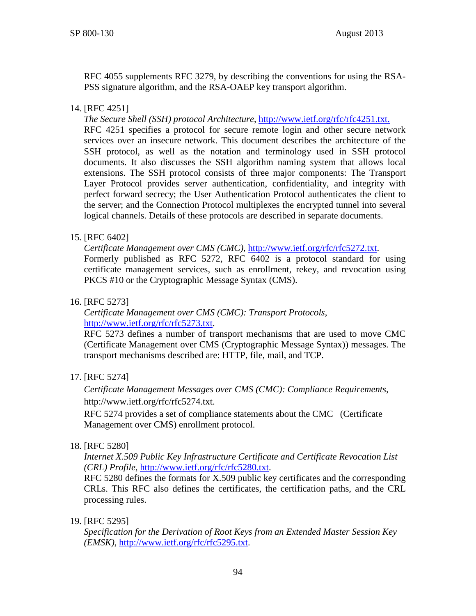RFC 4055 supplements RFC 3279, by describing the conventions for using the RSA-PSS signature algorithm, and the RSA-OAEP key transport algorithm.

### 14. [RFC 4251]

*The Secure Shell (SSH) protocol Architecture*, http://www.ietf.org/rfc/rfc4251.txt. RFC 4251 specifies a protocol for secure remote login and other secure network services over an insecure network. This document describes the architecture of the SSH protocol, as well as the notation and terminology used in SSH protocol documents. It also discusses the SSH algorithm naming system that allows local extensions. The SSH protocol consists of three major components: The Transport Layer Protocol provides server authentication, confidentiality, and integrity with perfect forward secrecy; the User Authentication Protocol authenticates the client to the server; and the Connection Protocol multiplexes the encrypted tunnel into several logical channels. Details of these protocols are described in separate documents.

### 15. [RFC 6402]

*Certificate Management over CMS (CMC)*, [http://www.ietf.org/rfc/rfc5272.txt.](http://www.ietf.org/rfc/rfc5272.txt)

Formerly published as RFC 5272, RFC 6402 is a protocol standard for using certificate management services, such as enrollment, rekey, and revocation using PKCS #10 or the Cryptographic Message Syntax (CMS).

### 16. [RFC 5273]

### *Certificate Management over CMS (CMC): Transport Protocols*, [http://www.ietf.org/rfc/rfc5273.txt.](http://www.ietf.org/rfc/rfc5273.txt)

RFC 5273 defines a number of transport mechanisms that are used to move CMC (Certificate Management over CMS (Cryptographic Message Syntax)) messages. The transport mechanisms described are: HTTP, file, mail, and TCP.

## 17. [RFC 5274]

*Certificate Management Messages over CMS (CMC): Compliance Requirements*, http://www.ietf.org/rfc/rfc5274.txt.

RFC 5274 provides a set of compliance statements about the CMC (Certificate Management over CMS) enrollment protocol.

### 18. [RFC 5280]

*Internet X.509 Public Key Infrastructure Certificate and Certificate Revocation List (CRL) Profile*, [http://www.ietf.org/rfc/rfc5280.txt.](http://www.ietf.org/rfc/rfc5280.txt)

RFC 5280 defines the formats for X.509 public key certificates and the corresponding CRLs. This RFC also defines the certificates, the certification paths, and the CRL processing rules.

### 19. [RFC 5295]

*Specification for the Derivation of Root Keys from an Extended Master Session Key (EMSK)*, [http://www.ietf.org/rfc/rfc5295.txt.](http://www.ietf.org/rfc/rfc5295.txt)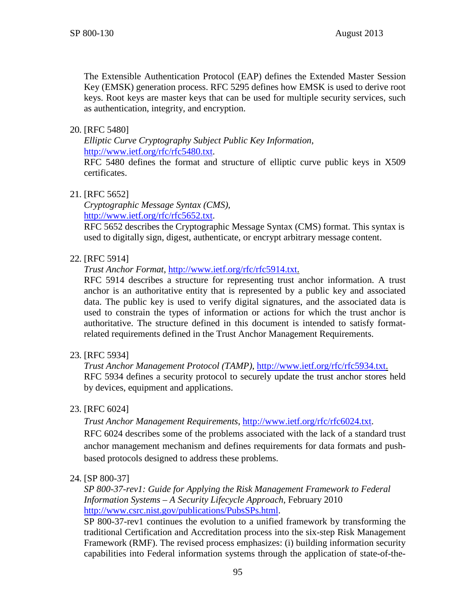The Extensible Authentication Protocol (EAP) defines the Extended Master Session Key (EMSK) generation process. RFC 5295 defines how EMSK is used to derive root keys. Root keys are master keys that can be used for multiple security services, such as authentication, integrity, and encryption.

### 20. [RFC 5480]

*Elliptic Curve Cryptography Subject Public Key Information*, [http://www.ietf.org/rfc/rfc5480.txt.](http://www.ietf.org/rfc/rfc5480.txt)

RFC 5480 defines the format and structure of elliptic curve public keys in X509 certificates.

### 21. [RFC 5652]

*Cryptographic Message Syntax (CMS),*  [http://www.ietf.org/rfc/rfc5652.txt.](http://www.ietf.org/rfc/rfc5272.txt)

RFC 5652 describes the Cryptographic Message Syntax (CMS) format. This syntax is used to digitally sign, digest, authenticate, or encrypt arbitrary message content.

### 22. [RFC 5914]

*Trust Anchor Format*, [http://www.ietf.org/rfc/rfc5914.txt.](http://www.ietf.org/rfc/rfc5914.txt)

RFC 5914 describes a structure for representing trust anchor information. A trust anchor is an authoritative entity that is represented by a public key and associated data. The public key is used to verify digital signatures, and the associated data is used to constrain the types of information or actions for which the trust anchor is authoritative. The structure defined in this document is intended to satisfy formatrelated requirements defined in the Trust Anchor Management Requirements.

### 23. [RFC 5934]

*Trust Anchor Management Protocol (TAMP)*, [http://www.ietf.org/rfc/rfc5934.txt.](http://www.ietf.org/rfc/rfc5934.txt) RFC 5934 defines a security protocol to securely update the trust anchor stores held by devices, equipment and applications.

### 23. [RFC 6024]

*Trust Anchor Management Requirements*, [http://www.ietf.org/rfc/rfc6024.txt.](http://www.ietf.org/rfc/rfc6024.txt)

RFC 6024 describes some of the problems associated with the lack of a standard trust anchor management mechanism and defines requirements for data formats and pushbased protocols designed to address these problems.

### <span id="page-102-0"></span>24. [SP 800-37]

*SP 800-37-rev1: Guide for Applying the Risk Management Framework to Federal Information Systems – A Security Lifecycle Approach,* February 2010 [http://www.csrc.nist.gov/publications/PubsSPs.html.](http://www.csrc.nist.gov/publications/PubsSPs.html)

SP 800-37-rev1 continues the evolution to a unified framework by transforming the traditional Certification and Accreditation process into the six-step Risk Management Framework (RMF). The revised process emphasizes: (i) building information security capabilities into Federal information systems through the application of state-of-the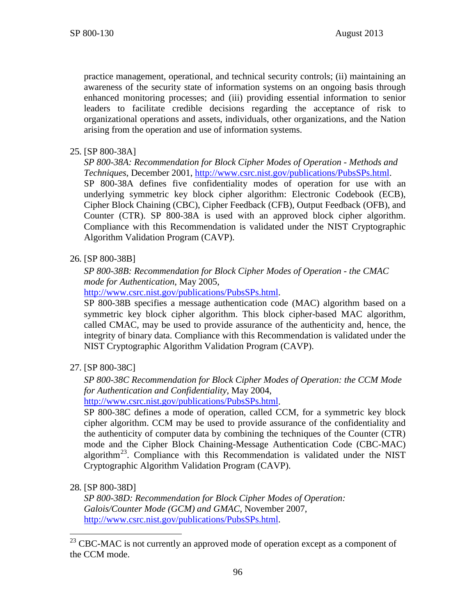practice management, operational, and technical security controls; (ii) maintaining an awareness of the security state of information systems on an ongoing basis through enhanced monitoring processes; and (iii) providing essential information to senior leaders to facilitate credible decisions regarding the acceptance of risk to organizational operations and assets, individuals, other organizations, and the Nation arising from the operation and use of information systems.

## 25. [SP 800-38A]

*SP 800-38A: Recommendation for Block Cipher Modes of Operation - Methods and Techniques*, December 2001, [http://www.csrc.nist.gov/publications/PubsSPs.html.](http://www.csrc.nist.gov/publications/PubsSPs.html) SP 800-38A defines five confidentiality modes of operation for use with an underlying symmetric key block cipher algorithm: Electronic Codebook (ECB), Cipher Block Chaining (CBC), Cipher Feedback (CFB), Output Feedback (OFB), and Counter (CTR). SP 800-38A is used with an approved block cipher algorithm. Compliance with this Recommendation is validated under the NIST Cryptographic Algorithm Validation Program (CAVP).

## 26. [SP 800-38B]

*SP 800-38B: Recommendation for Block Cipher Modes of Operation - the CMAC mode for Authentication*, May 2005,

[http://www.csrc.nist.gov/publications/PubsSPs.html.](http://www.csrc.nist.gov/publications/PubsSPs.html)

SP 800-38B specifies a message authentication code (MAC) algorithm based on a symmetric key block cipher algorithm. This block cipher-based MAC algorithm, called CMAC, may be used to provide assurance of the authenticity and, hence, the integrity of binary data. Compliance with this Recommendation is validated under the NIST Cryptographic Algorithm Validation Program (CAVP).

## 27. [SP 800-38C]

*SP 800-38C Recommendation for Block Cipher Modes of Operation: the CCM Mode for Authentication and Confidentiality*, May 2004,

[http://www.csrc.nist.gov/publications/PubsSPs.html.](http://www.csrc.nist.gov/publications/PubsSPs.html)

SP 800-38C defines a mode of operation, called CCM, for a symmetric key block cipher algorithm. CCM may be used to provide assurance of the confidentiality and the authenticity of computer data by combining the techniques of the Counter (CTR) mode and the Cipher Block Chaining-Message Authentication Code (CBC-MAC) algorithm<sup>[23](#page-103-0)</sup>. Compliance with this Recommendation is validated under the NIST Cryptographic Algorithm Validation Program (CAVP).

### 28. [SP 800-38D]

*SP 800-38D: Recommendation for Block Cipher Modes of Operation: Galois/Counter Mode (GCM) and GMAC*, November 2007, [http://www.csrc.nist.gov/publications/PubsSPs.html.](http://www.csrc.nist.gov/publications/PubsSPs.html)

<span id="page-103-0"></span><sup>&</sup>lt;sup>23</sup> CBC-MAC is not currently an approved mode of operation except as a component of the CCM mode.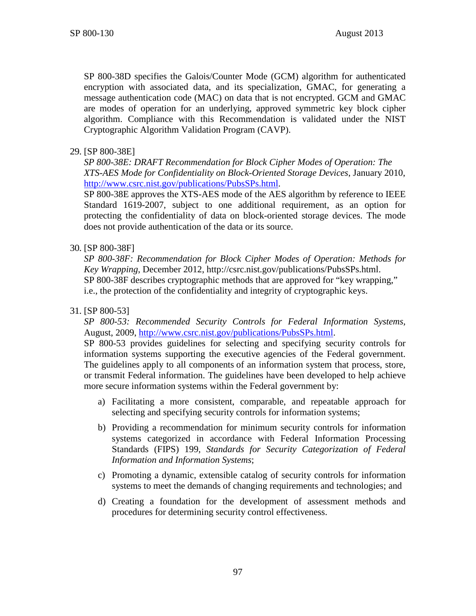SP 800-38D specifies the Galois/Counter Mode (GCM) algorithm for authenticated encryption with associated data, and its specialization, GMAC, for generating a message authentication code (MAC) on data that is not encrypted. GCM and GMAC are modes of operation for an underlying, approved symmetric key block cipher algorithm. Compliance with this Recommendation is validated under the NIST Cryptographic Algorithm Validation Program (CAVP).

### 29. [SP 800-38E]

*SP 800-38E: DRAFT Recommendation for Block Cipher Modes of Operation: The XTS-AES Mode for Confidentiality on Block-Oriented Storage Devices*, January 2010, [http://www.csrc.nist.gov/publications/PubsSPs.html.](http://www.csrc.nist.gov/publications/PubsSPs.html)

SP 800-38E approves the XTS-AES mode of the AES algorithm by reference to IEEE Standard 1619-2007, subject to one additional requirement, as an option for protecting the confidentiality of data on block-oriented storage devices. The mode does not provide authentication of the data or its source.

### 30. [SP 800-38F]

*SP 800-38F: Recommendation for Block Cipher Modes of Operation: Methods for Key Wrapping*, December 2012, http://csrc.nist.gov/publications/PubsSPs.html. SP 800-38F describes cryptographic methods that are approved for "key wrapping," i.e., the protection of the confidentiality and integrity of cryptographic keys.

### <span id="page-104-0"></span>31. [SP 800-53]

*SP 800-53: Recommended Security Controls for Federal Information Systems,* August, 2009, [http://www.csrc.nist.gov/publications/PubsSPs.html.](http://www.csrc.nist.gov/publications/PubsSPs.html)

SP 800-53 provides guidelines for selecting and specifying security controls for information systems supporting the executive agencies of the Federal government. The guidelines apply to all components of an information system that process, store, or transmit Federal information. The guidelines have been developed to help achieve more secure information systems within the Federal government by:

- a) Facilitating a more consistent, comparable, and repeatable approach for selecting and specifying security controls for information systems;
- b) Providing a recommendation for minimum security controls for information systems categorized in accordance with Federal Information Processing Standards (FIPS) 199, *Standards for Security Categorization of Federal Information and Information Systems*;
- c) Promoting a dynamic, extensible catalog of security controls for information systems to meet the demands of changing requirements and technologies; and
- d) Creating a foundation for the development of assessment methods and procedures for determining security control effectiveness.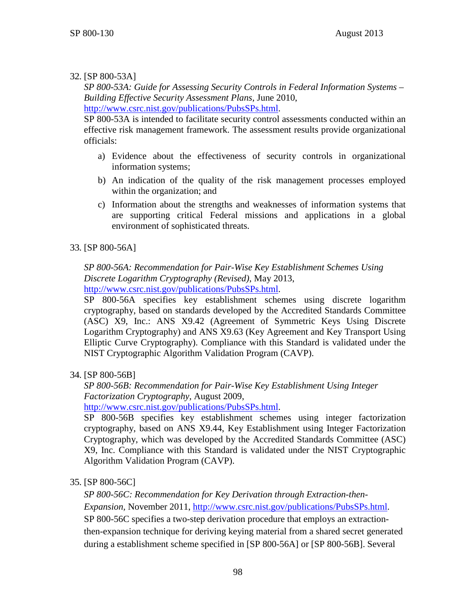# <span id="page-105-0"></span>32. [SP 800-53A]

*SP 800-53A: Guide for Assessing Security Controls in Federal Information Systems – Building Effective Security Assessment Plans,* June 2010, [http://www.csrc.nist.gov/publications/PubsSPs.html.](http://www.csrc.nist.gov/publications/PubsSPs.html)

SP 800-53A is intended to facilitate security control assessments conducted within an effective risk management framework. The assessment results provide organizational officials:

- a) Evidence about the effectiveness of security controls in organizational information systems;
- b) An indication of the quality of the risk management processes employed within the organization; and
- c) Information about the strengths and weaknesses of information systems that are supporting critical Federal missions and applications in a global environment of sophisticated threats.

# <span id="page-105-1"></span>33. [SP 800-56A]

*SP 800-56A: Recommendation for Pair-Wise Key Establishment Schemes Using Discrete Logarithm Cryptography (Revised)*, May 2013, [http://www.csrc.nist.gov/publications/PubsSPs.html.](http://www.csrc.nist.gov/publications/PubsSPs.html)

SP 800-56A specifies key establishment schemes using discrete logarithm cryptography, based on standards developed by the Accredited Standards Committee (ASC) X9, Inc.: ANS X9.42 (Agreement of Symmetric Keys Using Discrete Logarithm Cryptography) and ANS X9.63 (Key Agreement and Key Transport Using Elliptic Curve Cryptography). Compliance with this Standard is validated under the NIST Cryptographic Algorithm Validation Program (CAVP).

# <span id="page-105-2"></span>34. [SP 800-56B]

*SP 800-56B: Recommendation for Pair-Wise Key Establishment Using Integer Factorization Cryptography,* August 2009,

[http://www.csrc.nist.gov/publications/PubsSPs.html.](http://www.csrc.nist.gov/publications/PubsSPs.html)

SP 800-56B specifies key establishment schemes using integer factorization cryptography, based on ANS X9.44, Key Establishment using Integer Factorization Cryptography, which was developed by the Accredited Standards Committee (ASC) X9, Inc. Compliance with this Standard is validated under the NIST Cryptographic Algorithm Validation Program (CAVP).

35. [SP 800-56C]

*SP 800-56C: Recommendation for Key Derivation through Extraction-then-*

*Expansion,* November 2011, [http://www.csrc.nist.gov/publications/PubsSPs.html.](http://www.csrc.nist.gov/publications/PubsSPs.html) SP 800-56C specifies a two-step derivation procedure that employs an extraction-

then-expansion technique for deriving keying material from a shared secret generated during a establishment scheme specified in [\[SP 800-56A\]](#page-105-1) or [\[SP 800-56B\].](#page-105-2) Several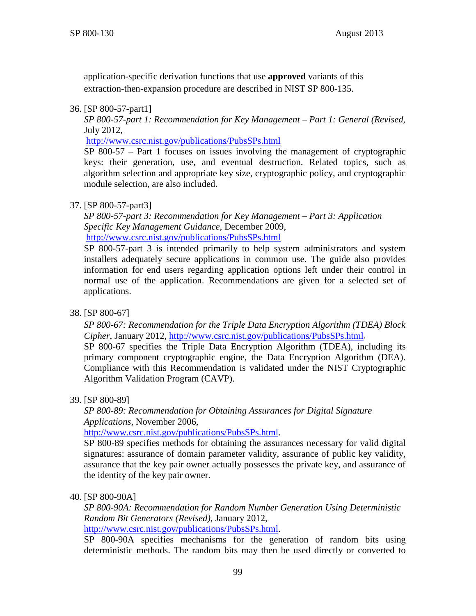application-specific derivation functions that use **approved** variants of this extraction-then-expansion procedure are described in NIST SP 800-135.

### <span id="page-106-0"></span>36. [SP 800-57-part1]

*SP 800-57-part 1: Recommendation for Key Management – Part 1: General (Revised,* July 2012,

<http://www.csrc.nist.gov/publications/PubsSPs.html>

SP 800-57 – Part 1 focuses on issues involving the management of cryptographic keys: their generation, use, and eventual destruction. Related topics, such as algorithm selection and appropriate key size, cryptographic policy, and cryptographic module selection, are also included.

## 37. [SP 800-57-part3]

*SP 800-57-part 3: Recommendation for Key Management – Part 3: Application Specific Key Management Guidance,* December 2009, <http://www.csrc.nist.gov/publications/PubsSPs.html>

SP 800-57-part 3 is intended primarily to help system administrators and system installers adequately secure applications in common use. The guide also provides information for end users regarding application options left under their control in normal use of the application. Recommendations are given for a selected set of applications.

38. [SP 800-67]

*SP 800-67: Recommendation for the Triple Data Encryption Algorithm (TDEA) Block Cipher*, January 2012, [http://www.csrc.nist.gov/publications/PubsSPs.html.](http://www.csrc.nist.gov/publications/PubsSPs.html)

SP 800-67 specifies the Triple Data Encryption Algorithm (TDEA), including its primary component cryptographic engine, the Data Encryption Algorithm (DEA). Compliance with this Recommendation is validated under the NIST Cryptographic Algorithm Validation Program (CAVP).

39. [SP 800-89]

*SP 800-89: Recommendation for Obtaining Assurances for Digital Signature Applications*, November 2006,

[http://www.csrc.nist.gov/publications/PubsSPs.html.](http://www.csrc.nist.gov/publications/PubsSPs.html)

SP 800-89 specifies methods for obtaining the assurances necessary for valid digital signatures: assurance of domain parameter validity, assurance of public key validity, assurance that the key pair owner actually possesses the private key, and assurance of the identity of the key pair owner.

## 40. [SP 800-90A]

*SP 800-90A: Recommendation for Random Number Generation Using Deterministic Random Bit Generators (Revised)*, January 2012, [http://www.csrc.nist.gov/publications/PubsSPs.html.](http://www.csrc.nist.gov/publications/PubsSPs.html)

SP 800-90A specifies mechanisms for the generation of random bits using deterministic methods. The random bits may then be used directly or converted to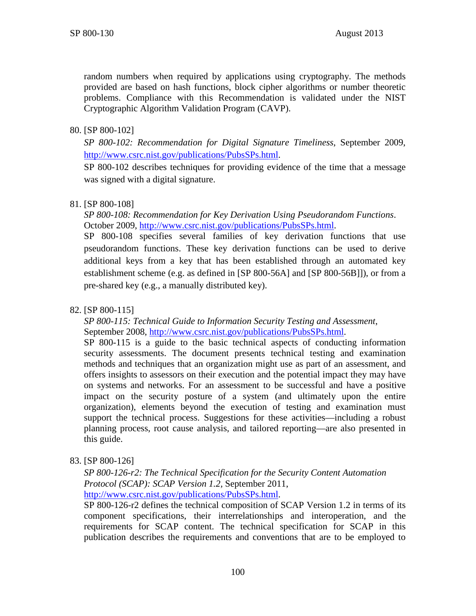random numbers when required by applications using cryptography. The methods provided are based on hash functions, block cipher algorithms or number theoretic problems. Compliance with this Recommendation is validated under the NIST Cryptographic Algorithm Validation Program (CAVP).

### 80. [SP 800-102]

*SP 800-102: Recommendation for Digital Signature Timeliness*, September 2009, [http://www.csrc.nist.gov/publications/PubsSPs.html.](http://www.csrc.nist.gov/publications/PubsSPs.html)

SP 800-102 describes techniques for providing evidence of the time that a message was signed with a digital signature.

### 81. [SP 800-108]

*SP 800-108: Recommendation for Key Derivation Using Pseudorandom Functions*. October 2009, [http://www.csrc.nist.gov/publications/PubsSPs.html.](http://www.csrc.nist.gov/publications/PubsSPs.html)

SP 800-108 specifies several families of key derivation functions that use pseudorandom functions. These key derivation functions can be used to derive additional keys from a key that has been established through an automated key establishment scheme (e.g. as defined in [SP 800-56A] and [SP 800-56B]]), or from a pre-shared key (e.g., a manually distributed key).

### <span id="page-107-1"></span>82. [SP 800-115]

*SP 800-115: Technical Guide to Information Security Testing and Assessment*, September 2008, [http://www.csrc.nist.gov/publications/PubsSPs.html.](http://www.csrc.nist.gov/publications/PubsSPs.html)

SP 800-115 is a guide to the basic technical aspects of conducting information security assessments. The document presents technical testing and examination methods and techniques that an organization might use as part of an assessment, and offers insights to assessors on their execution and the potential impact they may have on systems and networks. For an assessment to be successful and have a positive impact on the security posture of a system (and ultimately upon the entire organization), elements beyond the execution of testing and examination must support the technical process. Suggestions for these activities—including a robust planning process, root cause analysis, and tailored reporting—are also presented in this guide.

<span id="page-107-0"></span>83. [SP 800-126]

*SP 800-126-r2: The Technical Specification for the Security Content Automation Protocol (SCAP): SCAP Version 1.2,* September 2011, [http://www.csrc.nist.gov/publications/PubsSPs.html.](http://www.csrc.nist.gov/publications/PubsSPs.html)

SP 800-126-r2 defines the technical composition of SCAP Version 1.2 in terms of its component specifications, their interrelationships and interoperation, and the requirements for SCAP content. The technical specification for SCAP in this publication describes the requirements and conventions that are to be employed to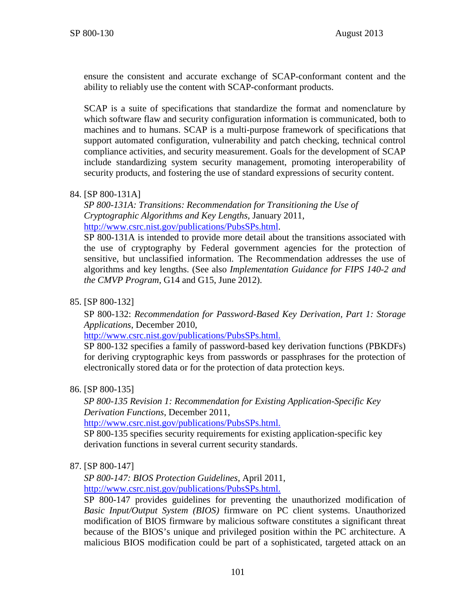ensure the consistent and accurate exchange of SCAP-conformant content and the ability to reliably use the content with SCAP-conformant products.

SCAP is a suite of specifications that standardize the format and nomenclature by which software flaw and security configuration information is communicated, both to machines and to humans. SCAP is a multi-purpose framework of specifications that support automated configuration, vulnerability and patch checking, technical control compliance activities, and security measurement. Goals for the development of SCAP include standardizing system security management, promoting interoperability of security products, and fostering the use of standard expressions of security content.

84. [SP 800-131A]

*SP 800-131A: Transitions: Recommendation for Transitioning the Use of Cryptographic Algorithms and Key Lengths,* January 2011, [http://www.csrc.nist.gov/publications/PubsSPs.html.](http://www.csrc.nist.gov/publications/PubsSPs.html)

SP 800-131A is intended to provide more detail about the transitions associated with the use of cryptography by Federal government agencies for the protection of sensitive, but unclassified information. The Recommendation addresses the use of algorithms and key lengths. (See also *Implementation Guidance for FIPS 140-2 and the CMVP Program*, G14 and G15, June 2012).

85. [SP 800-132]

SP 800-132: *Recommendation for Password-Based Key Derivation, Part 1: Storage Applications*, December 2010,

[http://www.csrc.nist.gov/publications/PubsSPs.html.](http://www.csrc.nist.gov/publications/PubsSPs.html)

SP 800-132 specifies a family of password-based key derivation functions (PBKDFs) for deriving cryptographic keys from passwords or passphrases for the protection of electronically stored data or for the protection of data protection keys.

86. [SP 800-135]

*SP 800-135 Revision 1: Recommendation for Existing Application-Specific Key Derivation Functions*, December 2011,

[http://www.csrc.nist.gov/publications/PubsSPs.html.](http://www.csrc.nist.gov/publications/PubsSPs.html)

SP 800-135 specifies security requirements for existing application-specific key derivation functions in several current security standards.

87. [SP 800-147]

*SP 800-147: BIOS Protection Guidelines,* April 2011, [http://www.csrc.nist.gov/publications/PubsSPs.html.](http://www.csrc.nist.gov/publications/PubsSPs.html)

SP 800-147 provides guidelines for preventing the unauthorized modification of *Basic Input/Output System (BIOS)* firmware on PC client systems. Unauthorized modification of BIOS firmware by malicious software constitutes a significant threat because of the BIOS's unique and privileged position within the PC architecture. A malicious BIOS modification could be part of a sophisticated, targeted attack on an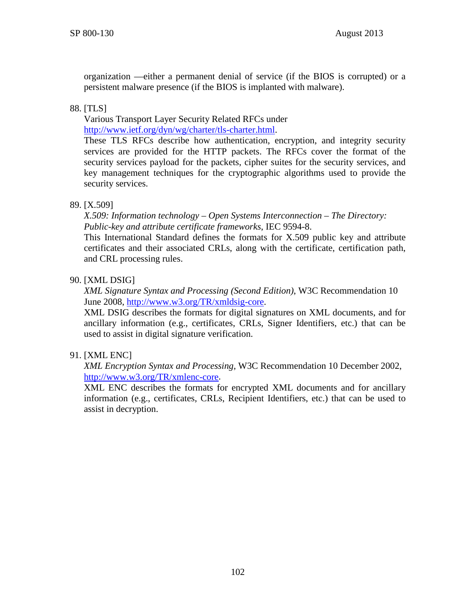organization —either a permanent denial of service (if the BIOS is corrupted) or a persistent malware presence (if the BIOS is implanted with malware).

## 88. [TLS]

Various Transport Layer Security Related RFCs under [http://www.ietf.org/dyn/wg/charter/tls-charter.html.](http://www.ietf.org/dyn/wg/charter/tls-charter.html)

These TLS RFCs describe how authentication, encryption, and integrity security services are provided for the HTTP packets. The RFCs cover the format of the security services payload for the packets, cipher suites for the security services, and key management techniques for the cryptographic algorithms used to provide the security services.

### 89. [X.509]

*X.509: Information technology – Open Systems Interconnection – The Directory: Public-key and attribute certificate frameworks*, IEC 9594-8.

This International Standard defines the formats for X.509 public key and attribute certificates and their associated CRLs, along with the certificate, certification path, and CRL processing rules.

### 90. [XML DSIG]

*XML Signature Syntax and Processing (Second Edition)*, W3C Recommendation 10 June 2008, http://www.w3.org/TR/xmldsig-core.

XML DSIG describes the formats for digital signatures on XML documents, and for ancillary information (e.g., certificates, CRLs, Signer Identifiers, etc.) that can be used to assist in digital signature verification.

## 91. [XML ENC]

*XML Encryption Syntax and Processing*, W3C Recommendation 10 December 2002, [http://www.w3.org/TR/xmlenc-core.](http://www.w3.org/TR/xmlenc-core/)

XML ENC describes the formats for encrypted XML documents and for ancillary information (e.g., certificates, CRLs, Recipient Identifiers, etc.) that can be used to assist in decryption.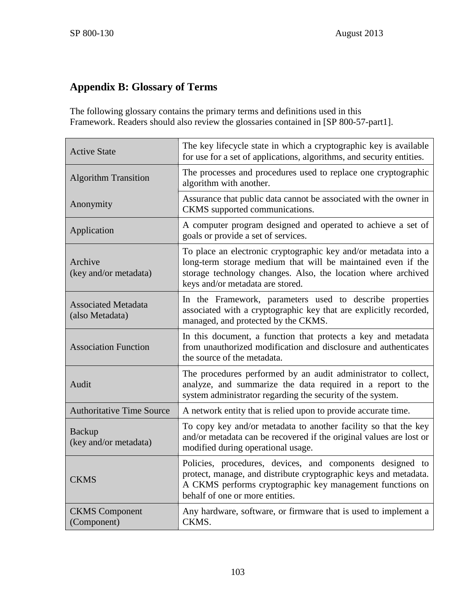## **Appendix B: Glossary of Terms**

The following glossary contains the primary terms and definitions used in this Framework. Readers should also review the glossaries contained in [\[SP 800-57-part1\].](#page-106-0)

| <b>Active State</b>                           | The key lifecycle state in which a cryptographic key is available<br>for use for a set of applications, algorithms, and security entities.                                                                                           |
|-----------------------------------------------|--------------------------------------------------------------------------------------------------------------------------------------------------------------------------------------------------------------------------------------|
| <b>Algorithm Transition</b>                   | The processes and procedures used to replace one cryptographic<br>algorithm with another.                                                                                                                                            |
| Anonymity                                     | Assurance that public data cannot be associated with the owner in<br>CKMS supported communications.                                                                                                                                  |
| Application                                   | A computer program designed and operated to achieve a set of<br>goals or provide a set of services.                                                                                                                                  |
| Archive<br>(key and/or metadata)              | To place an electronic cryptographic key and/or metadata into a<br>long-term storage medium that will be maintained even if the<br>storage technology changes. Also, the location where archived<br>keys and/or metadata are stored. |
| <b>Associated Metadata</b><br>(also Metadata) | In the Framework, parameters used to describe properties<br>associated with a cryptographic key that are explicitly recorded,<br>managed, and protected by the CKMS.                                                                 |
| <b>Association Function</b>                   | In this document, a function that protects a key and metadata<br>from unauthorized modification and disclosure and authenticates<br>the source of the metadata.                                                                      |
| Audit                                         | The procedures performed by an audit administrator to collect,<br>analyze, and summarize the data required in a report to the<br>system administrator regarding the security of the system.                                          |
| <b>Authoritative Time Source</b>              | A network entity that is relied upon to provide accurate time.                                                                                                                                                                       |
| <b>Backup</b><br>(key and/or metadata)        | To copy key and/or metadata to another facility so that the key<br>and/or metadata can be recovered if the original values are lost or<br>modified during operational usage.                                                         |
| <b>CKMS</b>                                   | Policies, procedures, devices, and components designed to<br>protect, manage, and distribute cryptographic keys and metadata.<br>A CKMS performs cryptographic key management functions on<br>behalf of one or more entities.        |
| <b>CKMS</b> Component<br>(Component)          | Any hardware, software, or firmware that is used to implement a<br>CKMS.                                                                                                                                                             |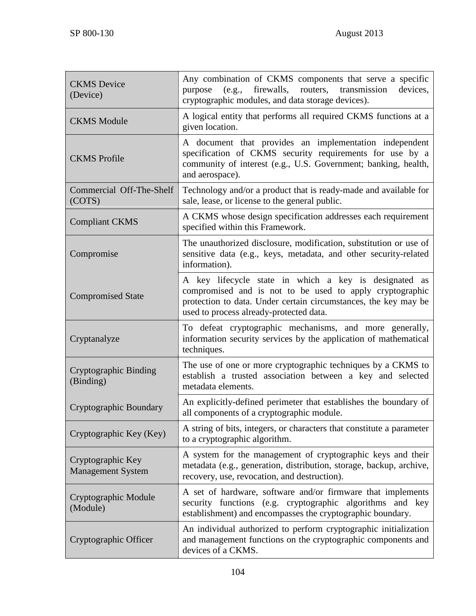| <b>CKMS</b> Device<br>(Device)                | Any combination of CKMS components that serve a specific<br>(e.g., firewalls, routers, transmission<br>devices,<br>purpose<br>cryptographic modules, and data storage devices).                                                 |
|-----------------------------------------------|---------------------------------------------------------------------------------------------------------------------------------------------------------------------------------------------------------------------------------|
| <b>CKMS</b> Module                            | A logical entity that performs all required CKMS functions at a<br>given location.                                                                                                                                              |
| <b>CKMS</b> Profile                           | A document that provides an implementation independent<br>specification of CKMS security requirements for use by a<br>community of interest (e.g., U.S. Government; banking, health,<br>and aerospace).                         |
| Commercial Off-The-Shelf<br>(COTS)            | Technology and/or a product that is ready-made and available for<br>sale, lease, or license to the general public.                                                                                                              |
| <b>Compliant CKMS</b>                         | A CKMS whose design specification addresses each requirement<br>specified within this Framework.                                                                                                                                |
| Compromise                                    | The unauthorized disclosure, modification, substitution or use of<br>sensitive data (e.g., keys, metadata, and other security-related<br>information).                                                                          |
| <b>Compromised State</b>                      | A key lifecycle state in which a key is designated as<br>compromised and is not to be used to apply cryptographic<br>protection to data. Under certain circumstances, the key may be<br>used to process already-protected data. |
| Cryptanalyze                                  | To defeat cryptographic mechanisms, and more generally,<br>information security services by the application of mathematical<br>techniques.                                                                                      |
| <b>Cryptographic Binding</b><br>(Binding)     | The use of one or more cryptographic techniques by a CKMS to<br>establish a trusted association between a key and selected<br>metadata elements.                                                                                |
| Cryptographic Boundary                        | An explicitly-defined perimeter that establishes the boundary of<br>all components of a cryptographic module.                                                                                                                   |
| Cryptographic Key (Key)                       | A string of bits, integers, or characters that constitute a parameter<br>to a cryptographic algorithm.                                                                                                                          |
| Cryptographic Key<br><b>Management System</b> | A system for the management of cryptographic keys and their<br>metadata (e.g., generation, distribution, storage, backup, archive,<br>recovery, use, revocation, and destruction).                                              |
| Cryptographic Module<br>(Module)              | A set of hardware, software and/or firmware that implements<br>security functions (e.g. cryptographic algorithms and key<br>establishment) and encompasses the cryptographic boundary.                                          |
| Cryptographic Officer                         | An individual authorized to perform cryptographic initialization<br>and management functions on the cryptographic components and<br>devices of a CKMS.                                                                          |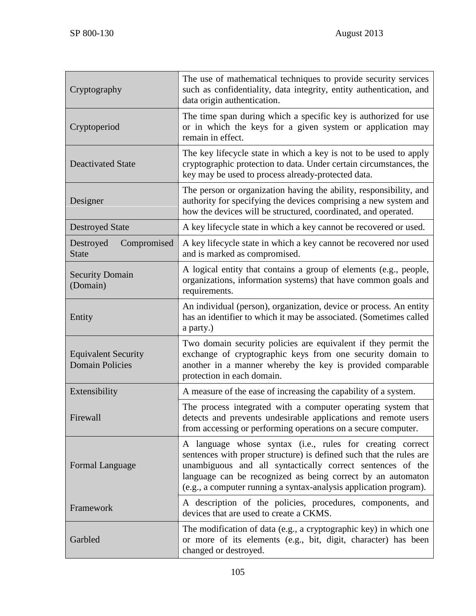| Cryptography                                         | The use of mathematical techniques to provide security services<br>such as confidentiality, data integrity, entity authentication, and<br>data origin authentication.                                                                                                                                                              |
|------------------------------------------------------|------------------------------------------------------------------------------------------------------------------------------------------------------------------------------------------------------------------------------------------------------------------------------------------------------------------------------------|
| Cryptoperiod                                         | The time span during which a specific key is authorized for use<br>or in which the keys for a given system or application may<br>remain in effect.                                                                                                                                                                                 |
| <b>Deactivated State</b>                             | The key lifecycle state in which a key is not to be used to apply<br>cryptographic protection to data. Under certain circumstances, the<br>key may be used to process already-protected data.                                                                                                                                      |
| Designer                                             | The person or organization having the ability, responsibility, and<br>authority for specifying the devices comprising a new system and<br>how the devices will be structured, coordinated, and operated.                                                                                                                           |
| <b>Destroyed State</b>                               | A key lifecycle state in which a key cannot be recovered or used.                                                                                                                                                                                                                                                                  |
| Compromised<br>Destroyed<br><b>State</b>             | A key lifecycle state in which a key cannot be recovered nor used<br>and is marked as compromised.                                                                                                                                                                                                                                 |
| <b>Security Domain</b><br>(Domain)                   | A logical entity that contains a group of elements (e.g., people,<br>organizations, information systems) that have common goals and<br>requirements.                                                                                                                                                                               |
| Entity                                               | An individual (person), organization, device or process. An entity<br>has an identifier to which it may be associated. (Sometimes called<br>a party.)                                                                                                                                                                              |
| <b>Equivalent Security</b><br><b>Domain Policies</b> | Two domain security policies are equivalent if they permit the<br>exchange of cryptographic keys from one security domain to<br>another in a manner whereby the key is provided comparable<br>protection in each domain.                                                                                                           |
| Extensibility                                        | A measure of the ease of increasing the capability of a system.                                                                                                                                                                                                                                                                    |
| Firewall                                             | The process integrated with a computer operating system that<br>detects and prevents undesirable applications and remote users<br>from accessing or performing operations on a secure computer.                                                                                                                                    |
| Formal Language                                      | A language whose syntax (i.e., rules for creating correct<br>sentences with proper structure) is defined such that the rules are<br>unambiguous and all syntactically correct sentences of the<br>language can be recognized as being correct by an automaton<br>(e.g., a computer running a syntax-analysis application program). |
| Framework                                            | A description of the policies, procedures, components, and<br>devices that are used to create a CKMS.                                                                                                                                                                                                                              |
| Garbled                                              | The modification of data (e.g., a cryptographic key) in which one<br>or more of its elements (e.g., bit, digit, character) has been<br>changed or destroyed.                                                                                                                                                                       |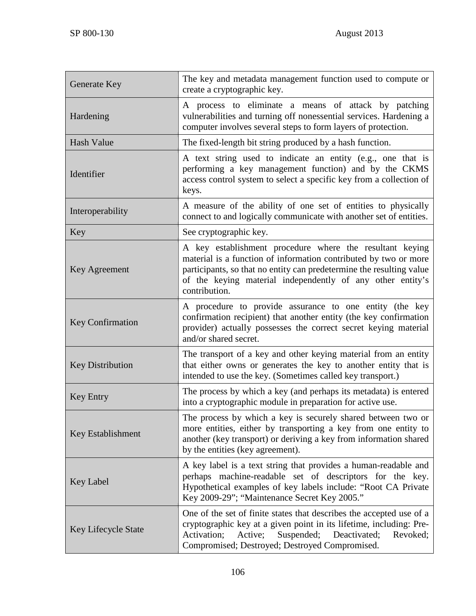| Generate Key            | The key and metadata management function used to compute or<br>create a cryptographic key.                                                                                                                                                                                          |
|-------------------------|-------------------------------------------------------------------------------------------------------------------------------------------------------------------------------------------------------------------------------------------------------------------------------------|
| Hardening               | A process to eliminate a means of attack by patching<br>vulnerabilities and turning off nonessential services. Hardening a<br>computer involves several steps to form layers of protection.                                                                                         |
| Hash Value              | The fixed-length bit string produced by a hash function.                                                                                                                                                                                                                            |
| Identifier              | A text string used to indicate an entity (e.g., one that is<br>performing a key management function) and by the CKMS<br>access control system to select a specific key from a collection of<br>keys.                                                                                |
| Interoperability        | A measure of the ability of one set of entities to physically<br>connect to and logically communicate with another set of entities.                                                                                                                                                 |
| Key                     | See cryptographic key.                                                                                                                                                                                                                                                              |
| Key Agreement           | A key establishment procedure where the resultant keying<br>material is a function of information contributed by two or more<br>participants, so that no entity can predetermine the resulting value<br>of the keying material independently of any other entity's<br>contribution. |
| Key Confirmation        | A procedure to provide assurance to one entity (the key<br>confirmation recipient) that another entity (the key confirmation<br>provider) actually possesses the correct secret keying material<br>and/or shared secret.                                                            |
| <b>Key Distribution</b> | The transport of a key and other keying material from an entity<br>that either owns or generates the key to another entity that is<br>intended to use the key. (Sometimes called key transport.)                                                                                    |
| <b>Key Entry</b>        | The process by which a key (and perhaps its metadata) is entered<br>into a cryptographic module in preparation for active use.                                                                                                                                                      |
| Key Establishment       | The process by which a key is securely shared between two or<br>more entities, either by transporting a key from one entity to<br>another (key transport) or deriving a key from information shared<br>by the entities (key agreement).                                             |
| <b>Key Label</b>        | A key label is a text string that provides a human-readable and<br>perhaps machine-readable set of descriptors for the key.<br>Hypothetical examples of key labels include: "Root CA Private<br>Key 2009-29"; "Maintenance Secret Key 2005."                                        |
| Key Lifecycle State     | One of the set of finite states that describes the accepted use of a<br>cryptographic key at a given point in its lifetime, including: Pre-<br>Suspended;<br>Activation;<br>Active;<br>Deactivated;<br>Revoked;<br>Compromised; Destroyed; Destroyed Compromised.                   |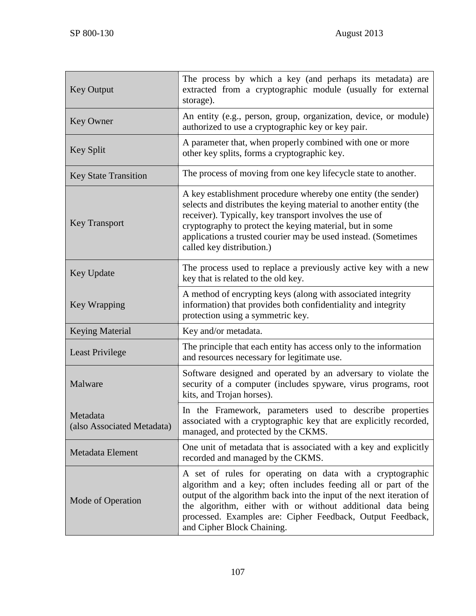| <b>Key Output</b>                      | The process by which a key (and perhaps its metadata) are<br>extracted from a cryptographic module (usually for external<br>storage).                                                                                                                                                                                                                          |
|----------------------------------------|----------------------------------------------------------------------------------------------------------------------------------------------------------------------------------------------------------------------------------------------------------------------------------------------------------------------------------------------------------------|
| <b>Key Owner</b>                       | An entity (e.g., person, group, organization, device, or module)<br>authorized to use a cryptographic key or key pair.                                                                                                                                                                                                                                         |
| <b>Key Split</b>                       | A parameter that, when properly combined with one or more<br>other key splits, forms a cryptographic key.                                                                                                                                                                                                                                                      |
| <b>Key State Transition</b>            | The process of moving from one key lifecycle state to another.                                                                                                                                                                                                                                                                                                 |
| <b>Key Transport</b>                   | A key establishment procedure whereby one entity (the sender)<br>selects and distributes the keying material to another entity (the<br>receiver). Typically, key transport involves the use of<br>cryptography to protect the keying material, but in some<br>applications a trusted courier may be used instead. (Sometimes<br>called key distribution.)      |
| <b>Key Update</b>                      | The process used to replace a previously active key with a new<br>key that is related to the old key.                                                                                                                                                                                                                                                          |
| Key Wrapping                           | A method of encrypting keys (along with associated integrity<br>information) that provides both confidentiality and integrity<br>protection using a symmetric key.                                                                                                                                                                                             |
| <b>Keying Material</b>                 | Key and/or metadata.                                                                                                                                                                                                                                                                                                                                           |
| <b>Least Privilege</b>                 | The principle that each entity has access only to the information<br>and resources necessary for legitimate use.                                                                                                                                                                                                                                               |
| Malware                                | Software designed and operated by an adversary to violate the<br>security of a computer (includes spyware, virus programs, root<br>kits, and Trojan horses).                                                                                                                                                                                                   |
| Metadata<br>(also Associated Metadata) | In the Framework, parameters used to describe properties<br>associated with a cryptographic key that are explicitly recorded,<br>managed, and protected by the CKMS.                                                                                                                                                                                           |
| Metadata Element                       | One unit of metadata that is associated with a key and explicitly<br>recorded and managed by the CKMS.                                                                                                                                                                                                                                                         |
| Mode of Operation                      | A set of rules for operating on data with a cryptographic<br>algorithm and a key; often includes feeding all or part of the<br>output of the algorithm back into the input of the next iteration of<br>the algorithm, either with or without additional data being<br>processed. Examples are: Cipher Feedback, Output Feedback,<br>and Cipher Block Chaining. |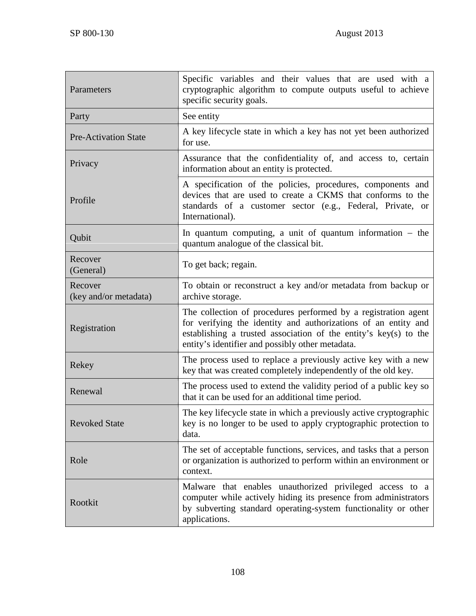| Parameters                       | Specific variables and their values that are used with a<br>cryptographic algorithm to compute outputs useful to achieve<br>specific security goals.                                                                                                     |
|----------------------------------|----------------------------------------------------------------------------------------------------------------------------------------------------------------------------------------------------------------------------------------------------------|
| Party                            | See entity                                                                                                                                                                                                                                               |
| <b>Pre-Activation State</b>      | A key lifecycle state in which a key has not yet been authorized<br>for use.                                                                                                                                                                             |
| Privacy                          | Assurance that the confidentiality of, and access to, certain<br>information about an entity is protected.                                                                                                                                               |
| Profile                          | A specification of the policies, procedures, components and<br>devices that are used to create a CKMS that conforms to the<br>standards of a customer sector (e.g., Federal, Private, or<br>International).                                              |
| Qubit                            | In quantum computing, a unit of quantum information $-$ the<br>quantum analogue of the classical bit.                                                                                                                                                    |
| Recover<br>(General)             | To get back; regain.                                                                                                                                                                                                                                     |
| Recover<br>(key and/or metadata) | To obtain or reconstruct a key and/or metadata from backup or<br>archive storage.                                                                                                                                                                        |
| Registration                     | The collection of procedures performed by a registration agent<br>for verifying the identity and authorizations of an entity and<br>establishing a trusted association of the entity's key(s) to the<br>entity's identifier and possibly other metadata. |
| Rekey                            | The process used to replace a previously active key with a new<br>key that was created completely independently of the old key.                                                                                                                          |
| Renewal                          | The process used to extend the validity period of a public key so<br>that it can be used for an additional time period.                                                                                                                                  |
| <b>Revoked State</b>             | The key lifecycle state in which a previously active cryptographic<br>key is no longer to be used to apply cryptographic protection to<br>data.                                                                                                          |
| Role                             | The set of acceptable functions, services, and tasks that a person<br>or organization is authorized to perform within an environment or<br>context.                                                                                                      |
| Rootkit                          | Malware that enables unauthorized privileged access to a<br>computer while actively hiding its presence from administrators<br>by subverting standard operating-system functionality or other<br>applications.                                           |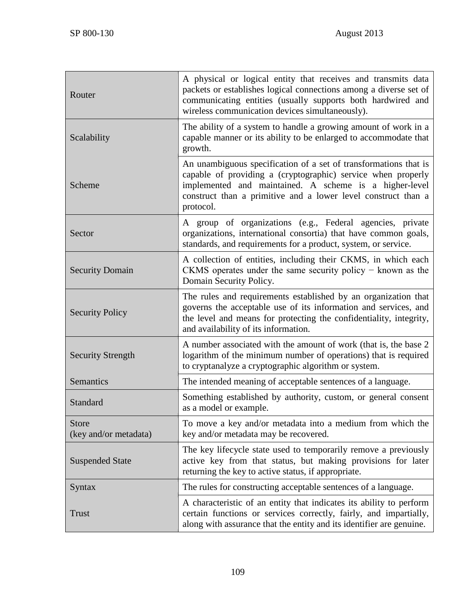| Router                         | A physical or logical entity that receives and transmits data<br>packets or establishes logical connections among a diverse set of<br>communicating entities (usually supports both hardwired and<br>wireless communication devices simultaneously).                     |
|--------------------------------|--------------------------------------------------------------------------------------------------------------------------------------------------------------------------------------------------------------------------------------------------------------------------|
| Scalability                    | The ability of a system to handle a growing amount of work in a<br>capable manner or its ability to be enlarged to accommodate that<br>growth.                                                                                                                           |
| Scheme                         | An unambiguous specification of a set of transformations that is<br>capable of providing a (cryptographic) service when properly<br>implemented and maintained. A scheme is a higher-level<br>construct than a primitive and a lower level construct than a<br>protocol. |
| Sector                         | A group of organizations (e.g., Federal agencies, private<br>organizations, international consortia) that have common goals,<br>standards, and requirements for a product, system, or service.                                                                           |
| <b>Security Domain</b>         | A collection of entities, including their CKMS, in which each<br>CKMS operates under the same security policy $-$ known as the<br>Domain Security Policy.                                                                                                                |
| <b>Security Policy</b>         | The rules and requirements established by an organization that<br>governs the acceptable use of its information and services, and<br>the level and means for protecting the confidentiality, integrity,<br>and availability of its information.                          |
| <b>Security Strength</b>       | A number associated with the amount of work (that is, the base 2<br>logarithm of the minimum number of operations) that is required<br>to cryptanalyze a cryptographic algorithm or system.                                                                              |
| Semantics                      | The intended meaning of acceptable sentences of a language.                                                                                                                                                                                                              |
| Standard                       | Something established by authority, custom, or general consent<br>as a model or example.                                                                                                                                                                                 |
| Store<br>(key and/or metadata) | To move a key and/or metadata into a medium from which the<br>key and/or metadata may be recovered.                                                                                                                                                                      |
| <b>Suspended State</b>         | The key lifecycle state used to temporarily remove a previously<br>active key from that status, but making provisions for later<br>returning the key to active status, if appropriate.                                                                                   |
| <b>Syntax</b>                  | The rules for constructing acceptable sentences of a language.                                                                                                                                                                                                           |
| <b>Trust</b>                   | A characteristic of an entity that indicates its ability to perform<br>certain functions or services correctly, fairly, and impartially,<br>along with assurance that the entity and its identifier are genuine.                                                         |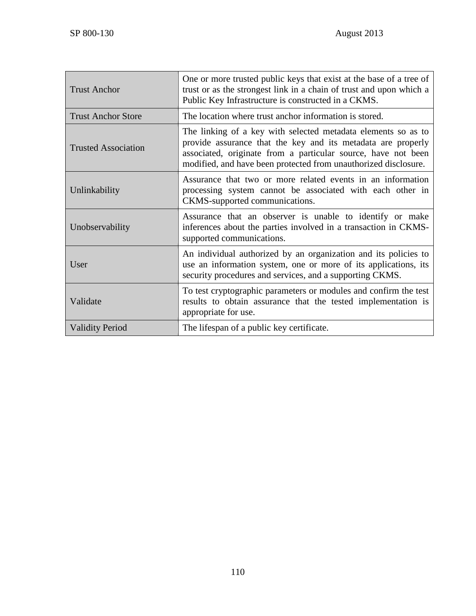| <b>Trust Anchor</b>        | One or more trusted public keys that exist at the base of a tree of<br>trust or as the strongest link in a chain of trust and upon which a<br>Public Key Infrastructure is constructed in a CKMS.                                                                 |
|----------------------------|-------------------------------------------------------------------------------------------------------------------------------------------------------------------------------------------------------------------------------------------------------------------|
| <b>Trust Anchor Store</b>  | The location where trust anchor information is stored.                                                                                                                                                                                                            |
| <b>Trusted Association</b> | The linking of a key with selected metadata elements so as to<br>provide assurance that the key and its metadata are properly<br>associated, originate from a particular source, have not been<br>modified, and have been protected from unauthorized disclosure. |
| Unlinkability              | Assurance that two or more related events in an information<br>processing system cannot be associated with each other in<br>CKMS-supported communications.                                                                                                        |
| Unobservability            | Assurance that an observer is unable to identify or make<br>inferences about the parties involved in a transaction in CKMS-<br>supported communications.                                                                                                          |
| User                       | An individual authorized by an organization and its policies to<br>use an information system, one or more of its applications, its<br>security procedures and services, and a supporting CKMS.                                                                    |
| Validate                   | To test cryptographic parameters or modules and confirm the test<br>results to obtain assurance that the tested implementation is<br>appropriate for use.                                                                                                         |
| <b>Validity Period</b>     | The lifespan of a public key certificate.                                                                                                                                                                                                                         |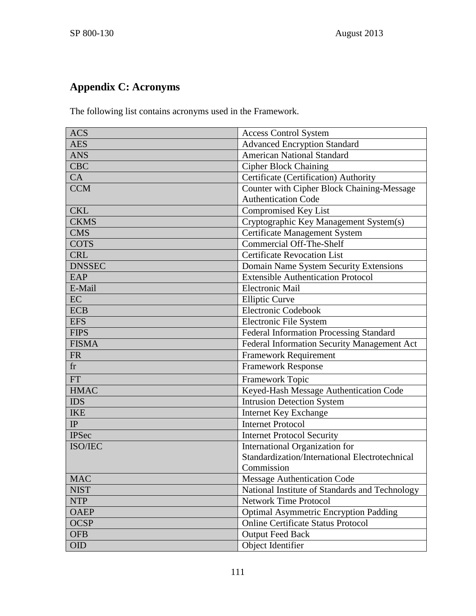# **Appendix C: Acronyms**

The following list contains acronyms used in the Framework.

| <b>ACS</b>    | <b>Access Control System</b>                      |
|---------------|---------------------------------------------------|
| <b>AES</b>    | <b>Advanced Encryption Standard</b>               |
| <b>ANS</b>    | <b>American National Standard</b>                 |
| <b>CBC</b>    | <b>Cipher Block Chaining</b>                      |
| CA            | Certificate (Certification) Authority             |
| <b>CCM</b>    | <b>Counter with Cipher Block Chaining-Message</b> |
|               | <b>Authentication Code</b>                        |
| <b>CKL</b>    | <b>Compromised Key List</b>                       |
| <b>CKMS</b>   | Cryptographic Key Management System(s)            |
| <b>CMS</b>    | <b>Certificate Management System</b>              |
| <b>COTS</b>   | <b>Commercial Off-The-Shelf</b>                   |
| <b>CRL</b>    | <b>Certificate Revocation List</b>                |
| <b>DNSSEC</b> | Domain Name System Security Extensions            |
| EAP           | <b>Extensible Authentication Protocol</b>         |
| E-Mail        | <b>Electronic Mail</b>                            |
| EC            | <b>Elliptic Curve</b>                             |
| <b>ECB</b>    | Electronic Codebook                               |
| <b>EFS</b>    | Electronic File System                            |
| <b>FIPS</b>   | <b>Federal Information Processing Standard</b>    |
| <b>FISMA</b>  | Federal Information Security Management Act       |
| <b>FR</b>     | <b>Framework Requirement</b>                      |
| fr            | <b>Framework Response</b>                         |
| <b>FT</b>     | Framework Topic                                   |
| <b>HMAC</b>   | Keyed-Hash Message Authentication Code            |
| <b>IDS</b>    | <b>Intrusion Detection System</b>                 |
| <b>IKE</b>    | <b>Internet Key Exchange</b>                      |
| IP            | <b>Internet Protocol</b>                          |
| <b>IPSec</b>  | <b>Internet Protocol Security</b>                 |
| ISO/IEC       | International Organization for                    |
|               | Standardization/International Electrotechnical    |
|               | Commission                                        |
| <b>MAC</b>    | <b>Message Authentication Code</b>                |
| <b>NIST</b>   | National Institute of Standards and Technology    |
| <b>NTP</b>    | <b>Network Time Protocol</b>                      |
| <b>OAEP</b>   | <b>Optimal Asymmetric Encryption Padding</b>      |
| <b>OCSP</b>   | <b>Online Certificate Status Protocol</b>         |
| <b>OFB</b>    | <b>Output Feed Back</b>                           |
| OID           | Object Identifier                                 |